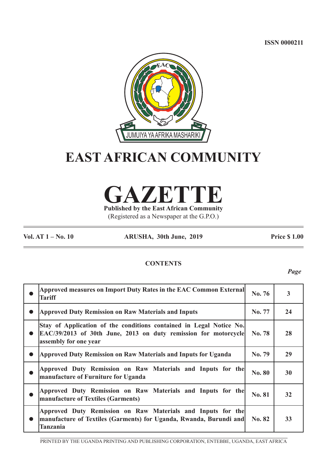**ISSN 0000211**



# **EAST AFRICAN COMMUNITY**

**GAZETTE Published by the East African Community**

(Registered as a Newspaper at the G.P.O.)

**Vol. AT 1 – No. 10 ARUSHA, 30th June, 2019 Price \$ 1.00**

# **CONTENTS**

*Page*

| Approved measures on Import Duty Rates in the EAC Common External<br><b>Tariff</b>                                                                              | No. 76        | $\overline{\mathbf{3}}$ |
|-----------------------------------------------------------------------------------------------------------------------------------------------------------------|---------------|-------------------------|
| <b>Approved Duty Remission on Raw Materials and Inputs</b>                                                                                                      | No. 77        | 24                      |
| Stay of Application of the conditions contained in Legal Notice No.<br>EAC/39/2013 of 30th June, 2013 on duty remission for motorcycle<br>assembly for one year | <b>No. 78</b> | 28                      |
| Approved Duty Remission on Raw Materials and Inputs for Uganda                                                                                                  | No. 79        | 29                      |
| Approved Duty Remission on Raw Materials and Inputs for the<br>manufacture of Furniture for Uganda                                                              | <b>No. 80</b> | 30                      |
| Approved Duty Remission on Raw Materials and Inputs for the<br>manufacture of Textiles (Garments)                                                               | <b>No. 81</b> | 32                      |
| Approved Duty Remission on Raw Materials and Inputs for the<br>manufacture of Textiles (Garments) for Uganda, Rwanda, Burundi and<br>Tanzania                   | No. 82        | 33                      |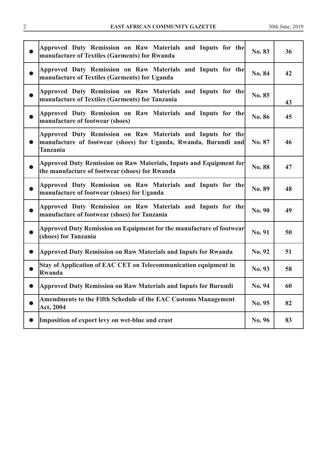| <b>EAST AFRICAN COMMUNITY GAZETTE</b> | 201°<br><b>June</b> |
|---------------------------------------|---------------------|
|                                       |                     |

|           | Approved Duty Remission on Raw Materials and Inputs for the<br>manufacture of Textiles (Garments) for Rwanda                                      | No. 83 | 36 |
|-----------|---------------------------------------------------------------------------------------------------------------------------------------------------|--------|----|
| $\bullet$ | Approved Duty Remission on Raw Materials and Inputs for the<br>manufacture of Textiles (Garments) for Uganda                                      | No. 84 | 42 |
| $\bullet$ | Approved Duty Remission on Raw Materials and Inputs for the<br>manufacture of Textiles (Garments) for Tanzania                                    | No. 85 | 43 |
| $\bullet$ | Approved Duty Remission on Raw Materials and Inputs for the<br>manufacture of footwear (shoes)                                                    | No. 86 | 45 |
| $\bullet$ | Approved Duty Remission on Raw Materials and Inputs for the<br>manufacture of footwear (shoes) for Uganda, Rwanda, Burundi and<br><b>Tanzania</b> | No. 87 | 46 |
|           | Approved Duty Remission on Raw Materials, Inputs and Equipment for<br>the manufacture of footwear (shoes) for Rwanda                              | No. 88 | 47 |
| $\bullet$ | Approved Duty Remission on Raw Materials and Inputs for the<br>manufacture of footwear (shoes) for Uganda                                         | No. 89 | 48 |
|           | Approved Duty Remission on Raw Materials and Inputs for the<br>manufacture of footwear (shoes) for Tanzania                                       | No. 90 | 49 |
| $\bullet$ | Approved Duty Remission on Equipment for the manufacture of footwear<br>(shoes) for Tanzania                                                      | No. 91 | 50 |
| $\bullet$ | <b>Approved Duty Remission on Raw Materials and Inputs for Rwanda</b>                                                                             | No. 92 | 51 |
|           | Stay of Application of EAC CET on Telecommunication equipment in<br>Rwanda                                                                        | No. 93 | 58 |
| $\bullet$ | <b>Approved Duty Remission on Raw Materials and Inputs for Burundi</b>                                                                            | No. 94 | 60 |
|           | Amendments to the Fifth Schedule of the EAC Customs Management<br>Act, 2004                                                                       | No. 95 | 82 |
| $\bullet$ | Imposition of export levy on wet-blue and crust                                                                                                   | No. 96 | 83 |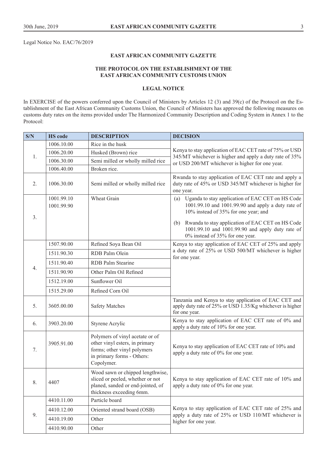Legal Notice No. EAC/76/2019

#### **EAST AFRICAN COMMUNITY GAZETTE**

# **THE PROTOCOL ON THE ESTABLISHMENT OF THE EAST AFRICAN COMMUNITY CUSTOMS UNION**

# **LEGAL NOTICE**

In EXERCISE of the powers conferred upon the Council of Ministers by Articles 12 (3) and 39(c) of the Protocol on the Establishment of the East African Community Customs Union, the Council of Ministers has approved the following measures on customs duty rates on the items provided under The Harmonized Community Description and Coding System in Annex 1 to the Protocol:

| S/N | <b>HS</b> code           | <b>DESCRIPTION</b>                                                                                                                           | <b>DECISION</b>                                                                                                                                    |
|-----|--------------------------|----------------------------------------------------------------------------------------------------------------------------------------------|----------------------------------------------------------------------------------------------------------------------------------------------------|
|     | 1006.10.00               | Rice in the husk                                                                                                                             |                                                                                                                                                    |
| 1.  | 1006.20.00               | Husked (Brown) rice                                                                                                                          | Kenya to stay application of EAC CET rate of 75% or USD<br>345/MT whichever is higher and apply a duty rate of 35%                                 |
|     | 1006.30.00               | Semi milled or wholly milled rice                                                                                                            | or USD 200/MT whichever is higher for one year.                                                                                                    |
|     | 1006.40.00               | Broken rice.                                                                                                                                 |                                                                                                                                                    |
| 2.  | 1006.30.00               | Semi milled or wholly milled rice                                                                                                            | Rwanda to stay application of EAC CET rate and apply a<br>duty rate of 45% or USD 345/MT whichever is higher for<br>one year.                      |
|     | 1001.99.10<br>1001.99.90 | Wheat Grain                                                                                                                                  | (a) Uganda to stay application of EAC CET on HS Code<br>1001.99.10 and 1001.99.90 and apply a duty rate of<br>10% instead of 35% for one year; and |
| 3.  |                          |                                                                                                                                              | Rwanda to stay application of EAC CET on HS Code<br>(b)<br>1001.99.10 and 1001.99.90 and apply duty rate of<br>0% instead of 35% for one year.     |
|     | 1507.90.00               | Refined Soya Bean Oil                                                                                                                        | Kenya to stay application of EAC CET of 25% and apply                                                                                              |
| 4.  | 1511.90.30               | RDB Palm Olein                                                                                                                               | a duty rate of 25% or USD 500/MT whichever is higher<br>for one year.                                                                              |
|     | 1511.90.40               | <b>RDB</b> Palm Stearine                                                                                                                     |                                                                                                                                                    |
|     | 1511.90.90               | Other Palm Oil Refined                                                                                                                       |                                                                                                                                                    |
|     | 1512.19.00               | Sunflower Oil                                                                                                                                |                                                                                                                                                    |
|     | 1515.29.00               | Refined Corn Oil                                                                                                                             |                                                                                                                                                    |
| 5.  | 3605.00.00               | <b>Safety Matches</b>                                                                                                                        | Tanzania and Kenya to stay application of EAC CET and<br>apply duty rate of 25% or USD 1.35/Kg whichever is higher<br>for one year.                |
| 6.  | 3903.20.00               | Styrene Acrylic                                                                                                                              | Kenya to stay application of EAC CET rate of 0% and<br>apply a duty rate of 10% for one year.                                                      |
| 7.  | 3905.91.00               | Polymers of vinyl acetate or of<br>other vinyl esters, in primary<br>forms; other vinyl polymers<br>in primary forms - Others:<br>Copolymer. | Kenya to stay application of EAC CET rate of 10% and<br>apply a duty rate of 0% for one year.                                                      |
| 8.  | 4407                     | Wood sawn or chipped lengthwise,<br>sliced or peeled, whether or not<br>planed, sanded or end-jointed, of<br>thickness exceeding 6mm.        | Kenya to stay application of EAC CET rate of 10% and<br>apply a duty rate of 0% for one year.                                                      |
|     | 4410.11.00               | Particle board                                                                                                                               |                                                                                                                                                    |
|     | 4410.12.00               | Oriented strand board (OSB)                                                                                                                  | Kenya to stay application of EAC CET rate of 25% and                                                                                               |
| 9.  | 4410.19.00               | Other                                                                                                                                        | apply a duty rate of 25% or USD 110/MT whichever is<br>higher for one year.                                                                        |
|     | 4410.90.00               | Other                                                                                                                                        |                                                                                                                                                    |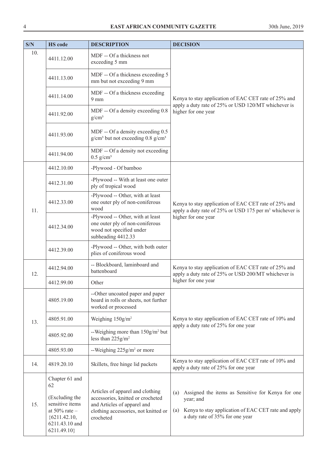| S/N | <b>HS</b> code                                                                  | <b>DESCRIPTION</b>                                                                                                                           | <b>DECISION</b>                                                                                                                     |
|-----|---------------------------------------------------------------------------------|----------------------------------------------------------------------------------------------------------------------------------------------|-------------------------------------------------------------------------------------------------------------------------------------|
| 10. | 4411.12.00                                                                      | MDF -- Of a thickness not<br>exceeding 5 mm                                                                                                  |                                                                                                                                     |
|     | 4411.13.00                                                                      | MDF -- Of a thickness exceeding 5<br>mm but not exceeding 9 mm                                                                               |                                                                                                                                     |
|     | 4411.14.00                                                                      | MDF -- Of a thickness exceeding<br>$9 \text{ mm}$                                                                                            | Kenya to stay application of EAC CET rate of 25% and<br>apply a duty rate of 25% or USD 120/MT whichever is                         |
|     | 4411.92.00                                                                      | MDF -- Of a density exceeding 0.8<br>$g/cm^3$                                                                                                | higher for one year                                                                                                                 |
|     | 4411.93.00                                                                      | MDF -- Of a density exceeding 0.5<br>$g/cm3$ but not exceeding 0.8 $g/cm3$                                                                   |                                                                                                                                     |
|     | 4411.94.00                                                                      | MDF -- Of a density not exceeding<br>$0.5$ g/cm <sup>3</sup>                                                                                 |                                                                                                                                     |
|     | 4412.10.00                                                                      | -Plywood - Of bamboo                                                                                                                         |                                                                                                                                     |
|     | 4412.31.00                                                                      | -Plywood -- With at least one outer<br>ply of tropical wood                                                                                  |                                                                                                                                     |
| 11. | 4412.33.00                                                                      | -Plywood -- Other, with at least<br>one outer ply of non-coniferous<br>wood                                                                  | Kenya to stay application of EAC CET rate of 25% and<br>apply a duty rate of 25% or USD 175 per m <sup>3</sup> whichever is         |
|     | 4412.34.00                                                                      | -Plywood -- Other, with at least<br>one outer ply of non-coniferous<br>wood not specified under<br>subheading 4412.33                        | higher for one year                                                                                                                 |
|     | 4412.39.00                                                                      | -Plywood -- Other, with both outer<br>plies of coniferous wood                                                                               |                                                                                                                                     |
| 12. | 4412.94.00                                                                      | -- Blockboard, laminboard and<br>battenboard                                                                                                 | Kenya to stay application of EAC CET rate of 25% and<br>apply a duty rate of 25% or USD 200/MT whichever is                         |
|     | 4412.99.00                                                                      | Other                                                                                                                                        | higher for one year                                                                                                                 |
|     | 4805.19.00                                                                      | --Other uncoated paper and paper<br>board in rolls or sheets, not further<br>worked or processed                                             |                                                                                                                                     |
| 13. | 4805.91.00                                                                      | Weighing 150g/m <sup>2</sup>                                                                                                                 | Kenya to stay application of EAC CET rate of 10% and                                                                                |
|     | 4805.92.00                                                                      | --Weighing more than $150$ g/m <sup>2</sup> but<br>less than $225$ g/m <sup>2</sup>                                                          | apply a duty rate of 25% for one year                                                                                               |
|     | 4805.93.00                                                                      | --Weighing $225g/m^2$ or more                                                                                                                |                                                                                                                                     |
| 14. | 4819.20.10                                                                      | Skillets, free hinge lid packets                                                                                                             | Kenya to stay application of EAC CET rate of 10% and<br>apply a duty rate of 25% for one year                                       |
| 15. | Chapter 61 and<br>62<br>(Excluding the<br>sensitive items<br>at $50\%$ rate $-$ | Articles of apparel and clothing<br>accessories, knitted or crocheted<br>and Articles of apparel and<br>clothing accessories, not knitted or | Assigned the items as Sensitive for Kenya for one<br>(a)<br>year; and<br>Kenya to stay application of EAC CET rate and apply<br>(a) |
|     | ${6211.42.10,}$<br>6211.43.10 and<br>6211.49.10}                                | crocheted                                                                                                                                    | a duty rate of 35% for one year                                                                                                     |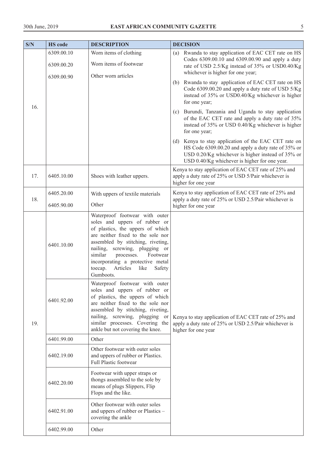| S/N | <b>HS</b> code           | <b>DESCRIPTION</b>                                                                                                                                                                                                                                                                                                                             | <b>DECISION</b>                                                                                                                                                                                                  |
|-----|--------------------------|------------------------------------------------------------------------------------------------------------------------------------------------------------------------------------------------------------------------------------------------------------------------------------------------------------------------------------------------|------------------------------------------------------------------------------------------------------------------------------------------------------------------------------------------------------------------|
|     | 6309.00.10<br>6309.00.20 | Worn items of clothing<br>Worn items of footwear<br>Other worn articles                                                                                                                                                                                                                                                                        | Rwanda to stay application of EAC CET rate on HS<br>(a)<br>Codes 6309.00.10 and 6309.00.90 and apply a duty<br>rate of USD 2.5/Kg instead of 35% or USD0.40/Kg<br>whichever is higher for one year;              |
| 16. | 6309.00.90               |                                                                                                                                                                                                                                                                                                                                                | Rwanda to stay application of EAC CET rate on HS<br>(b)<br>Code 6309.00.20 and apply a duty rate of USD 5/Kg<br>instead of 35% or USD0.40/Kg whichever is higher<br>for one year;                                |
|     |                          |                                                                                                                                                                                                                                                                                                                                                | (c) Burundi, Tanzania and Uganda to stay application<br>of the EAC CET rate and apply a duty rate of 35%<br>instead of 35% or USD 0.40/Kg whichever is higher<br>for one year;                                   |
|     |                          |                                                                                                                                                                                                                                                                                                                                                | (d) Kenya to stay application of the EAC CET rate on<br>HS Code 6309.00.20 and apply a duty rate of 35% or<br>USD 0.20/Kg whichever is higher instead of 35% or<br>USD 0.40/Kg whichever is higher for one year. |
| 17. | 6405.10.00               | Shoes with leather uppers.                                                                                                                                                                                                                                                                                                                     | Kenya to stay application of EAC CET rate of 25% and<br>apply a duty rate of 25% or USD 5/Pair whichever is<br>higher for one year                                                                               |
| 18. | 6405.20.00               | With uppers of textile materials                                                                                                                                                                                                                                                                                                               | Kenya to stay application of EAC CET rate of 25% and<br>apply a duty rate of 25% or USD 2.5/Pair whichever is                                                                                                    |
|     | 6405.90.00               | Other                                                                                                                                                                                                                                                                                                                                          | higher for one year                                                                                                                                                                                              |
|     | 6401.10.00               | Waterproof footwear with outer<br>soles and uppers of rubber or<br>of plastics, the uppers of which<br>are neither fixed to the sole nor<br>assembled by stitching, riveting,<br>nailing, screwing, plugging or<br>similar<br>processes.<br>Footwear<br>incorporating a protective metal<br>toecap.<br>Articles<br>like<br>Safety<br>Gumboots. |                                                                                                                                                                                                                  |
| 19. | 6401.92.00               | Waterproof footwear with outer<br>soles and uppers of rubber or<br>of plastics, the uppers of which<br>are neither fixed to the sole nor<br>assembled by stitching, riveting,<br>nailing, screwing, plugging or<br>similar processes. Covering the<br>ankle but not covering the knee.                                                         | Kenya to stay application of EAC CET rate of 25% and<br>apply a duty rate of 25% or USD 2.5/Pair whichever is<br>higher for one year                                                                             |
|     | 6401.99.00               | Other                                                                                                                                                                                                                                                                                                                                          |                                                                                                                                                                                                                  |
|     | 6402.19.00               | Other footwear with outer soles<br>and uppers of rubber or Plastics.<br><b>Full Plastic footwear</b>                                                                                                                                                                                                                                           |                                                                                                                                                                                                                  |
|     | 6402.20.00               | Footwear with upper straps or<br>thongs assembled to the sole by<br>means of plugs Slippers, Flip<br>Flops and the like.                                                                                                                                                                                                                       |                                                                                                                                                                                                                  |
|     | 6402.91.00               | Other footwear with outer soles<br>and uppers of rubber or Plastics -<br>covering the ankle                                                                                                                                                                                                                                                    |                                                                                                                                                                                                                  |
|     | 6402.99.00               | Other                                                                                                                                                                                                                                                                                                                                          |                                                                                                                                                                                                                  |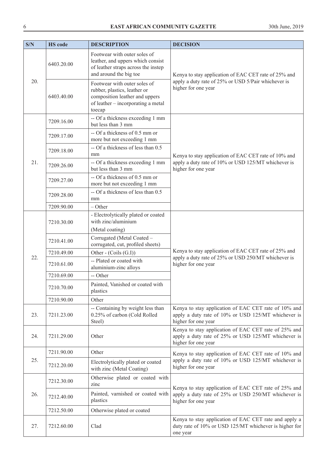| S/N | <b>HS</b> code | <b>DESCRIPTION</b>                                                                                                                             | <b>DECISION</b>                                                                                                                    |
|-----|----------------|------------------------------------------------------------------------------------------------------------------------------------------------|------------------------------------------------------------------------------------------------------------------------------------|
|     | 6403.20.00     | Footwear with outer soles of<br>leather, and uppers which consist<br>of leather straps across the instep<br>and around the big toe             | Kenya to stay application of EAC CET rate of 25% and                                                                               |
| 20. | 6403.40.00     | Footwear with outer soles of<br>rubber, plastics, leather or<br>composition leather and uppers<br>of leather – incorporating a metal<br>toecap | apply a duty rate of 25% or USD 5/Pair whichever is<br>higher for one year                                                         |
|     | 7209.16.00     | -- Of a thickness exceeding 1 mm<br>but less than 3 mm                                                                                         |                                                                                                                                    |
|     | 7209.17.00     | -- Of a thickness of 0.5 mm or<br>more but not exceeding 1 mm                                                                                  |                                                                                                                                    |
|     | 7209.18.00     | -- Of a thickness of less than 0.5<br>mm                                                                                                       | Kenya to stay application of EAC CET rate of 10% and                                                                               |
| 21. | 7209.26.00     | -- Of a thickness exceeding 1 mm<br>but less than 3 mm                                                                                         | apply a duty rate of 10% or USD 125/MT whichever is<br>higher for one year                                                         |
|     | 7209.27.00     | -- Of a thickness of 0.5 mm or<br>more but not exceeding 1 mm                                                                                  |                                                                                                                                    |
|     | 7209.28.00     | -- Of a thickness of less than 0.5<br>mm                                                                                                       |                                                                                                                                    |
|     | 7209.90.00     | $-$ Other                                                                                                                                      |                                                                                                                                    |
|     | 7210.30.00     | - Electrolytically plated or coated<br>with zinc/aluminium                                                                                     |                                                                                                                                    |
|     |                | (Metal coating)                                                                                                                                |                                                                                                                                    |
|     | 7210.41.00     | Corrugated (Metal Coated -<br>corrugated, cut, profiled sheets)                                                                                |                                                                                                                                    |
| 22. | 7210.49.00     | Other - (Coils (G.I))                                                                                                                          | Kenya to stay application of EAC CET rate of 25% and<br>apply a duty rate of 25% or USD 250/MT whichever is                        |
|     | 7210.61.00     | -- Plated or coated with<br>aluminium-zinc alloys                                                                                              | higher for one year                                                                                                                |
|     | 7210.69.00     | -- Other                                                                                                                                       |                                                                                                                                    |
|     | 7210.70.00     | Painted, Vanished or coated with<br>plastics                                                                                                   |                                                                                                                                    |
|     | 7210.90.00     | Other                                                                                                                                          |                                                                                                                                    |
| 23. | 7211.23.00     | -- Containing by weight less than<br>0.25% of carbon (Cold Rolled<br>Steel)                                                                    | Kenya to stay application of EAC CET rate of 10% and<br>apply a duty rate of 10% or USD 125/MT whichever is<br>higher for one year |
| 24. | 7211.29.00     | Other                                                                                                                                          | Kenya to stay application of EAC CET rate of 25% and<br>apply a duty rate of 25% or USD 125/MT whichever is<br>higher for one year |
|     | 7211.90.00     | Other                                                                                                                                          | Kenya to stay application of EAC CET rate of 10% and                                                                               |
| 25. | 7212.20.00     | Electrolytically plated or coated<br>with zinc (Metal Coating)                                                                                 | apply a duty rate of 10% or USD 125/MT whichever is<br>higher for one year                                                         |
|     | 7212.30.00     | Otherwise plated or coated with<br>zinc                                                                                                        | Kenya to stay application of EAC CET rate of 25% and                                                                               |
| 26. | 7212.40.00     | Painted, varnished or coated with<br>plastics                                                                                                  | apply a duty rate of 25% or USD 250/MT whichever is<br>higher for one year                                                         |
|     | 7212.50.00     | Otherwise plated or coated                                                                                                                     |                                                                                                                                    |
| 27. | 7212.60.00     | Clad                                                                                                                                           | Kenya to stay application of EAC CET rate and apply a<br>duty rate of 10% or USD 125/MT whichever is higher for<br>one year        |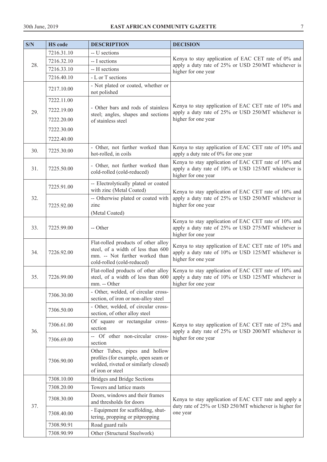| S/N | <b>HS</b> code | <b>DESCRIPTION</b>                                                                                                                        | <b>DECISION</b>                                                                                                                    |
|-----|----------------|-------------------------------------------------------------------------------------------------------------------------------------------|------------------------------------------------------------------------------------------------------------------------------------|
|     | 7216.31.10     | -- U sections                                                                                                                             |                                                                                                                                    |
|     | 7216.32.10     | -- I sections                                                                                                                             | Kenya to stay application of EAC CET rate of 0% and                                                                                |
| 28. | 7216.33.10     | -- H sections                                                                                                                             | apply a duty rate of 25% or USD 250/MT whichever is<br>higher for one year                                                         |
|     | 7216.40.10     | - L or T sections                                                                                                                         |                                                                                                                                    |
|     | 7217.10.00     | - Not plated or coated, whether or<br>not polished                                                                                        |                                                                                                                                    |
|     | 7222.11.00     |                                                                                                                                           |                                                                                                                                    |
| 29. | 7222.19.00     | - Other bars and rods of stainless                                                                                                        | Kenya to stay application of EAC CET rate of 10% and<br>apply a duty rate of 25% or USD 250/MT whichever is                        |
|     | 7222.20.00     | steel; angles, shapes and sections<br>of stainless steel                                                                                  | higher for one year                                                                                                                |
|     | 7222.30.00     |                                                                                                                                           |                                                                                                                                    |
|     | 7222.40.00     |                                                                                                                                           |                                                                                                                                    |
|     |                | - Other, not further worked than                                                                                                          | Kenya to stay application of EAC CET rate of 10% and                                                                               |
| 30. | 7225.30.00     | hot-rolled, in coils                                                                                                                      | apply a duty rate of 0% for one year                                                                                               |
| 31. | 7225.50.00     | - Other, not further worked than<br>cold-rolled (cold-reduced)                                                                            | Kenya to stay application of EAC CET rate of 10% and<br>apply a duty rate of 10% or USD 125/MT whichever is<br>higher for one year |
|     | 7225.91.00     | -- Electrolytically plated or coated                                                                                                      |                                                                                                                                    |
|     |                | with zinc (Metal Coated)                                                                                                                  | Kenya to stay application of EAC CET rate of 10% and                                                                               |
| 32. | 7225.92.00     | -- Otherwise plated or coated with<br>zinc                                                                                                | apply a duty rate of 25% or USD 250/MT whichever is<br>higher for one year                                                         |
|     |                | (Metal Coated)                                                                                                                            |                                                                                                                                    |
| 33. | 7225.99.00     | -- Other                                                                                                                                  | Kenya to stay application of EAC CET rate of 10% and<br>apply a duty rate of 25% or USD 275/MT whichever is<br>higher for one year |
| 34. | 7226.92.00     | Flat-rolled products of other alloy<br>steel, of a width of less than 600<br>mm. -- Not further worked than<br>cold-rolled (cold-reduced) | Kenya to stay application of EAC CET rate of 10% and<br>apply a duty rate of 10% or USD 125/MT whichever is<br>higher for one year |
| 35. | 7226.99.00     | Flat-rolled products of other alloy<br>steel, of a width of less than 600<br>$mm. - Other$                                                | Kenya to stay application of EAC CET rate of 10% and<br>apply a duty rate of 10% or USD 125/MT whichever is<br>higher for one year |
|     | 7306.30.00     | - Other, welded, of circular cross-<br>section, of iron or non-alloy steel                                                                |                                                                                                                                    |
|     | 7306.50.00     | - Other, welded, of circular cross-<br>section, of other alloy steel                                                                      |                                                                                                                                    |
| 36. | 7306.61.00     | Of square or rectangular cross-<br>section                                                                                                | Kenya to stay application of EAC CET rate of 25% and<br>apply a duty rate of 25% or USD 200/MT whichever is                        |
|     | 7306.69.00     | -- Of other non-circular cross-<br>section                                                                                                | higher for one year                                                                                                                |
|     | 7306.90.00     | Other Tubes, pipes and hollow<br>profiles (for example, open seam or<br>welded, riveted or similarly closed)<br>of iron or steel          |                                                                                                                                    |
|     | 7308.10.00     | <b>Bridges and Bridge Sections</b>                                                                                                        |                                                                                                                                    |
|     | 7308.20.00     | Towers and lattice masts                                                                                                                  |                                                                                                                                    |
|     | 7308.30.00     | Doors, windows and their frames<br>and thresholds for doors                                                                               | Kenya to stay application of EAC CET rate and apply a                                                                              |
| 37. | 7308.40.00     | - Equipment for scaffolding, shut-<br>tering, propping or pitpropping                                                                     | duty rate of 25% or USD 250/MT whichever is higher for<br>one year                                                                 |
|     | 7308.90.91     | Road guard rails                                                                                                                          |                                                                                                                                    |
|     | 7308.90.99     | Other (Structural Steelwork)                                                                                                              |                                                                                                                                    |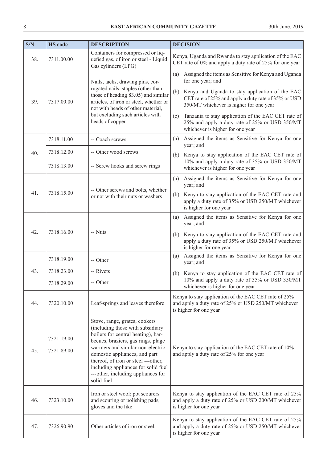| S/N | <b>HS</b> code           | <b>DESCRIPTION</b>                                                                                                                                                                                                                                                                                                                                   | <b>DECISION</b>                                                                                                                                                                                                                                                                                                                                                                               |
|-----|--------------------------|------------------------------------------------------------------------------------------------------------------------------------------------------------------------------------------------------------------------------------------------------------------------------------------------------------------------------------------------------|-----------------------------------------------------------------------------------------------------------------------------------------------------------------------------------------------------------------------------------------------------------------------------------------------------------------------------------------------------------------------------------------------|
| 38. | 7311.00.00               | Containers for compressed or liq-<br>uefied gas, of iron or steel - Liquid<br>Gas cylinders (LPG)                                                                                                                                                                                                                                                    | Kenya, Uganda and Rwanda to stay application of the EAC<br>CET rate of 0% and apply a duty rate of 25% for one year                                                                                                                                                                                                                                                                           |
| 39. | 7317.00.00               | Nails, tacks, drawing pins, cor-<br>rugated nails, staples (other than<br>those of heading 83.05) and similar<br>articles, of iron or steel, whether or<br>not with heads of other material,<br>but excluding such articles with<br>heads of copper.                                                                                                 | Assigned the items as Sensitive for Kenya and Uganda<br>(a)<br>for one year; and<br>(b) Kenya and Uganda to stay application of the EAC<br>CET rate of 25% and apply a duty rate of 35% or USD<br>350/MT whichever is higher for one year<br>Tanzania to stay application of the EAC CET rate of<br>(c)<br>25% and apply a duty rate of 25% or USD 350/MT<br>whichever is higher for one year |
|     | 7318.11.00               | -- Coach screws                                                                                                                                                                                                                                                                                                                                      | Assigned the items as Sensitive for Kenya for one<br>(a)                                                                                                                                                                                                                                                                                                                                      |
| 40. | 7318.12.00               | -- Other wood screws                                                                                                                                                                                                                                                                                                                                 | year; and<br>(b) Kenya to stay application of the EAC CET rate of                                                                                                                                                                                                                                                                                                                             |
|     | 7318.13.00               | -- Screw hooks and screw rings                                                                                                                                                                                                                                                                                                                       | 10% and apply a duty rate of 35% or USD 350/MT<br>whichever is higher for one year                                                                                                                                                                                                                                                                                                            |
| 41. | 7318.15.00               | -- Other screws and bolts, whether<br>or not with their nuts or washers                                                                                                                                                                                                                                                                              | Assigned the items as Sensitive for Kenya for one<br>(a)<br>year; and<br>Kenya to stay application of the EAC CET rate and<br>(b)<br>apply a duty rate of 35% or USD 250/MT whichever<br>is higher for one year                                                                                                                                                                               |
| 42. | 7318.16.00               | -- Nuts                                                                                                                                                                                                                                                                                                                                              | Assigned the items as Sensitive for Kenya for one<br>(a)<br>year; and<br>Kenya to stay application of the EAC CET rate and<br>(b)<br>apply a duty rate of 35% or USD 250/MT whichever<br>is higher for one year                                                                                                                                                                               |
|     | 7318.19.00               | -- Other                                                                                                                                                                                                                                                                                                                                             | Assigned the items as Sensitive for Kenya for one<br>(a)<br>year; and                                                                                                                                                                                                                                                                                                                         |
| 43. | 7318.23.00<br>7318.29.00 | -- Rivets<br>-- Other                                                                                                                                                                                                                                                                                                                                | (b) Kenya to stay application of the EAC CET rate of<br>10% and apply a duty rate of 35% or USD 350/MT<br>whichever is higher for one year                                                                                                                                                                                                                                                    |
| 44. | 7320.10.00               | Leaf-springs and leaves therefore                                                                                                                                                                                                                                                                                                                    | Kenya to stay application of the EAC CET rate of 25%<br>and apply a duty rate of 25% or USD 250/MT whichever<br>is higher for one year                                                                                                                                                                                                                                                        |
| 45. | 7321.19.00<br>7321.89.00 | Stove, range, grates, cookers<br>(including those with subsidiary<br>boilers for central heating), bar-<br>becues, braziers, gas rings, plage<br>warmers and similar non-electric<br>domestic appliances, and part<br>thereof, of iron or steel ---other,<br>including appliances for solid fuel<br>---other, including appliances for<br>solid fuel | Kenya to stay application of the EAC CET rate of 10%<br>and apply a duty rate of 25% for one year                                                                                                                                                                                                                                                                                             |
| 46. | 7323.10.00               | Iron or steel wool; pot scourers<br>and scouring or polishing pads,<br>gloves and the like                                                                                                                                                                                                                                                           | Kenya to stay application of the EAC CET rate of 25%<br>and apply a duty rate of 25% or USD 200/MT whichever<br>is higher for one year                                                                                                                                                                                                                                                        |
| 47. | 7326.90.90               | Other articles of iron or steel.                                                                                                                                                                                                                                                                                                                     | Kenya to stay application of the EAC CET rate of 25%<br>and apply a duty rate of 25% or USD 250/MT whichever<br>is higher for one year                                                                                                                                                                                                                                                        |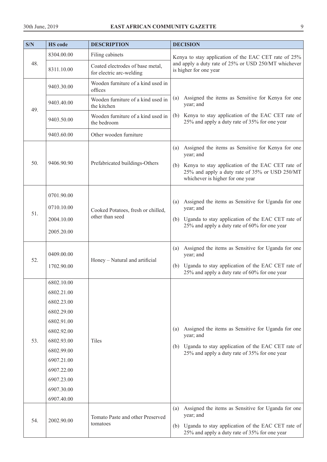| S/N | <b>HS</b> code                                                                                                                                                                     | <b>DESCRIPTION</b>                                           | <b>DECISION</b>                                                                                                                                                                                                     |
|-----|------------------------------------------------------------------------------------------------------------------------------------------------------------------------------------|--------------------------------------------------------------|---------------------------------------------------------------------------------------------------------------------------------------------------------------------------------------------------------------------|
|     | 8304.00.00                                                                                                                                                                         | Filing cabinets                                              | Kenya to stay application of the EAC CET rate of 25%                                                                                                                                                                |
| 48. | 8311.10.00                                                                                                                                                                         | Coated electrodes of base metal,<br>for electric arc-welding | and apply a duty rate of 25% or USD 250/MT whichever<br>is higher for one year                                                                                                                                      |
|     | 9403.30.00                                                                                                                                                                         | Wooden furniture of a kind used in<br>offices                |                                                                                                                                                                                                                     |
| 49. | 9403.40.00                                                                                                                                                                         | Wooden furniture of a kind used in<br>the kitchen            | Assigned the items as Sensitive for Kenya for one<br>(a)<br>year; and                                                                                                                                               |
|     | 9403.50.00                                                                                                                                                                         | Wooden furniture of a kind used in<br>the bedroom            | Kenya to stay application of the EAC CET rate of<br>(b)<br>25% and apply a duty rate of 35% for one year                                                                                                            |
|     | 9403.60.00                                                                                                                                                                         | Other wooden furniture                                       |                                                                                                                                                                                                                     |
| 50. | 9406.90.90                                                                                                                                                                         | Prefabricated buildings-Others                               | Assigned the items as Sensitive for Kenya for one<br>(a)<br>year; and<br>(b) Kenya to stay application of the EAC CET rate of<br>25% and apply a duty rate of 35% or USD 250/MT<br>whichever is higher for one year |
| 51. | 0701.90.00<br>0710.10.00<br>2004.10.00<br>2005.20.00                                                                                                                               | Cooked Potatoes, fresh or chilled,<br>other than seed        | Assigned the items as Sensitive for Uganda for one<br>(a)<br>year; and<br>(b) Uganda to stay application of the EAC CET rate of<br>25% and apply a duty rate of 60% for one year                                    |
| 52. | 0409.00.00<br>1702.90.00                                                                                                                                                           | Honey - Natural and artificial                               | Assigned the items as Sensitive for Uganda for one<br>(a)<br>year; and<br>(b) Uganda to stay application of the EAC CET rate of<br>25% and apply a duty rate of 60% for one year                                    |
| 53. | 6802.10.00<br>6802.21.00<br>6802.23.00<br>6802.29.00<br>6802.91.00<br>6802.92.00<br>6802.93.00<br>6802.99.00<br>6907.21.00<br>6907.22.00<br>6907.23.00<br>6907.30.00<br>6907.40.00 | Tiles                                                        | Assigned the items as Sensitive for Uganda for one<br>(a)<br>year; and<br>(b) Uganda to stay application of the EAC CET rate of<br>25% and apply a duty rate of 35% for one year                                    |
| 54. | 2002.90.00                                                                                                                                                                         | Tomato Paste and other Preserved<br>tomatoes                 | Assigned the items as Sensitive for Uganda for one<br>(a)<br>year; and<br>(b) Uganda to stay application of the EAC CET rate of<br>25% and apply a duty rate of 35% for one year                                    |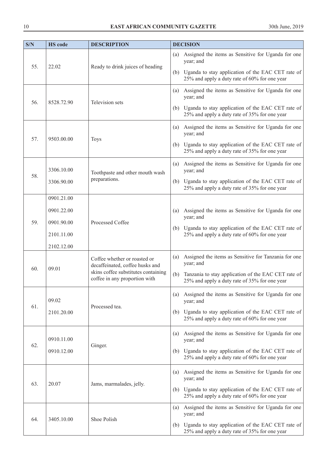| S/N | <b>HS</b> code                            | <b>DESCRIPTION</b>                                                                                                                      | <b>DECISION</b>                                                                                             |
|-----|-------------------------------------------|-----------------------------------------------------------------------------------------------------------------------------------------|-------------------------------------------------------------------------------------------------------------|
| 55. | 22.02<br>Ready to drink juices of heading | Assigned the items as Sensitive for Uganda for one<br>(a)<br>year; and                                                                  |                                                                                                             |
|     |                                           |                                                                                                                                         | (b) Uganda to stay application of the EAC CET rate of<br>25% and apply a duty rate of 60% for one year      |
| 56. | 8528.72.90                                | Television sets                                                                                                                         | Assigned the items as Sensitive for Uganda for one<br>(a)<br>year; and                                      |
|     |                                           |                                                                                                                                         | (b) Uganda to stay application of the EAC CET rate of<br>25% and apply a duty rate of 35% for one year      |
| 57. | 9503.00.00                                | <b>Toys</b>                                                                                                                             | Assigned the items as Sensitive for Uganda for one<br>(a)<br>year; and                                      |
|     |                                           |                                                                                                                                         | (b) Uganda to stay application of the EAC CET rate of<br>25% and apply a duty rate of 35% for one year      |
| 58. | 3306.10.00                                | Toothpaste and other mouth wash                                                                                                         | Assigned the items as Sensitive for Uganda for one<br>(a)<br>year; and                                      |
|     | 3306.90.00                                | preparations.                                                                                                                           | (b) Uganda to stay application of the EAC CET rate of<br>25% and apply a duty rate of 35% for one year      |
|     | 0901.21.00                                |                                                                                                                                         |                                                                                                             |
|     | 0901.22.00                                |                                                                                                                                         | Assigned the items as Sensitive for Uganda for one<br>(a)<br>year; and                                      |
| 59. | 0901.90.00                                | Processed Coffee                                                                                                                        | (b) Uganda to stay application of the EAC CET rate of                                                       |
|     | 2101.11.00                                |                                                                                                                                         | 25% and apply a duty rate of 60% for one year                                                               |
|     | 2102.12.00                                |                                                                                                                                         |                                                                                                             |
| 60. | 09.01                                     | Coffee whether or roasted or<br>decaffeinated, coffee husks and<br>skins coffee substitutes containing<br>coffee in any proportion with | Assigned the items as Sensitive for Tanzania for one<br>(a)<br>year; and                                    |
|     |                                           |                                                                                                                                         | Tanzania to stay application of the EAC CET rate of<br>(b)<br>25% and apply a duty rate of 35% for one year |
|     | 09.02                                     |                                                                                                                                         | Assigned the items as Sensitive for Uganda for one<br>(a)<br>year; and                                      |
| 61. | 2101.20.00                                | Processed tea.                                                                                                                          | (b) Uganda to stay application of the EAC CET rate of<br>25% and apply a duty rate of 60% for one year      |
|     | 0910.11.00                                |                                                                                                                                         | Assigned the items as Sensitive for Uganda for one<br>(a)<br>year; and                                      |
| 62. | 0910.12.00                                | Ginger.                                                                                                                                 | Uganda to stay application of the EAC CET rate of<br>(b)<br>25% and apply a duty rate of 60% for one year   |
|     | 20.07                                     |                                                                                                                                         | Assigned the items as Sensitive for Uganda for one<br>(a)<br>year; and                                      |
| 63. |                                           | Jams, marmalades, jelly.                                                                                                                | Uganda to stay application of the EAC CET rate of<br>(b)<br>25% and apply a duty rate of 60% for one year   |
| 64. | 3405.10.00                                | Shoe Polish                                                                                                                             | Assigned the items as Sensitive for Uganda for one<br>(a)<br>year; and                                      |
|     |                                           |                                                                                                                                         | (b) Uganda to stay application of the EAC CET rate of<br>25% and apply a duty rate of 35% for one year      |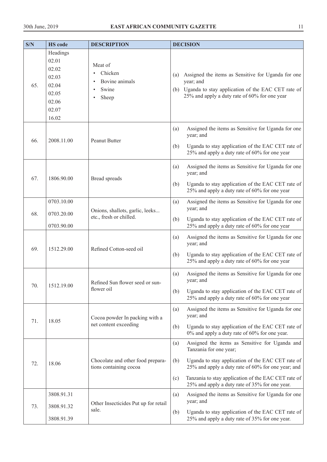| S/N | <b>HS</b> code                                                                   | <b>DESCRIPTION</b>                                          | <b>DECISION</b>                                                                                                                                                                                                                                                                                                   |
|-----|----------------------------------------------------------------------------------|-------------------------------------------------------------|-------------------------------------------------------------------------------------------------------------------------------------------------------------------------------------------------------------------------------------------------------------------------------------------------------------------|
| 65. | Headings<br>02.01<br>02.02<br>02.03<br>02.04<br>02.05<br>02.06<br>02.07<br>16.02 | Meat of<br>Chicken<br>Bovine animals<br>Swine<br>Sheep      | Assigned the items as Sensitive for Uganda for one<br>(a)<br>year; and<br>(b) Uganda to stay application of the EAC CET rate of<br>25% and apply a duty rate of 60% for one year                                                                                                                                  |
| 66. | 2008.11.00                                                                       | Peanut Butter                                               | Assigned the items as Sensitive for Uganda for one<br>(a)<br>year; and<br>Uganda to stay application of the EAC CET rate of<br>(b)<br>25% and apply a duty rate of 60% for one year                                                                                                                               |
| 67. | 1806.90.00                                                                       | <b>Bread</b> spreads                                        | Assigned the items as Sensitive for Uganda for one<br>(a)<br>year; and<br>Uganda to stay application of the EAC CET rate of<br>(b)<br>25% and apply a duty rate of 60% for one year                                                                                                                               |
| 68. | 0703.10.00<br>0703.20.00                                                         | Onions, shallots, garlic, leeks                             | Assigned the items as Sensitive for Uganda for one<br>(a)<br>year; and                                                                                                                                                                                                                                            |
|     | 0703.90.00                                                                       | etc., fresh or chilled.                                     | Uganda to stay application of the EAC CET rate of<br>(b)<br>25% and apply a duty rate of 60% for one year                                                                                                                                                                                                         |
| 69. | 1512.29.00                                                                       | Refined Cotton-seed oil                                     | Assigned the items as Sensitive for Uganda for one<br>(a)<br>year; and<br>Uganda to stay application of the EAC CET rate of<br>(b)<br>25% and apply a duty rate of 60% for one year                                                                                                                               |
| 70. | 1512.19.00                                                                       | Refined Sun flower seed or sun-<br>flower oil               | Assigned the items as Sensitive for Uganda for one<br>(a)<br>year; and<br>Uganda to stay application of the EAC CET rate of<br>(b)<br>25% and apply a duty rate of 60% for one year                                                                                                                               |
| 71. | 18.05                                                                            | Cocoa powder In packing with a<br>net content exceeding     | Assigned the items as Sensitive for Uganda for one<br>(a)<br>year; and<br>Uganda to stay application of the EAC CET rate of<br>(b)<br>$0\%$ and apply a duty rate of 60% for one year.                                                                                                                            |
| 72. | 18.06                                                                            | Chocolate and other food prepara-<br>tions containing cocoa | Assigned the items as Sensitive for Uganda and<br>(a)<br>Tanzania for one year;<br>Uganda to stay application of the EAC CET rate of<br>(b)<br>25% and apply a duty rate of 60% for one year; and<br>Tanzania to stay application of the EAC CET rate of<br>(c)<br>25% and apply a duty rate of 35% for one year. |
| 73. | 3808.91.31<br>3808.91.32                                                         | Other Insecticides Put up for retail                        | Assigned the items as Sensitive for Uganda for one<br>(a)<br>year; and                                                                                                                                                                                                                                            |
|     | 3808.91.39                                                                       | sale.                                                       | Uganda to stay application of the EAC CET rate of<br>(b)<br>25% and apply a duty rate of 35% for one year.                                                                                                                                                                                                        |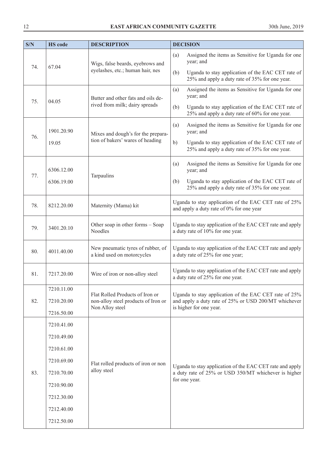| S/N | <b>HS</b> code | <b>DESCRIPTION</b>                                              | <b>DECISION</b>                                                                                                                   |  |
|-----|----------------|-----------------------------------------------------------------|-----------------------------------------------------------------------------------------------------------------------------------|--|
|     | 67.04          | Wigs, false beards, eyebrows and                                | Assigned the items as Sensitive for Uganda for one<br>(a)<br>year; and                                                            |  |
| 74. |                | eyelashes, etc.; human hair, nes                                | Uganda to stay application of the EAC CET rate of<br>(b)<br>25% and apply a duty rate of 35% for one year.                        |  |
| 75. | 04.05          | Butter and other fats and oils de-                              | Assigned the items as Sensitive for Uganda for one<br>(a)<br>year; and                                                            |  |
|     |                | rived from milk; dairy spreads                                  | Uganda to stay application of the EAC CET rate of<br>(b)<br>25% and apply a duty rate of 60% for one year.                        |  |
|     | 1901.20.90     | Mixes and dough's for the prepara-                              | Assigned the items as Sensitive for Uganda for one<br>(a)<br>year; and                                                            |  |
| 76. | 19.05          | tion of bakers' wares of heading                                | b)<br>Uganda to stay application of the EAC CET rate of<br>25% and apply a duty rate of 35% for one year.                         |  |
|     | 6306.12.00     |                                                                 | Assigned the items as Sensitive for Uganda for one<br>(a)<br>year; and                                                            |  |
| 77. | 6306.19.00     | Tarpaulins                                                      | Uganda to stay application of the EAC CET rate of<br>(b)<br>25% and apply a duty rate of 35% for one year.                        |  |
| 78. | 8212.20.00     | Maternity (Mama) kit                                            | Uganda to stay application of the EAC CET rate of 25%<br>and apply a duty rate of 0% for one year                                 |  |
| 79. | 3401.20.10     | Other soap in other forms - Soap<br>Noodles                     | Uganda to stay application of the EAC CET rate and apply<br>a duty rate of 10% for one year.                                      |  |
| 80. | 4011.40.00     | New pneumatic tyres of rubber, of<br>a kind used on motorcycles | Uganda to stay application of the EAC CET rate and apply<br>a duty rate of 25% for one year;                                      |  |
| 81. | 7217.20.00     | Wire of iron or non-alloy steel                                 | Uganda to stay application of the EAC CET rate and apply<br>a duty rate of 25% for one year.                                      |  |
|     | 7210.11.00     | Flat Rolled Products of Iron or                                 | Uganda to stay application of the EAC CET rate of 25%                                                                             |  |
| 82. | 7210.20.00     | non-alloy steel products of Iron or                             | and apply a duty rate of 25% or USD 200/MT whichever                                                                              |  |
|     | 7216.50.00     | Non Alloy steel                                                 | is higher for one year.                                                                                                           |  |
|     | 7210.41.00     |                                                                 |                                                                                                                                   |  |
|     | 7210.49.00     |                                                                 | Uganda to stay application of the EAC CET rate and apply<br>a duty rate of 25% or USD 350/MT whichever is higher<br>for one year. |  |
|     | 7210.61.00     |                                                                 |                                                                                                                                   |  |
|     | 7210.69.00     | Flat rolled products of iron or non                             |                                                                                                                                   |  |
| 83. | 7210.70.00     | alloy steel                                                     |                                                                                                                                   |  |
|     | 7210.90.00     |                                                                 |                                                                                                                                   |  |
|     | 7212.30.00     |                                                                 |                                                                                                                                   |  |
|     | 7212.40.00     |                                                                 |                                                                                                                                   |  |
|     | 7212.50.00     |                                                                 |                                                                                                                                   |  |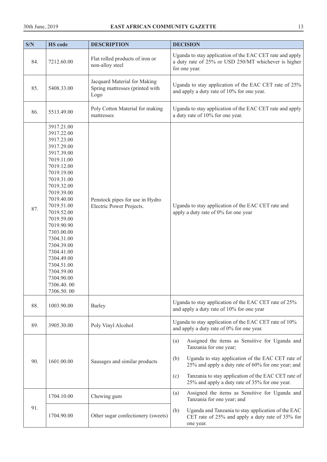| S/N | <b>HS</b> code                                                                                                                                                                                                                                                                                                                                                           | <b>DESCRIPTION</b>                                                      | <b>DECISION</b>                                                                                                                                                                                                                                                                                                   |
|-----|--------------------------------------------------------------------------------------------------------------------------------------------------------------------------------------------------------------------------------------------------------------------------------------------------------------------------------------------------------------------------|-------------------------------------------------------------------------|-------------------------------------------------------------------------------------------------------------------------------------------------------------------------------------------------------------------------------------------------------------------------------------------------------------------|
| 84. | 7212.60.00                                                                                                                                                                                                                                                                                                                                                               | Flat rolled products of iron or<br>non-alloy steel                      | Uganda to stay application of the EAC CET rate and apply<br>a duty rate of 25% or USD 250/MT whichever is higher<br>for one year.                                                                                                                                                                                 |
| 85. | 5408.33.00                                                                                                                                                                                                                                                                                                                                                               | Jacquard Material for Making<br>Spring mattresses (printed with<br>Logo | Uganda to stay application of the EAC CET rate of 25%<br>and apply a duty rate of 10% for one year.                                                                                                                                                                                                               |
| 86. | 5513.49.00                                                                                                                                                                                                                                                                                                                                                               | Poly Cotton Material for making<br>mattresses                           | Uganda to stay application of the EAC CET rate and apply<br>a duty rate of 10% for one year.                                                                                                                                                                                                                      |
| 87. | 3917.21.00<br>3917.22.00<br>3917.23.00<br>3917.29.00<br>3917.39.00<br>7019.11.00<br>7019.12.00<br>7019.19.00<br>7019.31.00<br>7019.32.00<br>7019.39.00<br>7019.40.00<br>7019.51.00<br>7019.52.00<br>7019.59.00<br>7019.90.90<br>7303.00.00<br>7304.31.00<br>7304.39.00<br>7304.41.00<br>7304.49.00<br>7304.51.00<br>7304.59.00<br>7304.90.00<br>7306.40.00<br>7306.50.00 | Penstock pipes for use in Hydro<br>Electric Power Projects.             | Uganda to stay application of the EAC CET rate and<br>apply a duty rate of 0% for one year                                                                                                                                                                                                                        |
| 88. | 1003.90.00                                                                                                                                                                                                                                                                                                                                                               | Barley                                                                  | Uganda to stay application of the EAC CET rate of 25%<br>and apply a duty rate of 10% for one year                                                                                                                                                                                                                |
| 89. | 3905.30.00                                                                                                                                                                                                                                                                                                                                                               | Poly Vinyl Alcohol                                                      | Uganda to stay application of the EAC CET rate of 10%<br>and apply a duty rate of 0% for one year.                                                                                                                                                                                                                |
| 90. | 1601.00.00                                                                                                                                                                                                                                                                                                                                                               | Sausages and similar products                                           | Assigned the items as Sensitive for Uganda and<br>(a)<br>Tanzania for one year;<br>Uganda to stay application of the EAC CET rate of<br>(b)<br>25% and apply a duty rate of 60% for one year; and<br>Tanzania to stay application of the EAC CET rate of<br>(c)<br>25% and apply a duty rate of 35% for one year. |
|     | 1704.10.00                                                                                                                                                                                                                                                                                                                                                               | Chewing gum                                                             | Assigned the items as Sensitive for Uganda and<br>(a)<br>Tanzania for one year; and                                                                                                                                                                                                                               |
| 91. | 1704.90.00                                                                                                                                                                                                                                                                                                                                                               | Other sugar confectionery (sweets)                                      | Uganda and Tanzania to stay application of the EAC<br>(b)<br>CET rate of 25% and apply a duty rate of 35% for<br>one year.                                                                                                                                                                                        |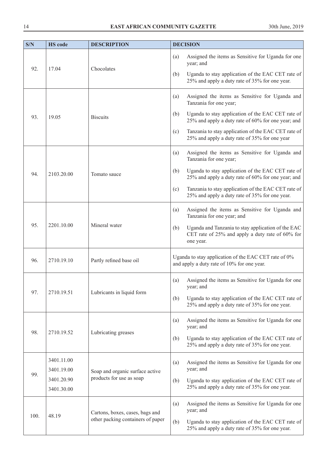| S/N  | <b>HS</b> code           | <b>DESCRIPTION</b>                                                     | <b>DECISION</b>                                                                                                                    |
|------|--------------------------|------------------------------------------------------------------------|------------------------------------------------------------------------------------------------------------------------------------|
| 92.  | 17.04                    | Chocolates                                                             | Assigned the items as Sensitive for Uganda for one<br>(a)<br>year; and<br>Uganda to stay application of the EAC CET rate of<br>(b) |
|      |                          |                                                                        | 25% and apply a duty rate of 35% for one year.                                                                                     |
|      |                          |                                                                        | Assigned the items as Sensitive for Uganda and<br>(a)<br>Tanzania for one year;                                                    |
| 93.  | 19.05                    | <b>Biscuits</b>                                                        | Uganda to stay application of the EAC CET rate of<br>(b)<br>25% and apply a duty rate of 60% for one year; and                     |
|      |                          |                                                                        | Tanzania to stay application of the EAC CET rate of<br>(c)<br>25% and apply a duty rate of 35% for one year                        |
|      |                          |                                                                        | Assigned the items as Sensitive for Uganda and<br>(a)<br>Tanzania for one year;                                                    |
| 94.  | 2103.20.00               | Tomato sauce                                                           | Uganda to stay application of the EAC CET rate of<br>(b)<br>25% and apply a duty rate of 60% for one year; and                     |
|      |                          |                                                                        | Tanzania to stay application of the EAC CET rate of<br>(c)<br>25% and apply a duty rate of 35% for one year.                       |
|      | 2201.10.00               | Mineral water                                                          | Assigned the items as Sensitive for Uganda and<br>(a)<br>Tanzania for one year; and                                                |
| 95.  |                          |                                                                        | Uganda and Tanzania to stay application of the EAC<br>(b)<br>CET rate of 25% and apply a duty rate of 60% for<br>one year.         |
| 96.  | 2710.19.10               | Partly refined base oil                                                | Uganda to stay application of the EAC CET rate of 0%<br>and apply a duty rate of 10% for one year.                                 |
| 97.  | 2710.19.51               | Lubricants in liquid form                                              | Assigned the items as Sensitive for Uganda for one<br>(a)<br>year; and                                                             |
|      |                          |                                                                        | Uganda to stay application of the EAC CET rate of<br>(b)<br>25% and apply a duty rate of 35% for one year.                         |
|      |                          | Lubricating greases                                                    | Assigned the items as Sensitive for Uganda for one<br>(a)<br>year; and                                                             |
| 98.  | 2710.19.52               |                                                                        | Uganda to stay application of the EAC CET rate of<br>(b)<br>25% and apply a duty rate of 35% for one year.                         |
|      | 3401.11.00               | Assigned the items as Sensitive for Uganda for one<br>(a)<br>year; and |                                                                                                                                    |
| 99.  | 3401.19.00<br>3401.20.90 | Soap and organic surface active<br>products for use as soap            | Uganda to stay application of the EAC CET rate of<br>(b)                                                                           |
|      | 3401.30.00               |                                                                        | 25% and apply a duty rate of 35% for one year.                                                                                     |
| 100. | 48.19                    | Cartons, boxes, cases, bags and<br>other packing containers of paper   | Assigned the items as Sensitive for Uganda for one<br>(a)<br>year; and                                                             |
|      |                          |                                                                        | Uganda to stay application of the EAC CET rate of<br>(b)<br>25% and apply a duty rate of 35% for one year.                         |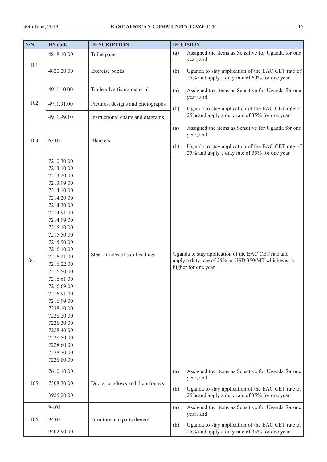| S/N  | <b>HS</b> code                                                                                                                                                                                                                                                                                                                                                                                       | <b>DESCRIPTION</b>                | <b>DECISION</b>                                                                                                                                                                      |
|------|------------------------------------------------------------------------------------------------------------------------------------------------------------------------------------------------------------------------------------------------------------------------------------------------------------------------------------------------------------------------------------------------------|-----------------------------------|--------------------------------------------------------------------------------------------------------------------------------------------------------------------------------------|
|      | 4818.10.00                                                                                                                                                                                                                                                                                                                                                                                           | Toilet paper                      | Assigned the items as Sensitive for Uganda for one<br>(a)<br>year; and                                                                                                               |
| 101. | 4820.20.00                                                                                                                                                                                                                                                                                                                                                                                           | Exercise books                    | Uganda to stay application of the EAC CET rate of<br>(b)<br>25% and apply a duty rate of 60% for one year.                                                                           |
|      | 4911.10.00                                                                                                                                                                                                                                                                                                                                                                                           | Trade advertising material        | Assigned the items as Sensitive for Uganda for one<br>(a)<br>year; and                                                                                                               |
| 102. | 4911.91.00                                                                                                                                                                                                                                                                                                                                                                                           | Pictures, designs and photographs | Uganda to stay application of the EAC CET rate of<br>(b)                                                                                                                             |
|      | 4911.99.10                                                                                                                                                                                                                                                                                                                                                                                           | Instructional charts and diagrams | 25% and apply a duty rate of 35% for one year.                                                                                                                                       |
| 103. | 63.01                                                                                                                                                                                                                                                                                                                                                                                                | <b>Blankets</b>                   | Assigned the items as Sensitive for Uganda for one<br>(a)<br>year; and<br>Uganda to stay application of the EAC CET rate of<br>(b)<br>25% and apply a duty rate of 35% for one year. |
| 104. | 7210.30.00<br>7213.10.00<br>7213.20.00<br>7213.99.00<br>7214.10.00<br>7214.20.00<br>7214.30.00<br>7214.91.00<br>7214.99.00<br>7215.10.00<br>7215.50.00<br>7215.90.00<br>7216.10.00<br>7216.21.00<br>7216.22.00<br>7216.50.00<br>7216.61.00<br>7216.69.00<br>7216.91.00<br>7216.99.00<br>7228.10.00<br>7228.20.00<br>7228.30.00<br>7228.40.00<br>7228.50.00<br>7228.60.00<br>7228.70.00<br>7228.80.00 | Steel articles of sub-headings    | Uganda to stay application of the EAC CET rate and<br>apply a duty rate of 25% or USD 350/MT whichever is<br>higher for one year.                                                    |
| 105. | 7610.10.00<br>7308.30.00                                                                                                                                                                                                                                                                                                                                                                             | Doors, windows and their frames   | Assigned the items as Sensitive for Uganda for one<br>(a)<br>year; and<br>Uganda to stay application of the EAC CET rate of<br>(b)                                                   |
|      | 3925.20.00                                                                                                                                                                                                                                                                                                                                                                                           |                                   | 25% and apply a duty rate of 35% for one year.                                                                                                                                       |
|      | 94.03<br>94.01                                                                                                                                                                                                                                                                                                                                                                                       |                                   | Assigned the items as Sensitive for Uganda for one<br>(a)<br>year; and                                                                                                               |
| 106. | 9402.90.90                                                                                                                                                                                                                                                                                                                                                                                           | Furniture and parts thereof       | Uganda to stay application of the EAC CET rate of<br>(b)<br>25% and apply a duty rate of 35% for one year.                                                                           |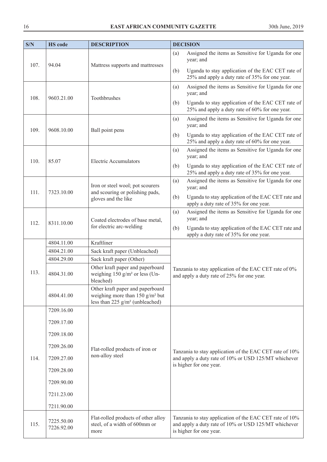| S/N  | <b>HS</b> code           | <b>DESCRIPTION</b>                                                                                                      | <b>DECISION</b>                                                                                                                            |
|------|--------------------------|-------------------------------------------------------------------------------------------------------------------------|--------------------------------------------------------------------------------------------------------------------------------------------|
| 107. | 94.04                    |                                                                                                                         | Assigned the items as Sensitive for Uganda for one<br>(a)<br>year; and                                                                     |
|      |                          | Mattress supports and mattresses                                                                                        | Uganda to stay application of the EAC CET rate of<br>(b)<br>25% and apply a duty rate of 35% for one year.                                 |
| 108. |                          | Toothbrushes                                                                                                            | Assigned the items as Sensitive for Uganda for one<br>(a)<br>year; and                                                                     |
|      | 9603.21.00               |                                                                                                                         | Uganda to stay application of the EAC CET rate of<br>(b)<br>25% and apply a duty rate of 60% for one year.                                 |
| 109. | 9608.10.00               | Ball point pens                                                                                                         | Assigned the items as Sensitive for Uganda for one<br>(a)<br>year; and                                                                     |
|      |                          |                                                                                                                         | Uganda to stay application of the EAC CET rate of<br>(b)<br>25% and apply a duty rate of 60% for one year.                                 |
| 110. | 85.07                    | <b>Electric Accumulators</b>                                                                                            | Assigned the items as Sensitive for Uganda for one<br>(a)<br>year; and                                                                     |
|      |                          |                                                                                                                         | Uganda to stay application of the EAC CET rate of<br>(b)<br>25% and apply a duty rate of 35% for one year.                                 |
| 111. | 7323.10.00               | Iron or steel wool; pot scourers<br>and scouring or polishing pads,<br>gloves and the like                              | Assigned the items as Sensitive for Uganda for one<br>(a)<br>year; and                                                                     |
|      |                          |                                                                                                                         | Uganda to stay application of the EAC CET rate and<br>(b)<br>apply a duty rate of 35% for one year.                                        |
|      | 8311.10.00               | Coated electrodes of base metal,<br>for electric arc-welding                                                            | Assigned the items as Sensitive for Uganda for one<br>(a)<br>year; and                                                                     |
| 112. |                          |                                                                                                                         | Uganda to stay application of the EAC CET rate and<br>(b)<br>apply a duty rate of 35% for one year.                                        |
|      | 4804.11.00               | Kraftliner                                                                                                              |                                                                                                                                            |
|      | 4804.21.00               | Sack kraft paper (Unbleached)                                                                                           |                                                                                                                                            |
|      | 4804.29.00               | Sack kraft paper (Other)                                                                                                |                                                                                                                                            |
| 113. | 4804.31.00               | Other kraft paper and paperboard<br>weighing 150 $g/m^2$ or less (Un-<br>bleached)                                      | Tanzania to stay application of the EAC CET rate of 0%<br>and apply a duty rate of 25% for one year.                                       |
|      | 4804.41.00               | Other kraft paper and paperboard<br>weighing more than $150$ g/m <sup>2</sup> but<br>less than 225 $g/m^2$ (unbleached) |                                                                                                                                            |
|      | 7209.16.00               |                                                                                                                         |                                                                                                                                            |
|      | 7209.17.00               |                                                                                                                         |                                                                                                                                            |
|      | 7209.18.00               |                                                                                                                         |                                                                                                                                            |
|      | 7209.26.00               | Flat-rolled products of iron or<br>non-alloy steel                                                                      | Tanzania to stay application of the EAC CET rate of 10%                                                                                    |
| 114. | 7209.27.00               |                                                                                                                         | and apply a duty rate of 10% or USD 125/MT whichever                                                                                       |
|      | 7209.28.00               |                                                                                                                         | is higher for one year.                                                                                                                    |
|      | 7209.90.00               |                                                                                                                         |                                                                                                                                            |
|      | 7211.23.00               |                                                                                                                         |                                                                                                                                            |
|      | 7211.90.00               |                                                                                                                         |                                                                                                                                            |
| 115. | 7225.50.00<br>7226.92.00 | Flat-rolled products of other alloy<br>steel, of a width of 600mm or<br>more                                            | Tanzania to stay application of the EAC CET rate of 10%<br>and apply a duty rate of 10% or USD 125/MT whichever<br>is higher for one year. |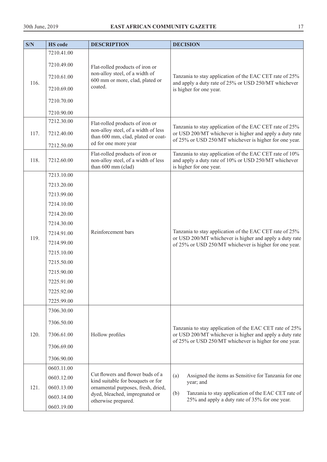| S/N  | <b>HS</b> code | <b>DESCRIPTION</b>                                                                           | <b>DECISION</b>                                                                                                                            |
|------|----------------|----------------------------------------------------------------------------------------------|--------------------------------------------------------------------------------------------------------------------------------------------|
|      | 7210.41.00     |                                                                                              |                                                                                                                                            |
| 116. | 7210.49.00     | Flat-rolled products of iron or                                                              | Tanzania to stay application of the EAC CET rate of 25%<br>and apply a duty rate of 25% or USD 250/MT whichever<br>is higher for one year. |
|      | 7210.61.00     | non-alloy steel, of a width of<br>600 mm or more, clad, plated or                            |                                                                                                                                            |
|      | 7210.69.00     | coated.                                                                                      |                                                                                                                                            |
|      | 7210.70.00     |                                                                                              |                                                                                                                                            |
|      | 7210.90.00     |                                                                                              |                                                                                                                                            |
|      | 7212.30.00     | Flat-rolled products of iron or                                                              | Tanzania to stay application of the EAC CET rate of 25%                                                                                    |
| 117. | 7212.40.00     | non-alloy steel, of a width of less<br>than 600 mm, clad, plated or coat-                    | or USD 200/MT whichever is higher and apply a duty rate<br>of 25% or USD 250/MT whichever is higher for one year.                          |
|      | 7212.50.00     | ed for one more year                                                                         |                                                                                                                                            |
| 118. | 7212.60.00     | Flat-rolled products of iron or<br>non-alloy steel, of a width of less<br>than 600 mm (clad) | Tanzania to stay application of the EAC CET rate of 10%<br>and apply a duty rate of 10% or USD 250/MT whichever<br>is higher for one year. |
|      | 7213.10.00     |                                                                                              |                                                                                                                                            |
|      | 7213.20.00     |                                                                                              |                                                                                                                                            |
|      | 7213.99.00     |                                                                                              |                                                                                                                                            |
|      | 7214.10.00     |                                                                                              |                                                                                                                                            |
|      | 7214.20.00     |                                                                                              |                                                                                                                                            |
|      | 7214.30.00     |                                                                                              |                                                                                                                                            |
|      | 7214.91.00     | Reinforcement bars                                                                           | Tanzania to stay application of the EAC CET rate of 25%                                                                                    |
| 119. | 7214.99.00     |                                                                                              | or USD 200/MT whichever is higher and apply a duty rate<br>of 25% or USD 250/MT whichever is higher for one year.                          |
|      | 7215.10.00     |                                                                                              |                                                                                                                                            |
|      | 7215.50.00     |                                                                                              |                                                                                                                                            |
|      | 7215.90.00     |                                                                                              |                                                                                                                                            |
|      | 7225.91.00     |                                                                                              |                                                                                                                                            |
|      | 7225.92.00     |                                                                                              |                                                                                                                                            |
|      | 7225.99.00     |                                                                                              |                                                                                                                                            |
|      | 7306.30.00     |                                                                                              |                                                                                                                                            |
|      | 7306.50.00     |                                                                                              | Tanzania to stay application of the EAC CET rate of 25%                                                                                    |
| 120. | 7306.61.00     | Hollow profiles                                                                              | or USD 200/MT whichever is higher and apply a duty rate<br>of 25% or USD 250/MT whichever is higher for one year.                          |
|      | 7306.69.00     |                                                                                              |                                                                                                                                            |
|      | 7306.90.00     |                                                                                              |                                                                                                                                            |
|      | 0603.11.00     |                                                                                              |                                                                                                                                            |
|      | 0603.12.00     | Cut flowers and flower buds of a<br>kind suitable for bouquets or for                        | (a)<br>Assigned the items as Sensitive for Tanzania for one                                                                                |
| 121. | 0603.13.00     | ornamental purposes, fresh, dried,                                                           | year; and<br>Tanzania to stay application of the EAC CET rate of<br>(b)<br>25% and apply a duty rate of 35% for one year.                  |
|      | 0603.14.00     | dyed, bleached, impregnated or<br>otherwise prepared.                                        |                                                                                                                                            |
|      | 0603.19.00     |                                                                                              |                                                                                                                                            |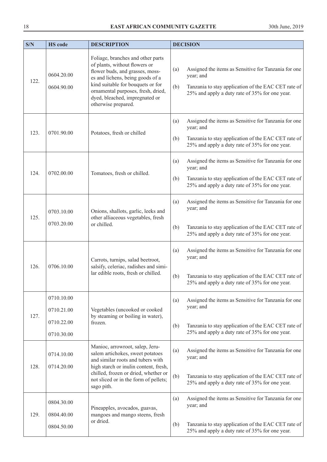| S/N  | <b>HS</b> code                                       | <b>DESCRIPTION</b>                                                                                                                                                                                                                                                            | <b>DECISION</b>                                                                                                                                                                          |
|------|------------------------------------------------------|-------------------------------------------------------------------------------------------------------------------------------------------------------------------------------------------------------------------------------------------------------------------------------|------------------------------------------------------------------------------------------------------------------------------------------------------------------------------------------|
| 122. | 0604.20.00<br>0604.90.00                             | Foliage, branches and other parts<br>of plants, without flowers or<br>flower buds, and grasses, moss-<br>es and lichens, being goods of a<br>kind suitable for bouquets or for<br>ornamental purposes, fresh, dried,<br>dyed, bleached, impregnated or<br>otherwise prepared. | Assigned the items as Sensitive for Tanzania for one<br>(a)<br>year; and<br>(b)<br>Tanzania to stay application of the EAC CET rate of<br>25% and apply a duty rate of 35% for one year. |
| 123. | 0701.90.00                                           | Potatoes, fresh or chilled                                                                                                                                                                                                                                                    | Assigned the items as Sensitive for Tanzania for one<br>(a)<br>year; and<br>Tanzania to stay application of the EAC CET rate of<br>(b)<br>25% and apply a duty rate of 35% for one year. |
| 124. | 0702.00.00                                           | Tomatoes, fresh or chilled.                                                                                                                                                                                                                                                   | Assigned the items as Sensitive for Tanzania for one<br>(a)<br>year; and<br>Tanzania to stay application of the EAC CET rate of<br>(b)<br>25% and apply a duty rate of 35% for one year. |
| 125. | 0703.10.00<br>0703.20.00                             | Onions, shallots, garlic, leeks and<br>other alliaceous vegetables, fresh<br>or chilled.                                                                                                                                                                                      | Assigned the items as Sensitive for Tanzania for one<br>(a)<br>year; and<br>Tanzania to stay application of the EAC CET rate of<br>(b)<br>25% and apply a duty rate of 35% for one year. |
| 126. | 0706.10.00                                           | Carrots, turnips, salad beetroot,<br>salsify, celeriac, radishes and simi-<br>lar edible roots, fresh or chilled.                                                                                                                                                             | Assigned the items as Sensitive for Tanzania for one<br>(a)<br>year; and<br>Tanzania to stay application of the EAC CET rate of<br>(b)<br>25% and apply a duty rate of 35% for one year. |
| 127. | 0710.10.00<br>0710.21.00<br>0710.22.00<br>0710.30.00 | Vegetables (uncooked or cooked<br>by steaming or boiling in water),<br>frozen.                                                                                                                                                                                                | Assigned the items as Sensitive for Tanzania for one<br>(a)<br>year; and<br>Tanzania to stay application of the EAC CET rate of<br>(b)<br>25% and apply a duty rate of 35% for one year. |
| 128. | 0714.10.00<br>0714.20.00                             | Manioc, arrowroot, salep, Jeru-<br>salem artichokes, sweet potatoes<br>and similar roots and tubers with<br>high starch or inulin content, fresh,<br>chilled, frozen or dried, whether or<br>not sliced or in the form of pellets;<br>sago pith.                              | Assigned the items as Sensitive for Tanzania for one<br>(a)<br>year; and<br>(b)<br>Tanzania to stay application of the EAC CET rate of<br>25% and apply a duty rate of 35% for one year. |
| 129. | 0804.30.00<br>0804.40.00<br>0804.50.00               | Pineapples, avocados, guavas,<br>mangoes and mango steens, fresh<br>or dried.                                                                                                                                                                                                 | Assigned the items as Sensitive for Tanzania for one<br>(a)<br>year; and<br>Tanzania to stay application of the EAC CET rate of<br>(b)<br>25% and apply a duty rate of 35% for one year. |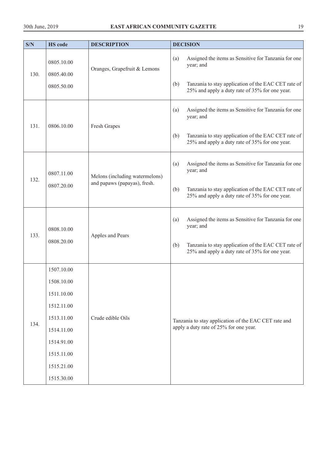| S/N  | <b>HS</b> code                 | <b>DESCRIPTION</b>                                                       | <b>DECISION</b>                                                                                              |
|------|--------------------------------|--------------------------------------------------------------------------|--------------------------------------------------------------------------------------------------------------|
|      | 0805.10.00                     | Oranges, Grapefruit & Lemons                                             | Assigned the items as Sensitive for Tanzania for one<br>(a)<br>year; and                                     |
| 130. | 0805.40.00<br>0805.50.00       |                                                                          | Tanzania to stay application of the EAC CET rate of<br>(b)<br>25% and apply a duty rate of 35% for one year. |
|      |                                |                                                                          | Assigned the items as Sensitive for Tanzania for one<br>(a)<br>year; and                                     |
| 131. | 0806.10.00                     | Fresh Grapes                                                             | Tanzania to stay application of the EAC CET rate of<br>(b)<br>25% and apply a duty rate of 35% for one year. |
|      | 0807.11.00                     | Assigned the items as Sensitive for Tanzania for one<br>(a)<br>year; and |                                                                                                              |
| 132. | 0807.20.00                     | Melons (including watermelons)<br>and papaws (papayas), fresh.           | Tanzania to stay application of the EAC CET rate of<br>(b)<br>25% and apply a duty rate of 35% for one year. |
| 133. | 0808.10.00<br>Apples and Pears | Assigned the items as Sensitive for Tanzania for one<br>(a)<br>year; and |                                                                                                              |
|      | 0808.20.00                     |                                                                          | Tanzania to stay application of the EAC CET rate of<br>(b)<br>25% and apply a duty rate of 35% for one year. |
|      | 1507.10.00                     |                                                                          |                                                                                                              |
|      | 1508.10.00                     |                                                                          |                                                                                                              |
|      | 1511.10.00                     |                                                                          |                                                                                                              |
|      | 1512.11.00                     |                                                                          |                                                                                                              |
| 134. | 1513.11.00                     | Crude edible Oils                                                        | Tanzania to stay application of the EAC CET rate and                                                         |
|      | 1514.11.00                     |                                                                          | apply a duty rate of 25% for one year.                                                                       |
|      | 1514.91.00                     |                                                                          |                                                                                                              |
|      | 1515.11.00                     |                                                                          |                                                                                                              |
|      | 1515.21.00                     |                                                                          |                                                                                                              |
|      | 1515.30.00                     |                                                                          |                                                                                                              |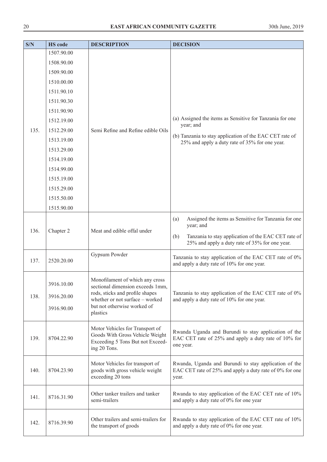| S/N  | <b>HS</b> code                         | <b>DESCRIPTION</b>                                                                                                                                                                   | <b>DECISION</b>                                                                                                                                                                          |
|------|----------------------------------------|--------------------------------------------------------------------------------------------------------------------------------------------------------------------------------------|------------------------------------------------------------------------------------------------------------------------------------------------------------------------------------------|
|      | 1507.90.00                             |                                                                                                                                                                                      |                                                                                                                                                                                          |
|      | 1508.90.00                             |                                                                                                                                                                                      |                                                                                                                                                                                          |
|      | 1509.90.00                             |                                                                                                                                                                                      |                                                                                                                                                                                          |
|      | 1510.00.00                             |                                                                                                                                                                                      |                                                                                                                                                                                          |
|      | 1511.90.10                             |                                                                                                                                                                                      |                                                                                                                                                                                          |
|      | 1511.90.30                             |                                                                                                                                                                                      |                                                                                                                                                                                          |
|      | 1511.90.90                             |                                                                                                                                                                                      |                                                                                                                                                                                          |
|      | 1512.19.00                             |                                                                                                                                                                                      | (a) Assigned the items as Sensitive for Tanzania for one<br>year; and                                                                                                                    |
| 135. | 1512.29.00                             | Semi Refine and Refine edible Oils                                                                                                                                                   |                                                                                                                                                                                          |
|      | 1513.19.00                             |                                                                                                                                                                                      | (b) Tanzania to stay application of the EAC CET rate of<br>25% and apply a duty rate of 35% for one year.                                                                                |
|      | 1513.29.00                             |                                                                                                                                                                                      |                                                                                                                                                                                          |
|      | 1514.19.00                             |                                                                                                                                                                                      |                                                                                                                                                                                          |
|      | 1514.99.00                             |                                                                                                                                                                                      |                                                                                                                                                                                          |
|      | 1515.19.00                             |                                                                                                                                                                                      |                                                                                                                                                                                          |
|      | 1515.29.00                             |                                                                                                                                                                                      |                                                                                                                                                                                          |
|      | 1515.50.00                             |                                                                                                                                                                                      |                                                                                                                                                                                          |
|      | 1515.90.00                             |                                                                                                                                                                                      |                                                                                                                                                                                          |
| 136. | Chapter 2                              | Meat and edible offal under                                                                                                                                                          | Assigned the items as Sensitive for Tanzania for one<br>(a)<br>year; and<br>Tanzania to stay application of the EAC CET rate of<br>(b)<br>25% and apply a duty rate of 35% for one year. |
| 137. | 2520.20.00                             | Gypsum Powder                                                                                                                                                                        | Tanzania to stay application of the EAC CET rate of 0%<br>and apply a duty rate of 10% for one year.                                                                                     |
| 138. | 3916.10.00<br>3916.20.00<br>3916.90.00 | Monofilament of which any cross<br>sectional dimension exceeds 1mm,<br>rods, sticks and profile shapes<br>whether or not surface - worked<br>but not otherwise worked of<br>plastics | Tanzania to stay application of the EAC CET rate of 0%<br>and apply a duty rate of 10% for one year.                                                                                     |
| 139. | 8704.22.90                             | Motor Vehicles for Transport of<br>Goods With Gross Vehicle Weight<br>Exceeding 5 Tons But not Exceed-<br>ing 20 Tons.                                                               | Rwanda Uganda and Burundi to stay application of the<br>EAC CET rate of 25% and apply a duty rate of 10% for<br>one year.                                                                |
| 140. | 8704.23.90                             | Motor Vehicles for transport of<br>goods with gross vehicle weight<br>exceeding 20 tons                                                                                              | Rwanda, Uganda and Burundi to stay application of the<br>EAC CET rate of 25% and apply a duty rate of 0% for one<br>year.                                                                |
| 141. | 8716.31.90                             | Other tanker trailers and tanker<br>semi-trailers                                                                                                                                    | Rwanda to stay application of the EAC CET rate of 10%<br>and apply a duty rate of 0% for one year                                                                                        |
| 142. | 8716.39.90                             | Other trailers and semi-trailers for<br>the transport of goods                                                                                                                       | Rwanda to stay application of the EAC CET rate of 10%<br>and apply a duty rate of 0% for one year.                                                                                       |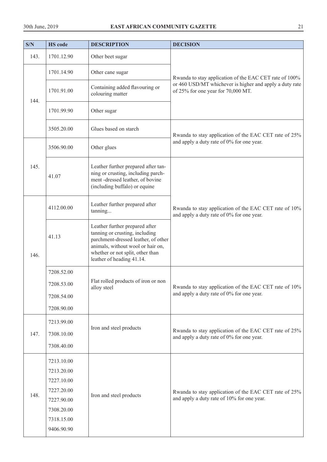| S/N  | <b>HS</b> code           | <b>DESCRIPTION</b>                                                                                                                                                                                            | <b>DECISION</b>                                                                                                                                         |
|------|--------------------------|---------------------------------------------------------------------------------------------------------------------------------------------------------------------------------------------------------------|---------------------------------------------------------------------------------------------------------------------------------------------------------|
| 143. | 1701.12.90               | Other beet sugar                                                                                                                                                                                              |                                                                                                                                                         |
| 144. | 1701.14.90               | Other cane sugar                                                                                                                                                                                              | Rwanda to stay application of the EAC CET rate of 100%<br>or 460 USD/MT whichever is higher and apply a duty rate<br>of 25% for one year for 70,000 MT. |
|      | 1701.91.00               | Containing added flavouring or<br>colouring matter                                                                                                                                                            |                                                                                                                                                         |
|      | 1701.99.90               | Other sugar                                                                                                                                                                                                   |                                                                                                                                                         |
|      | 3505.20.00               | Glues based on starch                                                                                                                                                                                         | Rwanda to stay application of the EAC CET rate of 25%                                                                                                   |
|      | 3506.90.00               | Other glues                                                                                                                                                                                                   | and apply a duty rate of 0% for one year.                                                                                                               |
| 145. | 41.07                    | Leather further prepared after tan-<br>ning or crusting, including parch-<br>ment-dressed leather, of bovine<br>(including buffalo) or equine                                                                 |                                                                                                                                                         |
| 146. | 4112.00.00               | Leather further prepared after<br>tanning                                                                                                                                                                     | Rwanda to stay application of the EAC CET rate of 10%<br>and apply a duty rate of 0% for one year.                                                      |
|      | 41.13                    | Leather further prepared after<br>tanning or crusting, including<br>parchment-dressed leather, of other<br>animals, without wool or hair on,<br>whether or not split, other than<br>leather of heading 41.14. |                                                                                                                                                         |
|      | 7208.52.00               |                                                                                                                                                                                                               |                                                                                                                                                         |
|      | 7208.53.00               | Flat rolled products of iron or non<br>alloy steel                                                                                                                                                            | Rwanda to stay application of the EAC CET rate of 10%<br>and apply a duty rate of 0% for one year.                                                      |
|      | 7208.54.00               |                                                                                                                                                                                                               |                                                                                                                                                         |
|      | 7208.90.00               |                                                                                                                                                                                                               |                                                                                                                                                         |
|      | 7213.99.00               |                                                                                                                                                                                                               |                                                                                                                                                         |
| 147. | 7308.10.00               | Iron and steel products                                                                                                                                                                                       | Rwanda to stay application of the EAC CET rate of 25%                                                                                                   |
|      |                          |                                                                                                                                                                                                               | and apply a duty rate of 0% for one year.                                                                                                               |
|      | 7308.40.00<br>7213.10.00 |                                                                                                                                                                                                               |                                                                                                                                                         |
|      | 7213.20.00               |                                                                                                                                                                                                               |                                                                                                                                                         |
|      | 7227.10.00               |                                                                                                                                                                                                               |                                                                                                                                                         |
| 148. | 7227.20.00               | Iron and steel products                                                                                                                                                                                       | Rwanda to stay application of the EAC CET rate of 25%<br>and apply a duty rate of 10% for one year.                                                     |
|      | 7227.90.00<br>7308.20.00 |                                                                                                                                                                                                               |                                                                                                                                                         |
|      | 7318.15.00               |                                                                                                                                                                                                               |                                                                                                                                                         |
|      | 9406.90.90               |                                                                                                                                                                                                               |                                                                                                                                                         |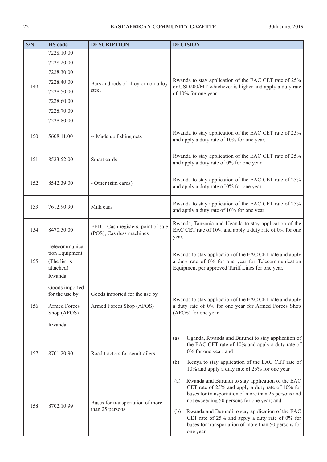| S/N  | <b>HS</b> code                                                          | <b>DESCRIPTION</b>                                                               | <b>DECISION</b>                                                                                                                                                                                                                                                                                                                                                                                          |
|------|-------------------------------------------------------------------------|----------------------------------------------------------------------------------|----------------------------------------------------------------------------------------------------------------------------------------------------------------------------------------------------------------------------------------------------------------------------------------------------------------------------------------------------------------------------------------------------------|
|      | 7228.10.00                                                              |                                                                                  |                                                                                                                                                                                                                                                                                                                                                                                                          |
|      | 7228.20.00                                                              |                                                                                  |                                                                                                                                                                                                                                                                                                                                                                                                          |
|      | 7228.30.00                                                              |                                                                                  |                                                                                                                                                                                                                                                                                                                                                                                                          |
|      | 7228.40.00                                                              | Bars and rods of alloy or non-alloy                                              | Rwanda to stay application of the EAC CET rate of 25%                                                                                                                                                                                                                                                                                                                                                    |
| 149. | 7228.50.00                                                              | steel                                                                            | or USD200/MT whichever is higher and apply a duty rate<br>of 10% for one year.                                                                                                                                                                                                                                                                                                                           |
|      | 7228.60.00                                                              |                                                                                  |                                                                                                                                                                                                                                                                                                                                                                                                          |
|      | 7228.70.00                                                              |                                                                                  |                                                                                                                                                                                                                                                                                                                                                                                                          |
|      | 7228.80.00                                                              |                                                                                  |                                                                                                                                                                                                                                                                                                                                                                                                          |
| 150. | 5608.11.00                                                              | -- Made up fishing nets                                                          | Rwanda to stay application of the EAC CET rate of 25%<br>and apply a duty rate of 10% for one year.                                                                                                                                                                                                                                                                                                      |
| 151. | 8523.52.00                                                              | Smart cards                                                                      | Rwanda to stay application of the EAC CET rate of 25%<br>and apply a duty rate of 0% for one year.                                                                                                                                                                                                                                                                                                       |
| 152. | 8542.39.00                                                              | - Other (sim cards)                                                              | Rwanda to stay application of the EAC CET rate of 25%<br>and apply a duty rate of 0% for one year.                                                                                                                                                                                                                                                                                                       |
| 153. | 7612.90.90                                                              | Milk cans                                                                        | Rwanda to stay application of the EAC CET rate of 25%<br>and apply a duty rate of 10% for one year                                                                                                                                                                                                                                                                                                       |
| 154. | 8470.50.00                                                              | EFD, - Cash registers, point of sale<br>(POS), Cashless machines                 | Rwanda, Tanzania and Uganda to stay application of the<br>EAC CET rate of 10% and apply a duty rate of 0% for one<br>year.                                                                                                                                                                                                                                                                               |
| 155. | Telecommunica-<br>tion Equipment<br>(The list is<br>attached)<br>Rwanda |                                                                                  | Rwanda to stay application of the EAC CET rate and apply<br>a duty rate of 0% for one year for Telecommunication<br>Equipment per approved Tariff Lines for one year.                                                                                                                                                                                                                                    |
| 156. | Goods imported<br>for the use by<br><b>Armed Forces</b>                 | Goods imported for the use by                                                    | Rwanda to stay application of the EAC CET rate and apply                                                                                                                                                                                                                                                                                                                                                 |
|      | Shop (AFOS)                                                             | a duty rate of 0% for one year for Armed Forces Shop<br>Armed Forces Shop (AFOS) | (AFOS) for one year                                                                                                                                                                                                                                                                                                                                                                                      |
|      | Rwanda                                                                  |                                                                                  |                                                                                                                                                                                                                                                                                                                                                                                                          |
| 157. | 8701.20.90                                                              | Road tractors for semitrailers                                                   | Uganda, Rwanda and Burundi to stay application of<br>(a)<br>the EAC CET rate of 10% and apply a duty rate of<br>0% for one year; and<br>Kenya to stay application of the EAC CET rate of<br>(b)<br>10% and apply a duty rate of 25% for one year                                                                                                                                                         |
| 158. | 8702.10.99                                                              | Buses for transportation of more<br>than 25 persons.                             | Rwanda and Burundi to stay application of the EAC<br>(a)<br>CET rate of 25% and apply a duty rate of 10% for<br>buses for transportation of more than 25 persons and<br>not exceeding 50 persons for one year; and<br>Rwanda and Burundi to stay application of the EAC<br>(b)<br>CET rate of $25\%$ and apply a duty rate of 0% for<br>buses for transportation of more than 50 persons for<br>one year |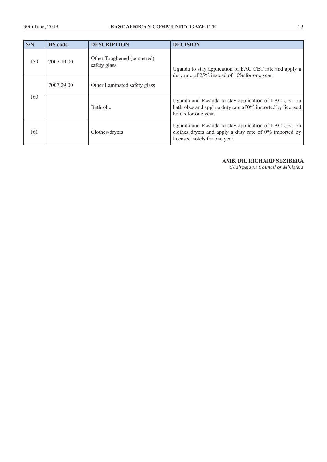| S/N  | <b>HS</b> code | <b>DESCRIPTION</b>                         | <b>DECISION</b>                                                                                                                                |
|------|----------------|--------------------------------------------|------------------------------------------------------------------------------------------------------------------------------------------------|
| 159. | 7007.19.00     | Other Toughened (tempered)<br>safety glass | Uganda to stay application of EAC CET rate and apply a                                                                                         |
| 160. | 7007.29.00     | Other Laminated safety glass               | duty rate of 25% instead of 10% for one year.                                                                                                  |
|      |                | <b>Bathrobe</b>                            | Uganda and Rwanda to stay application of EAC CET on<br>bathrobes and apply a duty rate of 0% imported by licensed<br>hotels for one year.      |
| 161  |                | Clothes-dryers                             | Uganda and Rwanda to stay application of EAC CET on<br>clothes dryers and apply a duty rate of 0% imported by<br>licensed hotels for one year. |

# **AMB. DR. RICHARD SEZIBERA**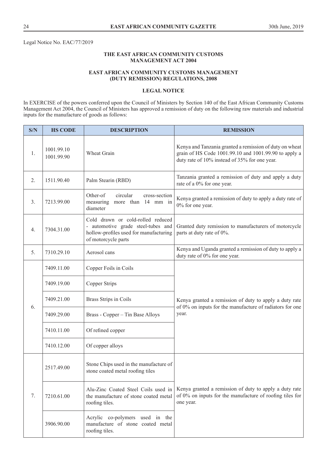Legal Notice No. EAC/77/2019

# **THE EAST AFRICAN COMMUNITY CUSTOMS MANAGEMENT ACT 2004**

#### **EAST AFRICAN COMMUNITY CUSTOMS MANAGEMENT (DUTY REMISSION) REGULATIONS, 2008**

#### **LEGAL NOTICE**

In EXERCISE of the powers conferred upon the Council of Ministers by Section 140 of the East African Community Customs Management Act 2004, the Council of Ministers has approved a remission of duty on the following raw materials and industrial inputs for the manufacture of goods as follows:

| S/N | <b>HS CODE</b>           | <b>DESCRIPTION</b>                                                                                                                       | <b>REMISSION</b>                                                                                                                                                  |  |
|-----|--------------------------|------------------------------------------------------------------------------------------------------------------------------------------|-------------------------------------------------------------------------------------------------------------------------------------------------------------------|--|
| 1.  | 1001.99.10<br>1001.99.90 | Wheat Grain                                                                                                                              | Kenya and Tanzania granted a remission of duty on wheat<br>grain of HS Code 1001.99.10 and 1001.99.90 to apply a<br>duty rate of 10% instead of 35% for one year. |  |
| 2.  | 1511.90.40               | Palm Stearin (RBD)                                                                                                                       | Tanzania granted a remission of duty and apply a duty<br>rate of a 0% for one year.                                                                               |  |
| 3.  | 7213.99.00               | Other-of<br>circular<br>cross-section<br>measuring<br>more than 14 mm in<br>diameter                                                     | Kenya granted a remission of duty to apply a duty rate of<br>0% for one year.                                                                                     |  |
| 4.  | 7304.31.00               | Cold drawn or cold-rolled reduced<br>- automotive grade steel-tubes and<br>hollow-profiles used for manufacturing<br>of motorcycle parts | Granted duty remission to manufacturers of motorcycle<br>parts at duty rate of 0%.                                                                                |  |
| 5.  | 7310.29.10               | Aerosol cans                                                                                                                             | Kenya and Uganda granted a remission of duty to apply a<br>duty rate of 0% for one year.                                                                          |  |
|     | 7409.11.00               | Copper Foils in Coils                                                                                                                    |                                                                                                                                                                   |  |
|     | 7409.19.00               | Copper Strips                                                                                                                            |                                                                                                                                                                   |  |
| 6.  | 7409.21.00               | Brass Strips in Coils                                                                                                                    | Kenya granted a remission of duty to apply a duty rate<br>of 0% on inputs for the manufacture of radiators for one                                                |  |
|     | 7409.29.00               | Brass - Copper - Tin Base Alloys                                                                                                         | year.                                                                                                                                                             |  |
|     | 7410.11.00               | Of refined copper                                                                                                                        |                                                                                                                                                                   |  |
|     | 7410.12.00               | Of copper alloys                                                                                                                         |                                                                                                                                                                   |  |
|     | 2517.49.00               | Stone Chips used in the manufacture of<br>stone coated metal roofing tiles                                                               |                                                                                                                                                                   |  |
| 7.  | 7210.61.00               | Alu-Zinc Coated Steel Coils used in<br>the manufacture of stone coated metal<br>roofing tiles.                                           | Kenya granted a remission of duty to apply a duty rate<br>of 0% on inputs for the manufacture of roofing tiles for<br>one year.                                   |  |
|     | 3906.90.00               | Acrylic co-polymers used in the<br>manufacture of stone coated metal<br>roofing tiles.                                                   |                                                                                                                                                                   |  |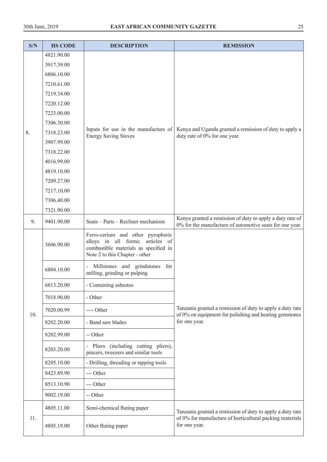| S/N | <b>HS CODE</b> | <b>DESCRIPTION</b>                                                                                                                               | <b>REMISSION</b>                                                                                                    |  |
|-----|----------------|--------------------------------------------------------------------------------------------------------------------------------------------------|---------------------------------------------------------------------------------------------------------------------|--|
|     | 4821.90.00     |                                                                                                                                                  |                                                                                                                     |  |
|     | 3917.39.00     |                                                                                                                                                  |                                                                                                                     |  |
|     | 6806.10.00     |                                                                                                                                                  |                                                                                                                     |  |
|     | 7210.61.00     |                                                                                                                                                  |                                                                                                                     |  |
|     | 7219.34.00     |                                                                                                                                                  |                                                                                                                     |  |
|     | 7220.12.00     |                                                                                                                                                  |                                                                                                                     |  |
|     | 7223.00.00     |                                                                                                                                                  |                                                                                                                     |  |
|     | 7306.30.00     | Inputs for use in the manufacture of                                                                                                             | Kenya and Uganda granted a remission of duty to apply a                                                             |  |
| 8.  | 7318.23.00     | <b>Energy Saving Stoves</b>                                                                                                                      | duty rate of 0% for one year.                                                                                       |  |
|     | 3907.99.00     |                                                                                                                                                  |                                                                                                                     |  |
|     | 7318.22.00     |                                                                                                                                                  |                                                                                                                     |  |
|     | 4016.99.00     |                                                                                                                                                  |                                                                                                                     |  |
|     | 4819.10.00     |                                                                                                                                                  |                                                                                                                     |  |
|     | 7209.27.00     |                                                                                                                                                  |                                                                                                                     |  |
|     | 7217.10.00     |                                                                                                                                                  |                                                                                                                     |  |
|     | 7306.40.00     |                                                                                                                                                  |                                                                                                                     |  |
|     | 7321.90.00     |                                                                                                                                                  | Kenya granted a remission of duty to apply a duty rate of                                                           |  |
| 9.  | 9401.90.00     | Seats - Parts - Recliner mechanism                                                                                                               | 0% for the manufacture of automotive seats for one year.                                                            |  |
|     | 3606.90.00     | Ferro-cerium and other pyrophoric<br>alloys in all forms; articles of<br>combustible materials as specified in<br>Note 2 to this Chapter - other |                                                                                                                     |  |
|     | 6804.10.00     | Millstones and grindstones for<br>milling, grinding or pulping                                                                                   |                                                                                                                     |  |
|     | 6813.20.00     | Containing asbestos                                                                                                                              |                                                                                                                     |  |
|     | 7018.90.00     | - Other                                                                                                                                          |                                                                                                                     |  |
| 10. | 7020.00.99     | ---- Other                                                                                                                                       | Tanzania granted a remission of duty to apply a duty rate<br>of 0% on equipment for polishing and heating gemstones |  |
|     | 8202.20.00     | - Band saw blades                                                                                                                                | for one year.                                                                                                       |  |
|     | 8202.99.00     | -- Other                                                                                                                                         |                                                                                                                     |  |
|     | 8203.20.00     | - Pliers (including cutting pliers),<br>pincers, tweezers and similar tools                                                                      |                                                                                                                     |  |
|     | 8205.10.00     | - Drilling, threading or tapping tools                                                                                                           |                                                                                                                     |  |
|     | 8423.89.90     | --- Other                                                                                                                                        |                                                                                                                     |  |
|     | 8513.10.90     | --- Other                                                                                                                                        |                                                                                                                     |  |
|     | 9002.19.00     | -- Other                                                                                                                                         |                                                                                                                     |  |
|     | 4805.11.00     | Semi-chemical fluting paper                                                                                                                      | Tanzania granted a remission of duty to apply a duty rate                                                           |  |
| 11. | 4805.19.00     | Other fluting paper                                                                                                                              | of 0% for manufacture of horticultural packing materials<br>for one year.                                           |  |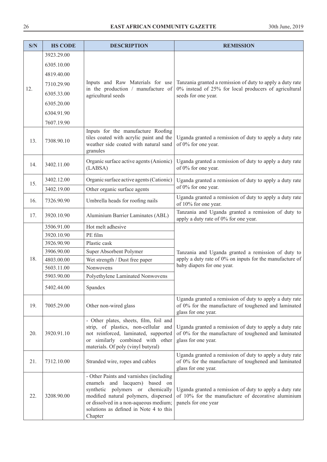| S/N | <b>HS CODE</b> | <b>DESCRIPTION</b>                                                                                                                                                                                                                                        | <b>REMISSION</b>                                                                                                                       |  |
|-----|----------------|-----------------------------------------------------------------------------------------------------------------------------------------------------------------------------------------------------------------------------------------------------------|----------------------------------------------------------------------------------------------------------------------------------------|--|
|     | 3923.29.00     |                                                                                                                                                                                                                                                           |                                                                                                                                        |  |
|     | 6305.10.00     |                                                                                                                                                                                                                                                           |                                                                                                                                        |  |
|     | 4819.40.00     |                                                                                                                                                                                                                                                           |                                                                                                                                        |  |
|     | 7310.29.90     | Inputs and Raw Materials for use                                                                                                                                                                                                                          | Tanzania granted a remission of duty to apply a duty rate                                                                              |  |
| 12. | 6305.33.00     | in the production / manufacture of                                                                                                                                                                                                                        | 0% instead of 25% for local producers of agricultural                                                                                  |  |
|     | 6305.20.00     | agricultural seeds                                                                                                                                                                                                                                        | seeds for one year.                                                                                                                    |  |
|     |                |                                                                                                                                                                                                                                                           |                                                                                                                                        |  |
|     | 6304.91.90     |                                                                                                                                                                                                                                                           |                                                                                                                                        |  |
|     | 7607.19.90     |                                                                                                                                                                                                                                                           |                                                                                                                                        |  |
| 13. | 7308.90.10     | Inputs for the manufacture Roofing<br>tiles coated with acrylic paint and the<br>weather side coated with natural sand<br>granules                                                                                                                        | Uganda granted a remission of duty to apply a duty rate<br>of 0% for one year.                                                         |  |
| 14. | 3402.11.00     | Organic surface active agents (Anionic)<br>(LABSA)                                                                                                                                                                                                        | Uganda granted a remission of duty to apply a duty rate<br>of 0% for one year.                                                         |  |
|     | 3402.12.00     | Organic surface active agents (Cationic)                                                                                                                                                                                                                  | Uganda granted a remission of duty to apply a duty rate                                                                                |  |
| 15. | 3402.19.00     | Other organic surface agents                                                                                                                                                                                                                              | of 0% for one year.                                                                                                                    |  |
| 16. | 7326.90.90     | Umbrella heads for roofing nails                                                                                                                                                                                                                          | Uganda granted a remission of duty to apply a duty rate<br>of 10% for one year.                                                        |  |
| 17. | 3920.10.90     | Aluminium Barrier Laminates (ABL)                                                                                                                                                                                                                         | Tanzania and Uganda granted a remission of duty to<br>apply a duty rate of 0% for one year.                                            |  |
|     | 3506.91.00     | Hot melt adhesive                                                                                                                                                                                                                                         |                                                                                                                                        |  |
|     | 3920.10.90     | PE film                                                                                                                                                                                                                                                   |                                                                                                                                        |  |
|     | 3926.90.90     | Plastic cask                                                                                                                                                                                                                                              |                                                                                                                                        |  |
|     | 3906.90.00     | Super Absorbent Polymer                                                                                                                                                                                                                                   | Tanzania and Uganda granted a remission of duty to                                                                                     |  |
| 18. | 4803.00.00     | Wet strength / Dust free paper                                                                                                                                                                                                                            | apply a duty rate of 0% on inputs for the manufacture of<br>baby diapers for one year.                                                 |  |
|     | 5603.11.00     | Nonwovens                                                                                                                                                                                                                                                 |                                                                                                                                        |  |
|     | 5903.90.00     | Polyethylene Laminated Nonwovens                                                                                                                                                                                                                          |                                                                                                                                        |  |
|     | 5402.44.00     | Spandex                                                                                                                                                                                                                                                   |                                                                                                                                        |  |
| 19. | 7005.29.00     | Other non-wired glass                                                                                                                                                                                                                                     | Uganda granted a remission of duty to apply a duty rate<br>of 0% for the manufacture of toughened and laminated<br>glass for one year. |  |
| 20. | 3920.91.10     | - Other plates, sheets, film, foil and<br>strip, of plastics, non-cellular and<br>not reinforced, laminated, supported<br>similarly combined with other<br><sub>or</sub><br>materials. Of poly (vinyl butyral)                                            | Uganda granted a remission of duty to apply a duty rate<br>of 0% for the manufacture of toughened and laminated<br>glass for one year. |  |
| 21. | 7312.10.00     | Stranded wire, ropes and cables                                                                                                                                                                                                                           | Uganda granted a remission of duty to apply a duty rate<br>of 0% for the manufacture of toughened and laminated<br>glass for one year. |  |
| 22. | 3208.90.00     | - Other Paints and varnishes (including<br>enamels and lacquers)<br>based on<br>synthetic polymers or<br>chemically<br>modified natural polymers, dispersed<br>or dissolved in a non-aqueous medium;<br>solutions as defined in Note 4 to this<br>Chapter | Uganda granted a remission of duty to apply a duty rate<br>of 10% for the manufacture of decorative aluminium<br>panels for one year   |  |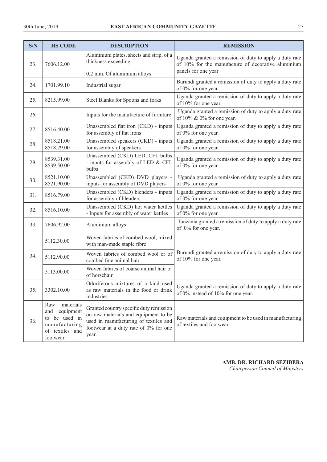| S/N | <b>HS CODE</b>                                                                                        | <b>DESCRIPTION</b>                                                                                                                                                         | <b>REMISSION</b>                                                                                              |
|-----|-------------------------------------------------------------------------------------------------------|----------------------------------------------------------------------------------------------------------------------------------------------------------------------------|---------------------------------------------------------------------------------------------------------------|
| 23. | 7606.12.00                                                                                            | Aluminium plates, sheets and strip, of a<br>thickness exceeding                                                                                                            | Uganda granted a remission of duty to apply a duty rate<br>of 10% for the manufacture of decorative aluminium |
|     |                                                                                                       | 0.2 mm. Of aluminium alloys                                                                                                                                                | panels for one year                                                                                           |
| 24. | 1701.99.10                                                                                            | Industrial sugar                                                                                                                                                           | Burundi granted a remission of duty to apply a duty rate<br>of 0% for one year                                |
| 25. | 8215.99.00                                                                                            | Steel Blanks for Spoons and forks                                                                                                                                          | Uganda granted a remission of duty to apply a duty rate<br>of 10% for one year.                               |
| 26. |                                                                                                       | Inputs for the manufacture of furniture                                                                                                                                    | Uganda granted a remission of duty to apply a duty rate<br>of $10\% \& 0\%$ for one year.                     |
| 27. | 8516.40.00                                                                                            | Unassembled flat iron (CKD) - inputs<br>for assembly of flat irons                                                                                                         | Uganda granted a remission of duty to apply a duty rate<br>of 0% for one year.                                |
| 28. | 8518.21.00<br>8518.29.00                                                                              | Unassembled speakers (CKD) - inputs<br>for assembly of speakers                                                                                                            | Uganda granted a remission of duty to apply a duty rate<br>of 0% for one year.                                |
| 29. | 8539.31.00<br>8539.50.00                                                                              | Unassembled (CKD) LED, CFL bulbs<br>- inputs for assembly of LED & CFL<br>bulbs                                                                                            | Uganda granted a remission of duty to apply a duty rate<br>of 0% for one year.                                |
| 30. | 8521.10.00<br>8521.90.00                                                                              | Unassembled (CKD) DVD players -<br>inputs for assembly of DVD players                                                                                                      | Uganda granted a remission of duty to apply a duty rate<br>of 0% for one year.                                |
| 31. | 8516.79.00                                                                                            | Unassembled (CKD) blenders - inputs<br>for assembly of blenders                                                                                                            | Uganda granted a remission of duty to apply a duty rate<br>of 0% for one year.                                |
| 32. | 8516.10.00                                                                                            | Unassembled (CKD) hot water kettles<br>- Inputs for assembly of water kettles                                                                                              | Uganda granted a remission of duty to apply a duty rate<br>of 0% for one year.                                |
| 33. | 7606.92.00                                                                                            | Aluminium alloys                                                                                                                                                           | Tanzania granted a remission of duty to apply a duty rate<br>of 0% for one year.                              |
|     | 5112.30.00                                                                                            | Woven fabrics of combed wool, mixed<br>with man-made staple fibre                                                                                                          |                                                                                                               |
| 34. | 5112.90.00                                                                                            | Woven fabrics of combed wool or of<br>combed fine animal hair                                                                                                              | Burundi granted a remission of duty to apply a duty rate<br>of 10% for one year.                              |
|     | 5113.00.00                                                                                            | Woven fabrics of coarse animal hair or<br>of horsehair                                                                                                                     |                                                                                                               |
| 35. | 3302.10.00                                                                                            | Odoriferous mixtures of a kind used<br>as raw materials in the food or drink<br>industries                                                                                 | Uganda granted a remission of duty to apply a duty rate<br>of 0% instead of 10% for one year.                 |
| 36. | materials<br>Raw<br>equipment<br>and<br>to be used in<br>manufacturing<br>of textiles and<br>footwear | Granted country specific duty remission<br>on raw materials and equipment to be<br>used in manufacturing of textiles and<br>footwear at a duty rate of 0% for one<br>year. | Raw materials and equipment to be used in manufacturing<br>of textiles and footwear.                          |

**AMB. DR. RICHARD SEZIBERA**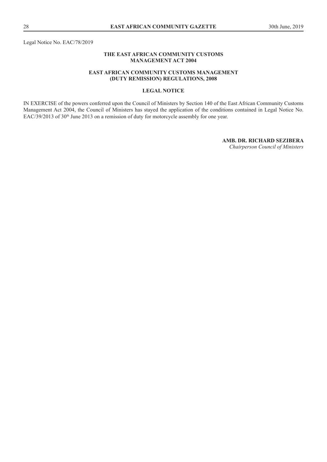Legal Notice No. EAC/78/2019

#### **THE EAST AFRICAN COMMUNITY CUSTOMS MANAGEMENT ACT 2004**

#### **EAST AFRICAN COMMUNITY CUSTOMS MANAGEMENT (DUTY REMISSION) REGULATIONS, 2008**

# **LEGAL NOTICE**

IN EXERCISE of the powers conferred upon the Council of Ministers by Section 140 of the East African Community Customs Management Act 2004, the Council of Ministers has stayed the application of the conditions contained in Legal Notice No. EAC/39/2013 of 30<sup>th</sup> June 2013 on a remission of duty for motorcycle assembly for one year.

**AMB. DR. RICHARD SEZIBERA**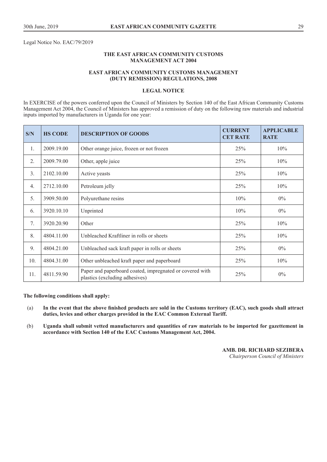Legal Notice No. EAC/79/2019

#### **THE EAST AFRICAN COMMUNITY CUSTOMS MANAGEMENT ACT 2004**

#### **EAST AFRICAN COMMUNITY CUSTOMS MANAGEMENT (DUTY REMISSION) REGULATIONS, 2008**

#### **LEGAL NOTICE**

In EXERCISE of the powers conferred upon the Council of Ministers by Section 140 of the East African Community Customs Management Act 2004, the Council of Ministers has approved a remission of duty on the following raw materials and industrial inputs imported by manufacturers in Uganda for one year:

| S/N              | <b>HS CODE</b> | <b>DESCRIPTION OF GOODS</b>                                                                | <b>CURRENT</b><br><b>CET RATE</b> | <b>APPLICABLE</b><br><b>RATE</b> |
|------------------|----------------|--------------------------------------------------------------------------------------------|-----------------------------------|----------------------------------|
| 1.               | 2009.19.00     | Other orange juice, frozen or not frozen                                                   | 25%                               | $10\%$                           |
| 2.               | 2009.79.00     | Other, apple juice                                                                         | 25%                               | $10\%$                           |
| 3 <sub>1</sub>   | 2102.10.00     | Active yeasts                                                                              | 25%                               | $10\%$                           |
| $\overline{4}$ . | 2712.10.00     | Petroleum jelly                                                                            | 25%                               | 10%                              |
| 5.               | 3909.50.00     | Polyurethane resins                                                                        | 10%                               | $0\%$                            |
| 6.               | 3920.10.10     | Unprinted                                                                                  | 10%                               | $0\%$                            |
| 7.               | 3920.20.90     | Other                                                                                      | 25%                               | 10%                              |
| 8.               | 4804.11.00     | Unbleached Kraftliner in rolls or sheets                                                   | 25%                               | 10%                              |
| 9.               | 4804.21.00     | Unbleached sack kraft paper in rolls or sheets                                             | 25%                               | $0\%$                            |
| 10.              | 4804.31.00     | Other unbleached kraft paper and paperboard                                                | 25%                               | 10%                              |
| 11.              | 4811.59.90     | Paper and paperboard coated, impregnated or covered with<br>plastics (excluding adhesives) | 25%                               | $0\%$                            |

#### **The following conditions shall apply:**

- (a) **In the event that the above finished products are sold in the Customs territory (EAC), such goods shall attract duties, levies and other charges provided in the EAC Common External Tariff.**
- (b) **Uganda shall submit vetted manufacturers and quantities of raw materials to be imported for gazettement in accordance with Section 140 of the EAC Customs Management Act, 2004.**

**AMB. DR. RICHARD SEZIBERA**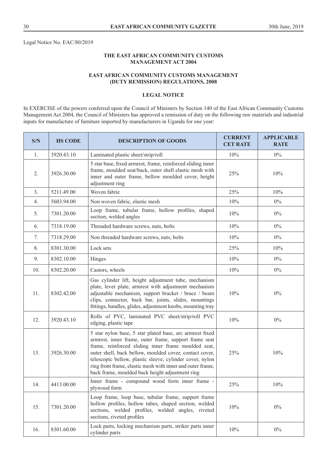Legal Notice No. EAC/80/2019

# **THE EAST AFRICAN COMMUNITY CUSTOMS MANAGEMENT ACT 2004**

# **EAST AFRICAN COMMUNITY CUSTOMS MANAGEMENT (DUTY REMISSION) REGULATIONS, 2008**

#### **LEGAL NOTICE**

In EXERCISE of the powers conferred upon the Council of Ministers by Section 140 of the East African Community Customs Management Act 2004, the Council of Ministers has approved a remission of duty on the following raw materials and industrial inputs for manufacture of furniture imported by manufacturers in Uganda for one year:

| S/N | <b>HS CODE</b> | <b>DESCRIPTION OF GOODS</b>                                                                                                                                                                                                                                                                                                                                                                                      | <b>CURRENT</b><br><b>CET RATE</b> | <b>APPLICABLE</b><br><b>RATE</b> |
|-----|----------------|------------------------------------------------------------------------------------------------------------------------------------------------------------------------------------------------------------------------------------------------------------------------------------------------------------------------------------------------------------------------------------------------------------------|-----------------------------------|----------------------------------|
| 1.  | 3920.43.10     | Laminated plastic sheet/strip/roll                                                                                                                                                                                                                                                                                                                                                                               | 10%                               | $0\%$                            |
| 2.  | 3926.30.00     | 5 star base, fixed armrest, frame, reinforced sliding inner<br>frame, moulded seat/back, outer shell elastic mesh with<br>inner and outer frame, bellow moulded cover, height<br>adjustment ring                                                                                                                                                                                                                 | 25%                               | 10%                              |
| 3.  | 5211.49.00     | Woven fabric                                                                                                                                                                                                                                                                                                                                                                                                     | 25%                               | 10%                              |
| 4.  | 5603.94.00     | Non woven fabric, elastic mesh                                                                                                                                                                                                                                                                                                                                                                                   | 10%                               | $0\%$                            |
| 5.  | 7301.20.00     | Loop frame, tubular frame, hollow profiles, shaped<br>section, welded angles                                                                                                                                                                                                                                                                                                                                     | 10%                               | $0\%$                            |
| 6.  | 7318.19.00     | Threaded hardware screws, nuts, bolts                                                                                                                                                                                                                                                                                                                                                                            | 10%                               | $0\%$                            |
| 7.  | 7318.29.00     | Non threaded hardware screws, nuts, bolts                                                                                                                                                                                                                                                                                                                                                                        | $10\%$                            | $0\%$                            |
| 8.  | 8301.30.00     | Lock sets                                                                                                                                                                                                                                                                                                                                                                                                        | 25%                               | 10%                              |
| 9.  | 8302.10.00     | Hinges                                                                                                                                                                                                                                                                                                                                                                                                           | 10%                               | $0\%$                            |
| 10. | 8302.20.00     | Castors, wheels                                                                                                                                                                                                                                                                                                                                                                                                  | 10%                               | $0\%$                            |
| 11. | 8302.42.00     | Gas cylinder lift, height adjustment tube, mechanism<br>plate, lever plate, armrest with adjustment mechanism<br>adjustable mechanism, support bracket / brace / beam<br>clips, connector, back bar, joints, slides, mountings<br>fittings, handles, glides, adjustment knobs, mounting tray                                                                                                                     | 10%                               | $0\%$                            |
| 12. | 3920.43.10     | Rolls of PVC, laminated PVC sheet/strip/roll PVC<br>edging, plastic tape                                                                                                                                                                                                                                                                                                                                         | 10%                               | $0\%$                            |
| 13. | 3926.30.00     | 5 star nylon base, 5 star plated base, arc armrest fixed<br>armrest, inner frame, outer frame, support frame seat<br>frame, reinforced sliding inner frame moulded seat,<br>outer shell, back bellow, moulded cover, contact cover,<br>telescopic bellow, plastic sleeve, cylinder cover, nylon<br>ring front frame, elastic mesh with inner and outer frame,<br>back frame, moulded back height adjustment ring | 25%                               | 10%                              |
| 14. | 4413.00.00     | Inner frame - compound wood form inner frame -<br>plywood form                                                                                                                                                                                                                                                                                                                                                   | 25%                               | 10%                              |
| 15. | 7301.20.00     | Loop frame, loop base, tubular frame, support frame<br>hollow profiles, hollow tubes, shaped section, welded<br>sections, welded profiles, welded angles, riveted<br>sections, riveted profiles                                                                                                                                                                                                                  | 10%                               | $0\%$                            |
| 16. | 8301.60.00     | Lock parts, locking mechanism parts, striker parts inner<br>cylinder parts                                                                                                                                                                                                                                                                                                                                       | $10\%$                            | $0\%$                            |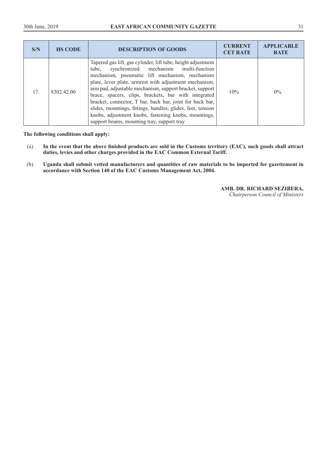| S/N | <b>HS CODE</b> | <b>DESCRIPTION OF GOODS</b>                                                                                                                                                                                                                                                                                                                                                                                                                                                                                                                                                 | <b>CURRENT</b><br><b>CET RATE</b> | <b>APPLICABLE</b><br><b>RATE</b> |
|-----|----------------|-----------------------------------------------------------------------------------------------------------------------------------------------------------------------------------------------------------------------------------------------------------------------------------------------------------------------------------------------------------------------------------------------------------------------------------------------------------------------------------------------------------------------------------------------------------------------------|-----------------------------------|----------------------------------|
| 17. | 8302.42.00     | Tapered gas lift, gas cylinder, lift tube, height adjustment<br>tube, synchronized mechanism multi-function<br>mechanism, pneumatic lift mechanism, mechanism<br>plate, lever plate, armrest with adjustment mechanism,<br>arm pad, adjustable mechanism, support bracket, support<br>brace, spacers, clips, brackets, bar with integrated<br>bracket, connector, T bar, back bar, joint for back bar,<br>slides, mountings, fittings, handles, glides, feet, tension<br>knobs, adjustment knobs, fastening knobs, mountings,<br>support beams, mounting tray, support tray | 10%                               | $0\%$                            |

**The following conditions shall apply:** 

- (a) **In the event that the above finished products are sold in the Customs territory (EAC), such goods shall attract duties, levies and other charges provided in the EAC Common External Tariff.**
- (b) **Uganda shall submit vetted manufacturers and quantities of raw materials to be imported for gazettement in accordance with Section 140 of the EAC Customs Management Act, 2004.**

**AMB. DR. RICHARD SEZIBERA,**  *Chairperson Council of Ministers*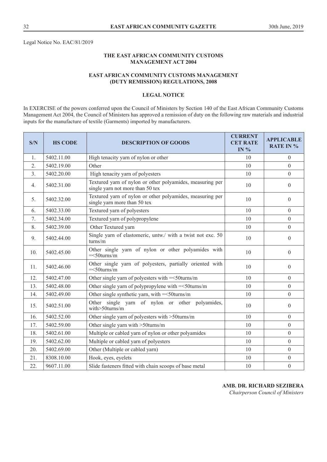Legal Notice No. EAC/81/2019

# **THE EAST AFRICAN COMMUNITY CUSTOMS MANAGEMENT ACT 2004**

# **EAST AFRICAN COMMUNITY CUSTOMS MANAGEMENT (DUTY REMISSION) REGULATIONS, 2008**

#### **LEGAL NOTICE**

In EXERCISE of the powers conferred upon the Council of Ministers by Section 140 of the East African Community Customs Management Act 2004, the Council of Ministers has approved a remission of duty on the following raw materials and industrial inputs for the manufacture of textile (Garments) imported by manufacturers.

| S/N | <b>HS CODE</b> | <b>DESCRIPTION OF GOODS</b>                                                                   | <b>CURRENT</b><br><b>CET RATE</b><br>IN $%$ | <b>APPLICABLE</b><br><b>RATE IN %</b> |
|-----|----------------|-----------------------------------------------------------------------------------------------|---------------------------------------------|---------------------------------------|
| 1.  | 5402.11.00     | High tenacity yarn of nylon or other                                                          | 10                                          | $\theta$                              |
| 2.  | 5402.19.00     | Other                                                                                         | 10                                          | $\theta$                              |
| 3.  | 5402.20.00     | High tenacity yarn of polyesters                                                              | 10                                          | $\theta$                              |
| 4.  | 5402.31.00     | Textured yarn of nylon or other polyamides, measuring per<br>single yarn not more than 50 tex | 10                                          | $\theta$                              |
| 5.  | 5402.32.00     | Textured yarn of nylon or other polyamides, measuring per<br>single yarn more than 50 tex     | 10                                          | $\theta$                              |
| 6.  | 5402.33.00     | Textured yarn of polyesters                                                                   | 10                                          | $\Omega$                              |
| 7.  | 5402.34.00     | Textured yarn of polypropylene                                                                | 10                                          | $\boldsymbol{0}$                      |
| 8.  | 5402.39.00     | Other Textured yarn                                                                           | 10                                          | $\theta$                              |
| 9.  | 5402.44.00     | Single yarn of elastomeric, untw./ with a twist not exc. 50<br>turns/m                        | 10                                          | $\theta$                              |
| 10. | 5402.45.00     | Other single yarn of nylon or other polyamides with<br>$=<50$ turns/m                         | 10                                          | $\boldsymbol{0}$                      |
| 11. | 5402.46.00     | Other single yarn of polyesters, partially oriented with<br>$=<50$ turns/m                    | 10                                          | $\theta$                              |
| 12. | 5402.47.00     | Other single yarn of polyesters with = < 50 turns/m                                           | 10                                          | $\mathbf{0}$                          |
| 13. | 5402.48.00     | Other single yarn of polypropylene with $=<50$ turns/m                                        | 10                                          | $\theta$                              |
| 14. | 5402.49.00     | Other single synthetic yarn, with $=<50$ turns/m                                              | 10                                          | $\theta$                              |
| 15. | 5402.51.00     | Other single yarn of nylon or other polyamides,<br>with $> 50$ turns/m                        | 10                                          | $\Omega$                              |
| 16. | 5402.52.00     | Other single yarn of polyesters with >50turns/m                                               | 10                                          | $\theta$                              |
| 17. | 5402.59.00     | Other single yarn with >50turns/m                                                             | 10                                          | $\theta$                              |
| 18. | 5402.61.00     | Multiple or cabled yarn of nylon or other polyamides                                          | 10                                          | $\boldsymbol{0}$                      |
| 19. | 5402.62.00     | Multiple or cabled yarn of polyesters                                                         | 10                                          | $\boldsymbol{0}$                      |
| 20. | 5402.69.00     | Other (Multiple or cabled yarn)                                                               | 10                                          | $\mathbf{0}$                          |
| 21. | 8308.10.00     | Hook, eyes, eyelets                                                                           | 10                                          | $\theta$                              |
| 22. | 9607.11.00     | Slide fasteners fitted with chain scoops of base metal                                        | 10                                          | $\boldsymbol{0}$                      |

# **AMB. DR. RICHARD SEZIBERA**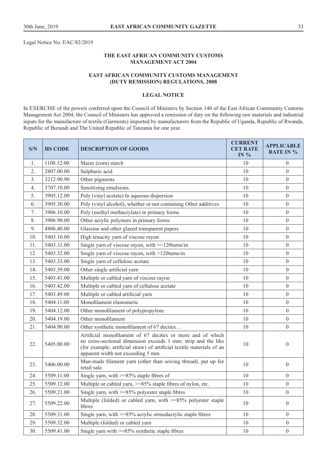Legal Notice No. EAC/82/2019

# **THE EAST AFRICAN COMMUNITY CUSTOMS MANAGEMENT ACT 2004**

#### **EAST AFRICAN COMMUNITY CUSTOMS MANAGEMENT (DUTY REMISSION) REGULATIONS, 2008**

#### **LEGAL NOTICE**

In EXERCISE of the powers conferred upon the Council of Ministers by Section 140 of the East African Community Customs Management Act 2004, the Council of Ministers has approved a remission of duty on the following raw materials and industrial inputs for the manufacture of textile (Garments) imported by manufacturers from the Republic of Uganda, Republic of Rwanda, Republic of Burundi and The United Republic of Tanzania for one year.

| S/N | <b>HS CODE</b> | <b>DESCRIPTION OF GOODS</b>                                                                                                                                                                                                                | <b>CURRENT</b><br><b>CET RATE</b><br>IN $%$ | <b>APPLICABLE</b><br><b>RATE IN %</b> |
|-----|----------------|--------------------------------------------------------------------------------------------------------------------------------------------------------------------------------------------------------------------------------------------|---------------------------------------------|---------------------------------------|
| 1.  | 1108.12.00     | Maize (corn) starch                                                                                                                                                                                                                        | 10                                          | $\overline{0}$                        |
| 2.  | 2807.00.00     | Sulphuric acid                                                                                                                                                                                                                             | 10                                          | $\mathbf{0}$                          |
| 3.  | 3212.90.90     | Other pigments                                                                                                                                                                                                                             | 10                                          | $\mathbf{0}$                          |
| 4.  | 3707.10.00     | Sensitizing emulsions.                                                                                                                                                                                                                     | 10                                          | $\mathbf{0}$                          |
| 5.  | 3905.12.00     | Poly (vinyl acetate) In aqueous dispersion                                                                                                                                                                                                 | 10                                          | $\overline{0}$                        |
| 6.  | 3905.30.00     | Poly (vinyl alcohol), whether or not containing Other additives                                                                                                                                                                            | 10                                          | $\mathbf{0}$                          |
| 7.  | 3906.10.00     | Poly (methyl methacrylate) in primary forms                                                                                                                                                                                                | 10                                          | $\mathbf{0}$                          |
| 8.  | 3906.90.00     | Other acrylic polymers in primary forms                                                                                                                                                                                                    | 10                                          | $\mathbf{0}$                          |
| 9.  | 4806.40.00     | Glassine and other glazed transparent papers                                                                                                                                                                                               | 10                                          | $\mathbf{0}$                          |
| 10. | 5403.10.00     | High tenacity yarn of viscose rayon                                                                                                                                                                                                        | 10                                          | $\boldsymbol{0}$                      |
| 11. | 5403.31.00     | Single yarn of viscose rayon, with = < 120turns/m                                                                                                                                                                                          | 10                                          | $\boldsymbol{0}$                      |
| 12. | 5403.32.00     | Single yarn of viscose rayon, with >120turns/m                                                                                                                                                                                             | 10                                          | $\boldsymbol{0}$                      |
| 13. | 5403.33.00     | Single yarn of cellulose acetate                                                                                                                                                                                                           | 10                                          | $\mathbf{0}$                          |
| 14. | 5403.39.00     | Other single artificial yarn                                                                                                                                                                                                               | 10                                          | $\boldsymbol{0}$                      |
| 15. | 5403.41.00     | Multiple or cabled yarn of viscose rayon                                                                                                                                                                                                   | 10                                          | $\boldsymbol{0}$                      |
| 16. | 5403.42.00     | Multiple or cabled yarn of cellulose acetate                                                                                                                                                                                               | 10                                          | $\boldsymbol{0}$                      |
| 17. | 5403.49.00     | Multiple or cabled artificial yarn                                                                                                                                                                                                         | 10                                          | $\mathbf{0}$                          |
| 18. | 5404.11.00     | Monofilament elastomeric                                                                                                                                                                                                                   | 10                                          | $\mathbf{0}$                          |
| 19. | 5404.12.00     | Other monofilament of polypropylene                                                                                                                                                                                                        | 10                                          | $\mathbf{0}$                          |
| 20. | 5404.19.00     | Other monofilament                                                                                                                                                                                                                         | 10                                          | $\mathbf{0}$                          |
| 21. | 5404.90.00     | Other synthetic monofilament of 67 decitex                                                                                                                                                                                                 | 10                                          | $\theta$                              |
| 22. | 5405.00.00     | Artificial monofilament of 67 decitex or more and of which<br>no cross-sectional dimension exceeds 1 mm; strip and the like<br>(for example, artificial straw) of artificial textile materials of an<br>apparent width not exceeding 5 mm. | 10                                          | $\theta$                              |
| 23. | 5406.00.00     | Man-made filament yarn (other than sewing thread), put up for<br>retail sale.                                                                                                                                                              | 10                                          | $\mathbf{0}$                          |
| 24. | 5509.11.00     | Single yarn, with >=85% staple fibres of                                                                                                                                                                                                   | 10                                          | $\boldsymbol{0}$                      |
| 25. | 5509.12.00     | Multiple or cabled yarn, >=85% staple fibres of nylon, etc.                                                                                                                                                                                | 10                                          | $\boldsymbol{0}$                      |
| 26. | 5509.21.00     | Single yarn, with $>= 85\%$ polyester staple fibres                                                                                                                                                                                        | 10                                          | $\boldsymbol{0}$                      |
| 27. | 5509.22.00     | Multiple (folded) or cabled yarn, with $>=85\%$ polyester staple<br>fibres                                                                                                                                                                 | 10                                          | $\boldsymbol{0}$                      |
| 28. | 5509.31.00     | Single yarn, with $>= 85\%$ acrylic ormodacrylic staple fibres                                                                                                                                                                             | 10                                          | $\boldsymbol{0}$                      |
| 29. | 5509.32.00     | Multiple (folded) or cabled yarn                                                                                                                                                                                                           | 10                                          | $\mathbf{0}$                          |
| 30. | 5509.41.00     | Single yarn with $>= 85\%$ synthetic staple fibres                                                                                                                                                                                         | 10                                          | $\boldsymbol{0}$                      |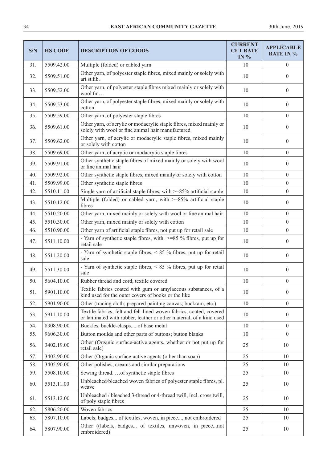| S/N | <b>HS CODE</b> | <b>DESCRIPTION OF GOODS</b>                                                                                                                | <b>CURRENT</b><br><b>CET RATE</b><br>IN $%$ | <b>APPLICABLE</b><br><b>RATE IN %</b> |
|-----|----------------|--------------------------------------------------------------------------------------------------------------------------------------------|---------------------------------------------|---------------------------------------|
| 31. | 5509.42.00     | Multiple (folded) or cabled yarn                                                                                                           | 10                                          | $\overline{0}$                        |
| 32. | 5509.51.00     | Other yarn, of polyester staple fibres, mixed mainly or solely with<br>art.st.fib.                                                         | 10                                          | $\overline{0}$                        |
| 33. | 5509.52.00     | Other yarn, of polyester staple fibres mixed mainly or solely with<br>wool fin                                                             | 10                                          | $\boldsymbol{0}$                      |
| 34. | 5509.53.00     | Other yarn, of polyester staple fibres, mixed mainly or solely with<br>cotton                                                              | 10                                          | $\boldsymbol{0}$                      |
| 35. | 5509.59.00     | Other yarn, of polyester staple fibres                                                                                                     | 10                                          | $\overline{0}$                        |
| 36. | 5509.61.00     | Other yarn, of acrylic or modacrylic staple fibres, mixed mainly or<br>solely with wool or fine animal hair manufactured                   | 10                                          | $\overline{0}$                        |
| 37. | 5509.62.00     | Other yarn, of acrylic or modacrylic staple fibres, mixed mainly<br>or solely with cotton                                                  | 10                                          | $\overline{0}$                        |
| 38. | 5509.69.00     | Other yarn, of acrylic or modacrylic staple fibres                                                                                         | 10                                          | $\boldsymbol{0}$                      |
| 39. | 5509.91.00     | Other synthetic staple fibres of mixed mainly or solely with wool<br>or fine animal hair                                                   | 10                                          | $\boldsymbol{0}$                      |
| 40. | 5509.92.00     | Other synthetic staple fibres, mixed mainly or solely with cotton                                                                          | 10                                          | $\overline{0}$                        |
| 41. | 5509.99.00     | Other synthetic staple fibres                                                                                                              | 10                                          | $\overline{0}$                        |
| 42. | 5510.11.00     | Single yarn of artificial staple fibres, with $\geq$ =85% artificial staple                                                                | 10                                          | $\boldsymbol{0}$                      |
| 43. | 5510.12.00     | Multiple (folded) or cabled yarn, with >=85% artificial staple<br>fibres                                                                   | 10                                          | $\overline{0}$                        |
| 44. | 5510.20.00     | Other yarn, mixed mainly or solely with wool or fine animal hair                                                                           | 10                                          | $\overline{0}$                        |
| 45. | 5510.30.00     | Other yarn, mixed mainly or solely with cotton                                                                                             | 10                                          | $\overline{0}$                        |
| 46. | 5510.90.00     | Other yarn of artificial staple fibres, not put up for retail sale                                                                         | 10                                          | $\mathbf{0}$                          |
| 47. | 5511.10.00     | - Yarn of synthetic staple fibres, with $\geq$ =85 % fibres, put up for<br>retail sale                                                     | 10                                          | $\overline{0}$                        |
| 48. | 5511.20.00     | - Yarn of synthetic staple fibres, < 85 % fibres, put up for retail<br>sale                                                                | 10                                          | $\boldsymbol{0}$                      |
| 49. | 5511.30.00     | - Yarn of synthetic staple fibres, $\lt 85$ % fibres, put up for retail<br>sale                                                            | 10                                          | $\overline{0}$                        |
| 50. | 5604.10.00     | Rubber thread and cord, textile covered                                                                                                    | 10                                          | $\boldsymbol{0}$                      |
| 51. | 5901.10.00     | Textile fabrics coated with gum or amylaceous substances, of a<br>kind used for the outer covers of books or the like                      | 10                                          | $\boldsymbol{0}$                      |
| 52. | 5901.90.00     | Other (tracing cloth; prepared painting canvas; buckram, etc.)                                                                             | 10                                          | $\overline{0}$                        |
| 53. | 5911.10.00     | Textile fabrics, felt and felt-lined woven fabrics, coated, covered<br>or laminated with rubber, leather or other material, of a kind used | 10                                          | $\overline{0}$                        |
| 54. | 8308.90.00     | Buckles, buckle-clasps of base metal                                                                                                       | 10                                          | $\overline{0}$                        |
| 55. | 9606.30.00     | Button moulds and other parts of buttons; button blanks                                                                                    | 10                                          | $\overline{0}$                        |
| 56. | 3402.19.00     | Other (Organic surface-active agents, whether or not put up for<br>retail sale)                                                            | 25                                          | 10                                    |
| 57. | 3402.90.00     | Other (Organic surface-active agents (other than soap)                                                                                     | 25                                          | 10                                    |
| 58. | 3405.90.00     | Other polishes, creams and similar preparations                                                                                            | 25                                          | 10                                    |
| 59. | 5508.10.00     | Sewing thread.  of synthetic staple fibres                                                                                                 | 25                                          | 10                                    |
| 60. | 5513.11.00     | Unbleached/bleached woven fabrics of polyester staple fibres, pl.<br>weave                                                                 | 25                                          | 10                                    |
| 61. | 5513.12.00     | Unbleached / bleached 3-thread or 4-thread twill, incl. cross twill,<br>of poly staple fibres                                              | 25                                          | 10                                    |
| 62. | 5806.20.00     | Woven fabrics                                                                                                                              | 25                                          | 10                                    |
| 63. | 5807.10.00     | Labels, badges of textiles, woven, in piece, not embroidered                                                                               | 25                                          | 10                                    |
| 64. | 5807.90.00     | Other ((labels, badges of textiles, unwoven, in piecenot<br>embroidered)                                                                   | 25                                          | 10                                    |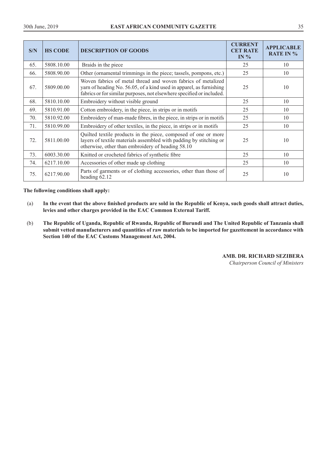| S/N | <b>HS CODE</b> | <b>DESCRIPTION OF GOODS</b>                                                                                                                                                                                  | <b>CURRENT</b><br><b>CET RATE</b><br>IN $%$ | <b>APPLICABLE</b><br><b>RATE IN %</b> |
|-----|----------------|--------------------------------------------------------------------------------------------------------------------------------------------------------------------------------------------------------------|---------------------------------------------|---------------------------------------|
| 65. | 5808.10.00     | Braids in the piece                                                                                                                                                                                          | 25                                          | 10                                    |
| 66. | 5808.90.00     | Other (ornamental trimmings in the piece; tassels, pompons, etc.)                                                                                                                                            | 25                                          | 10                                    |
| 67. | 5809.00.00     | Woven fabrics of metal thread and woven fabrics of metalized<br>yarn of heading No. 56.05, of a kind used in apparel, as furnishing<br>fabrics or for similar purposes, not elsewhere specified or included. | 25                                          | 10                                    |
| 68. | 5810.10.00     | Embroidery without visible ground                                                                                                                                                                            | 25                                          | 10                                    |
| 69. | 5810.91.00     | Cotton embroidery, in the piece, in strips or in motifs                                                                                                                                                      | 25                                          | 10                                    |
| 70. | 5810.92.00     | Embroidery of man-made fibres, in the piece, in strips or in motifs                                                                                                                                          | 25                                          | 10                                    |
| 71. | 5810.99.00     | Embroidery of other textiles, in the piece, in strips or in motifs                                                                                                                                           | 25                                          | 10                                    |
| 72. | 5811.00.00     | Quilted textile products in the piece, composed of one or more<br>layers of textile materials assembled with padding by stitching or<br>otherwise, other than embroidery of heading 58.10                    | 25                                          | 10                                    |
| 73. | 6003.30.00     | Knitted or crocheted fabrics of synthetic fibre                                                                                                                                                              | 25                                          | 10                                    |
| 74. | 6217.10.00     | Accessories of other made up clothing                                                                                                                                                                        | 25                                          | 10                                    |
| 75. | 6217.90.00     | Parts of garments or of clothing accessories, other than those of<br>heading 62.12                                                                                                                           | 25                                          | 10                                    |

**The following conditions shall apply:** 

- (a) **In the event that the above finished products are sold in the Republic of Kenya, such goods shall attract duties, levies and other charges provided in the EAC Common External Tariff.**
- (b) **The Republic of Uganda, Republic of Rwanda, Republic of Burundi and The United Republic of Tanzania shall submit vetted manufacturers and quantities of raw materials to be imported for gazettement in accordance with Section 140 of the EAC Customs Management Act, 2004.**

# **AMB. DR. RICHARD SEZIBERA**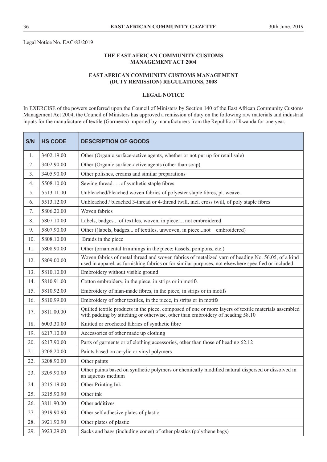Legal Notice No. EAC/83/2019

# **THE EAST AFRICAN COMMUNITY CUSTOMS MANAGEMENT ACT 2004**

# **EAST AFRICAN COMMUNITY CUSTOMS MANAGEMENT (DUTY REMISSION) REGULATIONS, 2008**

#### **LEGAL NOTICE**

In EXERCISE of the powers conferred upon the Council of Ministers by Section 140 of the East African Community Customs Management Act 2004, the Council of Ministers has approved a remission of duty on the following raw materials and industrial inputs for the manufacture of textile (Garments) imported by manufacturers from the Republic of Rwanda for one year.

| S/N | <b>HS CODE</b> | <b>DESCRIPTION OF GOODS</b>                                                                                                                                                                               |
|-----|----------------|-----------------------------------------------------------------------------------------------------------------------------------------------------------------------------------------------------------|
| 1.  | 3402.19.00     | Other (Organic surface-active agents, whether or not put up for retail sale)                                                                                                                              |
| 2.  | 3402.90.00     | Other (Organic surface-active agents (other than soap)                                                                                                                                                    |
| 3.  | 3405.90.00     | Other polishes, creams and similar preparations                                                                                                                                                           |
| 4.  | 5508.10.00     | Sewing thread.  of synthetic staple fibres                                                                                                                                                                |
| 5.  | 5513.11.00     | Unbleached/bleached woven fabrics of polyester staple fibres, pl. weave                                                                                                                                   |
| 6.  | 5513.12.00     | Unbleached / bleached 3-thread or 4-thread twill, incl. cross twill, of poly staple fibres                                                                                                                |
| 7.  | 5806.20.00     | Woven fabrics                                                                                                                                                                                             |
| 8.  | 5807.10.00     | Labels, badges of textiles, woven, in piece, not embroidered                                                                                                                                              |
| 9.  | 5807.90.00     | Other ((labels, badges of textiles, unwoven, in piecenot embroidered)                                                                                                                                     |
| 10. | 5808.10.00     | Braids in the piece                                                                                                                                                                                       |
| 11. | 5808.90.00     | Other (ornamental trimmings in the piece; tassels, pompons, etc.)                                                                                                                                         |
| 12. | 5809.00.00     | Woven fabrics of metal thread and woven fabrics of metalized yarn of heading No. 56.05, of a kind<br>used in apparel, as furnishing fabrics or for similar purposes, not elsewhere specified or included. |
| 13. | 5810.10.00     | Embroidery without visible ground                                                                                                                                                                         |
| 14. | 5810.91.00     | Cotton embroidery, in the piece, in strips or in motifs                                                                                                                                                   |
| 15. | 5810.92.00     | Embroidery of man-made fibres, in the piece, in strips or in motifs                                                                                                                                       |
| 16. | 5810.99.00     | Embroidery of other textiles, in the piece, in strips or in motifs                                                                                                                                        |
| 17. | 5811.00.00     | Quilted textile products in the piece, composed of one or more layers of textile materials assembled<br>with padding by stitching or otherwise, other than embroidery of heading 58.10                    |
| 18. | 6003.30.00     | Knitted or crocheted fabrics of synthetic fibre                                                                                                                                                           |
| 19. | 6217.10.00     | Accessories of other made up clothing                                                                                                                                                                     |
| 20. | 6217.90.00     | Parts of garments or of clothing accessories, other than those of heading 62.12                                                                                                                           |
| 21. | 3208.20.00     | Paints based on acrylic or vinyl polymers                                                                                                                                                                 |
| 22. | 3208.90.00     | Other paints                                                                                                                                                                                              |
| 23. | 3209.90.00     | Other paints based on synthetic polymers or chemically modified natural dispersed or dissolved in<br>an aqueous medium                                                                                    |
| 24. | 3215.19.00     | Other Printing Ink                                                                                                                                                                                        |
| 25. | 3215.90.90     | Other ink                                                                                                                                                                                                 |
| 26. | 3811.90.00     | Other additives                                                                                                                                                                                           |
| 27. | 3919.90.90     | Other self adhesive plates of plastic                                                                                                                                                                     |
| 28. | 3921.90.90     | Other plates of plastic                                                                                                                                                                                   |
| 29. | 3923.29.00     | Sacks and bags (including cones) of other plastics (polythene bags)                                                                                                                                       |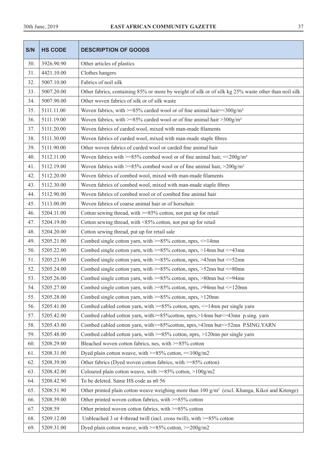| S/N | <b>HS CODE</b> | <b>DESCRIPTION OF GOODS</b>                                                                               |  |
|-----|----------------|-----------------------------------------------------------------------------------------------------------|--|
| 30. | 3926.90.90     | Other articles of plastics                                                                                |  |
| 31. | 4421.10.00     | Clothes hangers                                                                                           |  |
| 32. | 5007.10.00     | Fabrics of noil silk                                                                                      |  |
| 33. | 5007.20.00     | Other fabrics, containing 85% or more by weight of silk or of silk kg 25% waste other than noil silk      |  |
| 34. | 5007.90.00     | Other woven fabrics of silk or of silk waste                                                              |  |
| 35. | 5111.11.00     | Woven fabrics, with >=85% carded wool or of fine animal hair=<300g/m <sup>2</sup>                         |  |
| 36. | 5111.19.00     | Woven fabrics, with $>= 85\%$ carded wool or of fine animal hair $> 300$ g/m <sup>2</sup>                 |  |
| 37. | 5111.20.00     | Woven fabrics of carded wool, mixed with man-made filaments                                               |  |
| 38. | 5111.30.00     | Woven fabrics of carded wool, mixed with man-made staple fibres                                           |  |
| 39. | 5111.90.00     | Other woven fabrics of carded wool or carded fine animal hair                                             |  |
| 40. | 5112.11.00     | Woven fabrics with $>= 85\%$ combed wool or of fine animal hair, $=< 200g/m2$                             |  |
| 41. | 5112.19.00     | Woven fabrics with $>= 85\%$ combed wool or of fine animal hair, $>200$ g/m <sup>2</sup>                  |  |
| 42. | 5112.20.00     | Woven fabrics of combed wool, mixed with man-made filaments                                               |  |
| 43. | 5112.30.00     | Woven fabrics of combed wool, mixed with man-made staple fibres                                           |  |
| 44. | 5112.90.00     | Woven fabrics of combed wool or of combed fine animal hair                                                |  |
| 45. | 5113.00.00     | Woven fabrics of coarse animal hair or of horsehair.                                                      |  |
| 46. | 5204.11.00     | Cotton sewing thread, with $>= 85\%$ cotton, not put up for retail                                        |  |
| 47. | 5204.19.00     | Cotton sewing thread, with <85% cotton, not put up for retail                                             |  |
| 48. | 5204.20.00     | Cotton sewing thread, put up for retail sale                                                              |  |
| 49. | 5205.21.00     | Combed single cotton yarn, with >=85% cotton, nprs, <=14mn                                                |  |
| 50. | 5205.22.00     | Combed single cotton yarn, with >=85% cotton, nprs, >14mn but <= 43mn                                     |  |
| 51. | 5205.23.00     | Combed single cotton yarn, with >=85% cotton, nprs, >43mn but <= 52mn                                     |  |
| 52. | 5205.24.00     | Combed single cotton yarn, with $>= 85\%$ cotton, nprs, $> 52$ mn but $<= 80$ mn                          |  |
| 53. | 5205.26.00     | Combed single cotton yarn, with $>= 85\%$ cotton, nprs, $> 80$ mn but $<= 94$ mn                          |  |
| 54. | 5205.27.00     | Combed single cotton yarn, with $>= 85\%$ cotton, nprs, $> 94$ mn but $<= 120$ mn                         |  |
| 55. | 5205.28.00     | Combed single cotton yarn, with $>=85\%$ cotton, nprs, $>120$ mn                                          |  |
| 56. | 5205.41.00     | Combed cabled cotton yarn, with $>= 85\%$ cotton, nprs, $<= 14$ mn per single yarn                        |  |
| 57. | 5205.42.00     | Combed cabled cotton yarn, with>=85% cotton, nprs,>14mn but <= 43mn p.sing. yarn                          |  |
| 58. | 5205.43.00     | Combed cabled cotton yarn, with>=85% cotton, nprs,>43mn but<=52mn P.SING.YARN                             |  |
| 59. | 5205.48.00     | Combed cabled cotton yarn, with $\geq$ =85% cotton, nprs, $\geq$ 120mn per single yarn                    |  |
| 60. | 5208.29.00     | Bleached woven cotton fabrics, nes, with >=85% cotton                                                     |  |
| 61. | 5208.31.00     | Dyed plain cotton weave, with $\geq$ =85% cotton, = <100g/m2                                              |  |
| 62. | 5208.39.00     | Other fabrics (Dyed woven cotton fabrics, with >=85% cotton)                                              |  |
| 63. | 5208.42.00     | Coloured plain cotton weave, with $>= 85\%$ cotton, $> 100$ g/m2                                          |  |
| 64. | 5208.42.90     | To be deleted. Same HS code as n0 56                                                                      |  |
| 65. | 5208.51.90     | Other printed plain cotton weave weighing more than $100 \text{ g/m}^2$ (excl. Khanga, Kikoi and Kitenge) |  |
| 66. | 5208.59.00     | Other printed woven cotton fabrics, with >=85% cotton                                                     |  |
| 67. | 5208.59        | Other printed woven cotton fabrics, with >=85% cotton                                                     |  |
| 68. | 5209.12.00     | Unbleached 3 or 4-thread twill (incl. cross twill), with $>=85\%$ cotton                                  |  |
| 69. | 5209.31.00     | Dyed plain cotton weave, with >=85% cotton, >=200g/m2                                                     |  |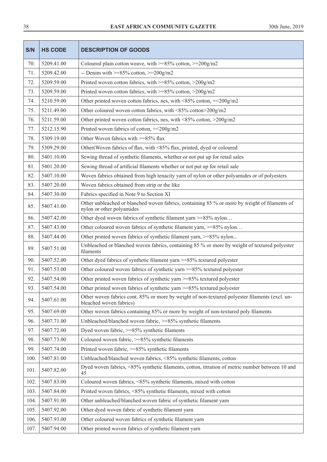| S/N  | <b>HS CODE</b> | <b>DESCRIPTION OF GOODS</b>                                                                                                |  |
|------|----------------|----------------------------------------------------------------------------------------------------------------------------|--|
| 70.  | 5209.41.00     | Coloured plain cotton weave, with $>=85\%$ cotton, $>=200g/m2$                                                             |  |
| 71.  | 5209.42.00     | -- Denim with $>= 85\%$ cotton, $>= 200$ g/m2                                                                              |  |
| 72.  | 5209.59.00     | Printed woven cotton fabrics, with $>= 85\%$ cotton, $> 200$ g/m2                                                          |  |
| 73.  | 5209.59.00     | Printed woven cotton fabrics, with $>= 85\%$ cotton, $> 200$ g/m2                                                          |  |
| 74.  | 5210.59.00     | Other printed woven cotton fabrics, nes, with <85% cotton, $=<200g/m2$                                                     |  |
| 75.  | 5211.49.00     | Other coloured woven cotton fabrics, with <85% cotton>200g/m2                                                              |  |
| 76.  | 5211.59.00     | Other printed woven cotton fabrics, nes, with <85% cotton, >200g/m2                                                        |  |
| 77.  | 5212.15.90     | Printed woven fabrics of cotton, $=<200g/m2$                                                                               |  |
| 78.  | 5309.19.00     | Other Woven fabrics with >=85% flax                                                                                        |  |
| 79.  | 5309.29.00     | Other (Woven fabrics of flax, with <85% flax, printed, dyed or coloured                                                    |  |
| 80.  | 5401.10.00     | Sewing thread of synthetic filaments, whether or not put up for retail sales                                               |  |
| 81.  | 5401.20.00     | Sewing thread of artificial filaments whether or not put up for retail sale                                                |  |
| 82.  | 5407.10.00     | Woven fabrics obtained from high tenacity yarn of nylon or other polyamides or of polyesters                               |  |
| 83.  | 5407.20.00     | Woven fabrics obtained from strip or the like                                                                              |  |
| 84.  | 5407.30.00     | Fabrics specified in Note 9 to Section XI                                                                                  |  |
| 85.  | 5407.41.00     | Other unbleached or blanched woven fabrics, containing 85 % or more by weight of filaments of<br>nylon or other polyamides |  |
| 86.  | 5407.42.00     | Other dyed woven fabrics of synthetic filament yarn >=85% nylon                                                            |  |
| 87.  | 5407.43.00     | Other coloured woven fabrics of synthetic filament yarn, >=85% nylon                                                       |  |
| 88.  | 5407.44.00     | Other printed woven fabrics of synthetic filament yarn, >=85% nylon                                                        |  |
| 89.  | 5407.51.00     | Unbleached or blanched woven fabrics, containing 85 % or more by weight of textured polyester<br>filaments                 |  |
| 90.  | 5407.52.00     | Other dyed fabrics of synthetic filament yarn >=85% textured polyester                                                     |  |
| 91.  | 5407.53.00     | Other coloured woven fabrics of synthetic yarn >=85% textured polyester                                                    |  |
| 92.  | 5407.54.00     | Other printed woven fabrics of synthetic yarn >=85% textured polyester                                                     |  |
| 93.  | 5407.54.00     | Other printed woven fabrics of synthetic yarn >=85% textured polyester                                                     |  |
| 94.  | 5407.61.00     | Other woven fabrics cont. 85% or more by weight of non-textured polyester filaments (excl. un-<br>bleached woven fabrics)  |  |
| 95.  | 5407.69.00     | Other woven fabrics containing 85% or more by weight of non-textured poly filaments                                        |  |
| 96.  | 5407.71.00     | Unbleached/blanched woven fabric, >=85% synthetic filaments                                                                |  |
| 97.  | 5407.72.00     | Dyed woven fabric, >=85% synthetic filaments                                                                               |  |
| 98.  | 5407.73.00     | Coloured woven fabric, >=85% synthetic filaments                                                                           |  |
| 99.  | 5407.74.00     | Printed woven fabric, >=85% synthetic filaments                                                                            |  |
| 100. | 5407.81.00     | Unbleached/blanched woven fabrics, <85% synthetic filaments, cotton                                                        |  |
| 101. | 5407.82.00     | Dyed woven fabrics, <85% synthetic filaments, cotton, titration of metric number between 10 and<br>45                      |  |
| 102. | 5407.83.00     | Coloured woven fabrics, <85% synthetic filaments, mixed with cotton                                                        |  |
| 103. | 5407.84.00     | Printed woven fabrics, <85% synthetic filaments, mixed with cotton                                                         |  |
| 104. | 5407.91.00     | Other unbleached/blanched woven fabric of synthetic filament yarn                                                          |  |
| 105. | 5407.92.00     | Other dyed woven fabric of synthetic filament yarn                                                                         |  |
| 106. | 5407.93.00     | Other coloured woven fabrics of synthetic filament yarn                                                                    |  |
| 107. | 5407.94.00     | Other printed woven fabrics of synthetic filament yarn                                                                     |  |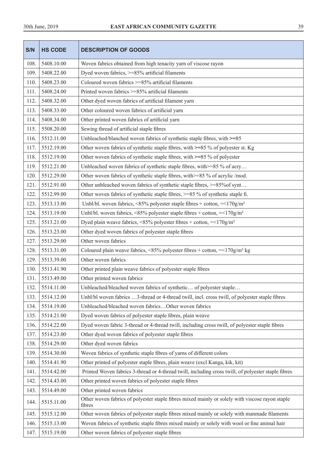| S/N  | <b>HS CODE</b> | <b>DESCRIPTION OF GOODS</b>                                                                               |  |
|------|----------------|-----------------------------------------------------------------------------------------------------------|--|
| 108. | 5408.10.00     | Woven fabrics obtained from high tenacity yarn of viscose rayon                                           |  |
| 109. | 5408.22.00     | Dyed woven fabrics, >=85% artificial filaments                                                            |  |
| 110. | 5408.23.00     | Coloured woven fabrics >=85% artificial filaments                                                         |  |
| 111. | 5408.24.00     | Printed woven fabrics >=85% artificial filaments                                                          |  |
| 112. | 5408.32.00     | Other dyed woven fabrics of artificial filament yarn                                                      |  |
| 113. | 5408.33.00     | Other coloured woven fabrics of artificial yarn                                                           |  |
| 114. | 5408.34.00     | Other printed woven fabrics of artificial yarn                                                            |  |
| 115. | 5508.20.00     | Sewing thread of artificial staple fibres                                                                 |  |
| 116. | 5512.11.00     | Unbleached/blanched woven fabrics of synthetic staple fibres, with >=85                                   |  |
| 117. | 5512.19.00     | Other woven fabrics of synthetic staple fibres, with >=85 % of polyester st. Kg                           |  |
| 118. | 5512.19.00     | Other woven fabrics of synthetic staple fibres, with >=85 % of polyester                                  |  |
| 119. | 5512.21.00     | Unbleached woven fabrics of synthetic staple fibres, with >=85 % of acry                                  |  |
| 120. | 5512.29.00     | Other woven fabrics of synthetic staple fibres, with >=85 % of acrylic /mod.                              |  |
| 121. | 5512.91.00     | Other unbleached woven fabrics of synthetic staple fibres, >=85% of synt                                  |  |
| 122. | 5512.99.00     | Other woven fabrics of synthetic staple fibres, >=85 % of synthetic staple fi.                            |  |
| 123. | 5513.13.00     | Unbl/bl. woven fabrics, <85% polyester staple fibres + cotton, = <170g/m <sup>2</sup>                     |  |
| 124. | 5513.19.00     | Unbl/bl. woven fabrics, <85% polyester staple fibres + cotton, = <170g/m <sup>2</sup>                     |  |
| 125. | 5513.21.00     | Dyed plain weave fabrics, <85% polyester fibres + cotton, = $170$ g/m <sup>2</sup>                        |  |
| 126. | 5513.23.00     | Other dyed woven fabrics of polyester staple fibres                                                       |  |
| 127. | 5513.29.00     | Other woven fabrics                                                                                       |  |
| 128. | 5513.31.00     | Coloured plain weave fabrics, <85% polyester fibres + cotton, =<170g/m <sup>2</sup> kg                    |  |
| 129. | 5513.39.00     | Other woven fabrics                                                                                       |  |
| 130. | 5513.41.90     | Other printed plain weave fabrics of polyester staple fibres                                              |  |
| 131. | 5513.49.00     | Other printed woven fabrics                                                                               |  |
| 132. | 5514.11.00     | Unbleached/bleached woven fabrics of synthetic of polyester staple                                        |  |
| 133. | 5514.12.00     | Unbl/bl woven fabrics 3-thread or 4-thread twill, incl. cross twill, of polyester staple fibres           |  |
| 134. | 5514.19.00     | Unbleached/bleached woven fabricsOther woven fabrics                                                      |  |
| 135. | 5514.21.00     | Dyed woven fabrics of polyester staple fibres, plain weave                                                |  |
| 136. | 5514.22.00     | Dyed woven fabric 3-thread or 4-thread twill, including cross twill, of polyester staple fibres           |  |
| 137. | 5514.23.00     | Other dyed woven fabrics of polyester staple fibres                                                       |  |
| 138. | 5514.29.00     | Other dyed woven fabrics                                                                                  |  |
| 139. | 5514.30.00     | Woven fabrics of synthetic staple fibres of yarns of different colors                                     |  |
| 140. | 5514.41.90     | Other printed of polyester staple fibres, plain weave (excl Kanga, kik, kit)                              |  |
| 141. | 5514.42.00     | Printed Woven fabrics 3-thread or 4-thread twill, including cross twill, of polyester staple fibres       |  |
| 142. | 5514.43.00     | Other printed woven fabrics of polyester staple fibres                                                    |  |
| 143. | 5514.49.00     | Other printed woven fabrics                                                                               |  |
| 144. | 5515.11.00     | Other woven fabrics of polyester staple fibres mixed mainly or solely with viscose rayon staple<br>fibres |  |
| 145. | 5515.12.00     | Other woven fabrics of polyester staple fibres mixed mainly or solely with manmade filaments              |  |
| 146. | 5515.13.00     | Woven fabrics of synthetic staple fibres mixed mainly or solely with wool or fine animal hair             |  |
| 147. | 5515.19.00     | Other woven fabrics of polyester staple fibres                                                            |  |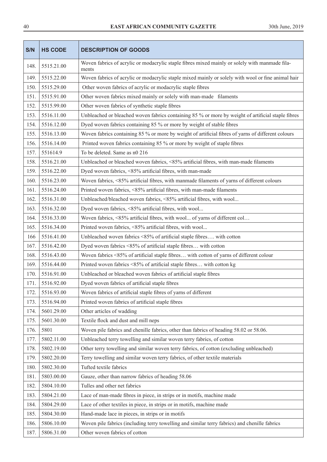| S/N  | <b>HS CODE</b> | <b>DESCRIPTION OF GOODS</b>                                                                             |  |
|------|----------------|---------------------------------------------------------------------------------------------------------|--|
| 148. | 5515.21.00     | Woven fabrics of acrylic or modacrylic staple fibres mixed mainly or solely with manmade fila-<br>ments |  |
| 149. | 5515.22.00     | Woven fabrics of acrylic or modacrylic staple mixed mainly or solely with wool or fine animal hair      |  |
| 150. | 5515.29.00     | Other woven fabrics of acrylic or modacrylic staple fibres                                              |  |
| 151. | 5515.91.00     | Other woven fabrics mixed mainly or solely with man-made filaments                                      |  |
| 152. | 5515.99.00     | Other woven fabrics of synthetic staple fibres                                                          |  |
| 153. | 5516.11.00     | Unbleached or bleached woven fabrics containing 85 % or more by weight of artificial staple fibres      |  |
| 154. | 5516.12.00     | Dyed woven fabrics containing 85 % or more by weight of stable fibres                                   |  |
| 155. | 5516.13.00     | Woven fabrics containing 85 % or more by weight of artificial fibres of yarns of different colours      |  |
| 156. | 5516.14.00     | Printed woven fabrics containing 85 % or more by weight of staple fibres                                |  |
| 157. | 551614.9       | To be deleted. Same as n0 216                                                                           |  |
| 158. | 5516.21.00     | Unbleached or bleached woven fabrics, <85% artificial fibres, with man-made filaments                   |  |
| 159. | 5516.22.00     | Dyed woven fabrics, <85% artificial fibres, with man-made                                               |  |
| 160. | 5516.23.00     | Woven fabrics, <85% artificial fibres, with manmade filaments of yarns of different colours             |  |
| 161. | 5516.24.00     | Printed woven fabrics, <85% artificial fibres, with man-made filaments                                  |  |
| 162. | 5516.31.00     | Unbleached/bleached woven fabrics, <85% artificial fibres, with wool                                    |  |
| 163. | 5516.32.00     | Dyed woven fabrics, <85% artificial fibres, with wool                                                   |  |
| 164. | 5516.33.00     | Woven fabrics, <85% artificial fibres, with wool of yarns of different col                              |  |
| 165. | 5516.34.00     | Printed woven fabrics, <85% artificial fibres, with wool                                                |  |
| 166  | 5516.41.00     | Unbleached woven fabrics <85% of artificial staple fibres with cotton                                   |  |
| 167. | 5516.42.00     | Dyed woven fabrics <85% of artificial staple fibres with cotton                                         |  |
| 168. | 5516.43.00     | Woven fabrics <85% of artificial staple fibres with cotton of yarns of different colour                 |  |
| 169. | 5516.44.00     | Printed woven fabrics <85% of artificial staple fibres with cotton kg                                   |  |
| 170. | 5516.91.00     | Unbleached or bleached woven fabrics of artificial staple fibres                                        |  |
| 171. | 5516.92.00     | Dyed woven fabrics of artificial staple fibres                                                          |  |
| 172. | 5516.93.00     | Woven fabrics of artificial staple fibres of yarns of different                                         |  |
| 173. | 5516.94.00     | Printed woven fabrics of artificial staple fibres                                                       |  |
| 174. | 5601.29.00     | Other articles of wadding                                                                               |  |
| 175. | 5601.30.00     | Textile flock and dust and mill neps                                                                    |  |
| 176. | 5801           | Woven pile fabrics and chenille fabrics, other than fabrics of heading 58.02 or 58.06.                  |  |
| 177. | 5802.11.00     | Unbleached terry towelling and similar woven terry fabrics, of cotton                                   |  |
| 178. | 5802.19.00     | Other terry towelling and similar woven terry fabrics, of cotton (excluding unbleached)                 |  |
| 179. | 5802.20.00     | Terry towelling and similar woven terry fabrics, of other textile materials                             |  |
| 180. | 5802.30.00     | Tufted textile fabrics                                                                                  |  |
| 181. | 5803.00.00     | Gauze, other than narrow fabrics of heading 58.06                                                       |  |
| 182. | 5804.10.00     | Tulles and other net fabrics                                                                            |  |
| 183. | 5804.21.00     | Lace of man-made fibres in piece, in strips or in motifs, machine made                                  |  |
| 184. | 5804.29.00     | Lace of other textiles in piece, in strips or in motifs, machine made                                   |  |
| 185. | 5804.30.00     | Hand-made lace in pieces, in strips or in motifs                                                        |  |
| 186. | 5806.10.00     | Woven pile fabrics (including terry towelling and similar terry fabrics) and chenille fabrics           |  |
| 187. | 5806.31.00     | Other woven fabrics of cotton                                                                           |  |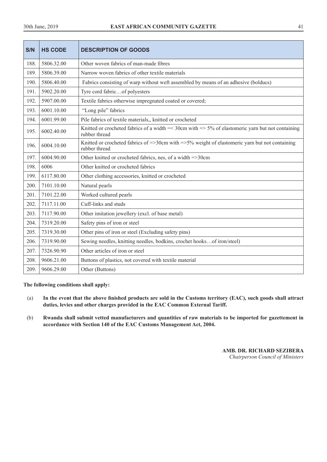| S/N  | <b>HS CODE</b> | <b>DESCRIPTION OF GOODS</b>                                                                                            |
|------|----------------|------------------------------------------------------------------------------------------------------------------------|
| 188. | 5806.32.00     | Other woven fabrics of man-made fibres                                                                                 |
| 189. | 5806.39.00     | Narrow woven fabrics of other textile materials                                                                        |
| 190. | 5806.40.00     | Fabrics consisting of warp without weft assembled by means of an adhesive (bolducs)                                    |
| 191. | 5902.20.00     | Tyre cord fabricof polyesters                                                                                          |
| 192. | 5907.00.00     | Textile fabrics otherwise impregnated coated or covered;                                                               |
| 193. | 6001.10.00     | "Long pile" fabrics                                                                                                    |
| 194. | 6001.99.00     | Pile fabrics of textile materials,, knitted or crocheted                                                               |
| 195. | 6002.40.00     | Knitted or crocheted fabrics of a width $=<$ 30cm with $>=$ 5% of elastomeric varn but not containing<br>rubber thread |
| 196. | 6004.10.00     | Knitted or crocheted fabrics of =>30cm with =>5% weight of elastomeric yarn but not containing<br>rubber thread        |
| 197. | 6004.90.00     | Other knitted or crocheted fabrics, nes, of a width =>30cm                                                             |
| 198. | 6006           | Other knitted or crocheted fabrics                                                                                     |
| 199. | 6117.80.00     | Other clothing accessories, knitted or crocheted                                                                       |
| 200. | 7101.10.00     | Natural pearls                                                                                                         |
| 201. | 7101.22.00     | Worked cultured pearls                                                                                                 |
| 202. | 7117.11.00     | Cuff-links and studs                                                                                                   |
| 203. | 7117.90.00     | Other imitation jewellery (excl. of base metal)                                                                        |
| 204. | 7319.20.00     | Safety pins of iron or steel                                                                                           |
| 205. | 7319.30.00     | Other pins of iron or steel (Excluding safety pins)                                                                    |
| 206. | 7319.90.00     | Sewing needles, knitting needles, bodkins, crochet hooksof iron/steel)                                                 |
| 207. | 7326.90.90     | Other articles of iron or steel                                                                                        |
| 208. | 9606.21.00     | Buttons of plastics, not covered with textile material                                                                 |
| 209. | 9606.29.00     | Other (Buttons)                                                                                                        |

# **The following conditions shall apply:**

- (a) **In the event that the above finished products are sold in the Customs territory (EAC), such goods shall attract duties, levies and other charges provided in the EAC Common External Tariff.**
- (b) **Rwanda shall submit vetted manufacturers and quantities of raw materials to be imported for gazettement in accordance with Section 140 of the EAC Customs Management Act, 2004.**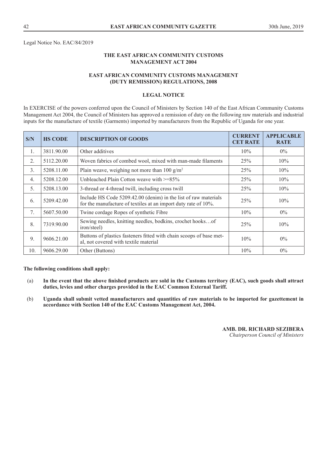Legal Notice No. EAC/84/2019

# **THE EAST AFRICAN COMMUNITY CUSTOMS MANAGEMENT ACT 2004**

# **EAST AFRICAN COMMUNITY CUSTOMS MANAGEMENT (DUTY REMISSION) REGULATIONS, 2008**

### **LEGAL NOTICE**

In EXERCISE of the powers conferred upon the Council of Ministers by Section 140 of the East African Community Customs Management Act 2004, the Council of Ministers has approved a remission of duty on the following raw materials and industrial inputs for the manufacture of textile (Garments) imported by manufacturers from the Republic of Uganda for one year.

| S/N              | <b>HS CODE</b> | <b>DESCRIPTION OF GOODS</b>                                                                                                       | <b>CURRENT</b><br><b>CET RATE</b> | <b>APPLICABLE</b><br><b>RATE</b> |
|------------------|----------------|-----------------------------------------------------------------------------------------------------------------------------------|-----------------------------------|----------------------------------|
| $\mathbf{1}$ .   | 3811.90.00     | Other additives                                                                                                                   | 10%                               | $0\%$                            |
| 2.               | 5112.20.00     | Woven fabrics of combed wool, mixed with man-made filaments                                                                       | 25%                               | 10%                              |
| 3.               | 5208.11.00     | Plain weave, weighing not more than 100 g/m <sup>2</sup>                                                                          | 25%                               | 10%                              |
| $\overline{4}$ . | 5208.12.00     | Unbleached Plain Cotton weave with $\geq$ =85%                                                                                    | 25%                               | 10%                              |
| 5.               | 5208.13.00     | 3-thread or 4-thread twill, including cross twill                                                                                 | 25%                               | 10%                              |
| 6.               | 5209.42.00     | Include HS Code 5209.42.00 (denim) in the list of raw materials<br>for the manufacture of textiles at an import duty rate of 10%. | 25%                               | 10%                              |
| 7.               | 5607.50.00     | Twine cordage Ropes of synthetic Fibre                                                                                            | 10%                               | $0\%$                            |
| 8.               | 7319.90.00     | Sewing needles, knitting needles, bodkins, crochet hooksof<br>iron/steel)                                                         | 25%                               | 10%                              |
| 9.               | 9606.21.00     | Buttons of plastics fasteners fitted with chain scoops of base met-<br>al, not covered with textile material                      | 10%                               | $0\%$                            |
| 10.              | 9606.29.00     | Other (Buttons)                                                                                                                   | 10%                               | $0\%$                            |

**The following conditions shall apply:** 

- (a) **In the event that the above finished products are sold in the Customs territory (EAC), such goods shall attract duties, levies and other charges provided in the EAC Common External Tariff.**
- (b) **Uganda shall submit vetted manufacturers and quantities of raw materials to be imported for gazettement in accordance with Section 140 of the EAC Customs Management Act, 2004.**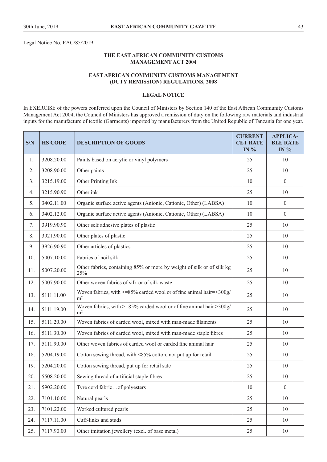Legal Notice No. EAC/85/2019

### **THE EAST AFRICAN COMMUNITY CUSTOMS MANAGEMENT ACT 2004**

# **EAST AFRICAN COMMUNITY CUSTOMS MANAGEMENT (DUTY REMISSION) REGULATIONS, 2008**

# **LEGAL NOTICE**

In EXERCISE of the powers conferred upon the Council of Ministers by Section 140 of the East African Community Customs Management Act 2004, the Council of Ministers has approved a remission of duty on the following raw materials and industrial inputs for the manufacture of textile (Garments) imported by manufacturers from the United Republic of Tanzania for one year.

| S/N | <b>HS CODE</b> | <b>DESCRIPTION OF GOODS</b>                                                                  |    | <b>APPLICA-</b><br><b>BLE RATE</b><br><b>IN</b> % |
|-----|----------------|----------------------------------------------------------------------------------------------|----|---------------------------------------------------|
| 1.  | 3208.20.00     | Paints based on acrylic or vinyl polymers                                                    | 25 | 10                                                |
| 2.  | 3208.90.00     | Other paints                                                                                 | 25 | 10                                                |
| 3.  | 3215.19.00     | Other Printing Ink                                                                           | 10 | $\overline{0}$                                    |
| 4.  | 3215.90.90     | Other ink                                                                                    | 25 | 10                                                |
| 5.  | 3402.11.00     | Organic surface active agents (Anionic, Cationic, Other) (LABSA)                             | 10 | $\overline{0}$                                    |
| 6.  | 3402.12.00     | Organic surface active agents (Anionic, Cationic, Other) (LABSA)                             | 10 | $\overline{0}$                                    |
| 7.  | 3919.90.90     | Other self adhesive plates of plastic                                                        | 25 | 10                                                |
| 8.  | 3921.90.00     | Other plates of plastic                                                                      | 25 | 10                                                |
| 9.  | 3926.90.90     | Other articles of plastics                                                                   | 25 | 10                                                |
| 10. | 5007.10.00     | Fabrics of noil silk                                                                         | 25 | 10                                                |
| 11. | 5007.20.00     | Other fabrics, containing 85% or more by weight of silk or of silk kg<br>25%                 | 25 | 10                                                |
| 12. | 5007.90.00     | Other woven fabrics of silk or of silk waste                                                 | 25 | 10                                                |
| 13. | 5111.11.00     | Woven fabrics, with >=85% carded wool or of fine animal hair=<300g/<br>m <sup>2</sup>        | 25 | 10                                                |
| 14. | 5111.19.00     | Woven fabrics, with $>= 85\%$ carded wool or of fine animal hair $> 300g/$<br>m <sup>2</sup> | 25 | 10                                                |
| 15. | 5111.20.00     | Woven fabrics of carded wool, mixed with man-made filaments                                  | 25 | 10                                                |
| 16. | 5111.30.00     | Woven fabrics of carded wool, mixed with man-made staple fibres                              | 25 | 10                                                |
| 17. | 5111.90.00     | Other woven fabrics of carded wool or carded fine animal hair                                | 25 | 10                                                |
| 18. | 5204.19.00     | Cotton sewing thread, with <85% cotton, not put up for retail                                | 25 | 10                                                |
| 19. | 5204.20.00     | Cotton sewing thread, put up for retail sale                                                 | 25 | 10                                                |
| 20. | 5508.20.00     | Sewing thread of artificial staple fibres                                                    | 25 | 10                                                |
| 21. | 5902.20.00     | Tyre cord fabricof polyesters                                                                | 10 | $\overline{0}$                                    |
| 22. | 7101.10.00     | Natural pearls                                                                               | 25 | 10                                                |
| 23. | 7101.22.00     | Worked cultured pearls                                                                       | 25 | 10                                                |
| 24. | 7117.11.00     | Cuff-links and studs                                                                         | 25 | 10                                                |
| 25. | 7117.90.00     | Other imitation jewellery (excl. of base metal)                                              | 25 | 10                                                |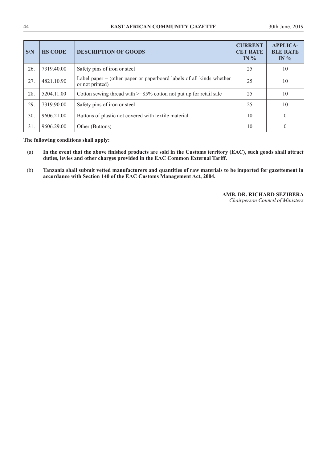| S/N | <b>HS CODE</b> | <b>DESCRIPTION OF GOODS</b>                                                               | <b>CURRENT</b><br><b>CET RATE</b><br>IN $%$ | <b>APPLICA-</b><br><b>BLE RATE</b><br>IN $%$ |
|-----|----------------|-------------------------------------------------------------------------------------------|---------------------------------------------|----------------------------------------------|
| 26. | 7319.40.00     | Safety pins of iron or steel                                                              | 25                                          | 10                                           |
| 27. | 4821.10.90     | Label paper $-$ (other paper or paperboard labels of all kinds whether<br>or not printed) | 25                                          | 10                                           |
| 28. | 5204.11.00     | Cotton sewing thread with $\geq$ =85% cotton not put up for retail sale                   | 25                                          | 10                                           |
| 29. | 7319.90.00     | Safety pins of iron or steel                                                              | 25                                          | 10                                           |
| 30. | 9606.21.00     | Buttons of plastic not covered with textile material                                      | 10                                          | 0                                            |
| 31. | 9606.29.00     | Other (Buttons)                                                                           | 10                                          |                                              |

**The following conditions shall apply:** 

- (a) **In the event that the above finished products are sold in the Customs territory (EAC), such goods shall attract duties, levies and other charges provided in the EAC Common External Tariff.**
- (b) **Tanzania shall submit vetted manufacturers and quantities of raw materials to be imported for gazettement in accordance with Section 140 of the EAC Customs Management Act, 2004.**

#### **AMB. DR. RICHARD SEZIBERA**

*Chairperson Council of Ministers*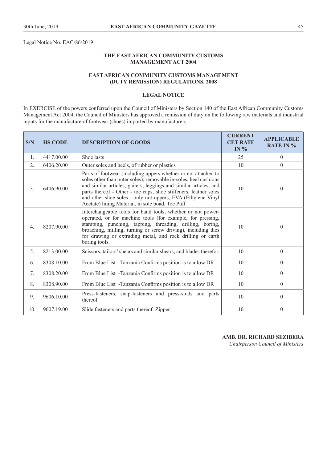Legal Notice No. EAC/86/2019

# **THE EAST AFRICAN COMMUNITY CUSTOMS MANAGEMENT ACT 2004**

# **EAST AFRICAN COMMUNITY CUSTOMS MANAGEMENT (DUTY REMISSION) REGULATIONS, 2008**

### **LEGAL NOTICE**

In EXERCISE of the powers conferred upon the Council of Ministers by Section 140 of the East African Community Customs Management Act 2004, the Council of Ministers has approved a remission of duty on the following raw materials and industrial inputs for the manufacture of footwear (shoes) imported by manufacturers.

| S/N            | <b>HS CODE</b> | <b>DESCRIPTION OF GOODS</b>                                                                                                                                                                                                                                                                                                                                                                    | <b>CURRENT</b><br><b>CET RATE</b><br>IN $%$ | <b>APPLICABLE</b><br><b>RATE IN %</b> |
|----------------|----------------|------------------------------------------------------------------------------------------------------------------------------------------------------------------------------------------------------------------------------------------------------------------------------------------------------------------------------------------------------------------------------------------------|---------------------------------------------|---------------------------------------|
| $\mathbf{1}$ . | 4417.00.00     | Shoe lasts                                                                                                                                                                                                                                                                                                                                                                                     | 25                                          | $\theta$                              |
| 2.             | 6406.20.00     | Outer soles and heels, of rubber or plastics                                                                                                                                                                                                                                                                                                                                                   | 10                                          | $\theta$                              |
| 3.             | 6406.90.00     | Parts of footwear (including uppers whether or not attached to<br>soles other than outer soles); removable in-soles, heel cushions<br>and similar articles; gaiters, leggings and similar articles, and<br>parts thereof - Other - toe caps, shoe stiffeners, leather soles<br>and other shoe soles - only not uppers, EVA (Ethylene Vinyl<br>Acetate) lining Material, in sole boad, Toe Puff | 10                                          | $\theta$                              |
| 4.             | 8207.90.00     | Interchangeable tools for hand tools, whether or not power-<br>operated, or for machine tools (for example, for pressing,<br>stamping, punching, tapping, threading, drilling, boring,<br>broaching, milling, turning or screw driving), including dies<br>for drawing or extruding metal, and rock drilling or earth<br>boring tools.                                                         | 10                                          | $\theta$                              |
| 5.             | 8213.00.00     | Scissors, tailors' shears and similar shears, and blades therefor.                                                                                                                                                                                                                                                                                                                             | 10                                          | $\Omega$                              |
| 6.             | 8308.10.00     | From Blue List -Tanzania Confirms position is to allow DR                                                                                                                                                                                                                                                                                                                                      | 10                                          | $\theta$                              |
| 7.             | 8308.20.00     | From Blue List -Tanzania Confirms position is to allow DR                                                                                                                                                                                                                                                                                                                                      | 10                                          | $\theta$                              |
| 8.             | 8308.90.00     | From Blue List -Tanzania Confirms position is to allow DR                                                                                                                                                                                                                                                                                                                                      | 10                                          | $\theta$                              |
| 9.             | 9606.10.00     | Press-fasteners, snap-fasteners and press-studs and parts<br>thereof                                                                                                                                                                                                                                                                                                                           | 10                                          | $\theta$                              |
| 10.            | 9607.19.00     | Slide fasteners and parts thereof. Zipper                                                                                                                                                                                                                                                                                                                                                      | 10                                          | $\Omega$                              |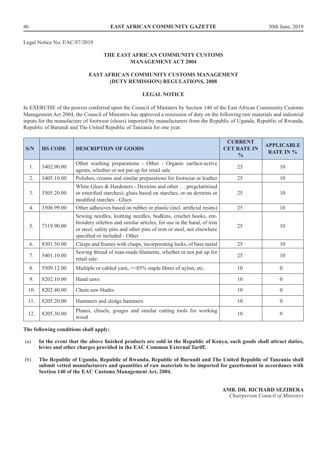Legal Notice No. EAC/87/2019

# **THE EAST AFRICAN COMMUNITY CUSTOMS MANAGEMENT ACT 2004**

# **EAST AFRICAN COMMUNITY CUSTOMS MANAGEMENT (DUTY REMISSION) REGULATIONS, 2008**

### **LEGAL NOTICE**

In EXERCISE of the powers conferred upon the Council of Ministers by Section 140 of the East African Community Customs Management Act 2004, the Council of Ministers has approved a remission of duty on the following raw materials and industrial inputs for the manufacture of footwear (shoes) imported by manufacturers from the Republic of Uganda, Republic of Rwanda, Republic of Burundi and The United Republic of Tanzania for one year.

| S/N              | <b>HS CODE</b> | <b>DESCRIPTION OF GOODS</b>                                                                                                                                                                                                                     | <b>CURRENT</b><br><b>CET RATE IN</b><br>$\frac{0}{0}$ | <b>APPLICABLE</b><br><b>RATE IN %</b> |
|------------------|----------------|-------------------------------------------------------------------------------------------------------------------------------------------------------------------------------------------------------------------------------------------------|-------------------------------------------------------|---------------------------------------|
| 1.               | 3402.90.00     | Other washing preparations - Other - Organic surface-active<br>agents, whether or not put up for retail sale                                                                                                                                    | 25                                                    | 10                                    |
| 2.               | 3405.10.00     | Polishes, creams and similar preparations for footwear or leather                                                                                                                                                                               | 25                                                    | 10                                    |
| 3.               | 3505.20.00     | White Glues & Hardeners - Dextrins and other  pregelatinised<br>or esterified starches); glues based on starches, or on dextrins or<br>modified starches - Glues                                                                                | 25                                                    | 10                                    |
| $\overline{4}$ . | 3506.99.00     | Other adhesives based on rubber or plastic (incl. artificial resins)                                                                                                                                                                            | 25                                                    | 10                                    |
| 5.               | 7319.90.00     | Sewing needles, knitting needles, bodkins, crochet hooks, em-<br>broidery stilettos and similar articles, for use in the hand, of iron<br>or steel; safety pins and other pins of iron or steel, not elsewhere<br>specified or included - Other | 25                                                    | 10                                    |
| 6.               | 8301.50.00     | Clasps and frames with clasps, incorporating locks, of base metal                                                                                                                                                                               | 25                                                    | 10                                    |
| 7.               | 5401.10.00     | Sewing thread of man-made filaments, whether or not put up for<br>retail sale.                                                                                                                                                                  | 25                                                    | 10                                    |
| 8.               | 5509.12.00     | Multiple or cabled yarn, $>= 85\%$ staple fibres of nylon, etc.                                                                                                                                                                                 | 10                                                    | $\theta$                              |
| 9.               | 8202.10.00     | Hand saws                                                                                                                                                                                                                                       | 10                                                    | $\theta$                              |
| 10.              | 8202.40.00     | Chain saw blades                                                                                                                                                                                                                                | 10                                                    | $\theta$                              |
| 11.              | 8205.20.00     | Hammers and sledge hammers                                                                                                                                                                                                                      | 10                                                    | $\theta$                              |
| 12.              | 8205.30.00     | Planes, chisels, gouges and similar cutting tools for working<br>wood                                                                                                                                                                           | 10                                                    | $\mathbf{0}$                          |

#### **The following conditions shall apply:**

- (a) **In the event that the above finished products are sold in the Republic of Kenya, such goods shall attract duties, levies and other charges provided in the EAC Common External Tariff.**
- (b) **The Republic of Uganda, Republic of Rwanda, Republic of Burundi and The United Republic of Tanzania shall submit vetted manufacturers and quantities of raw materials to be imported for gazettement in accordance with Section 140 of the EAC Customs Management Act, 2004.**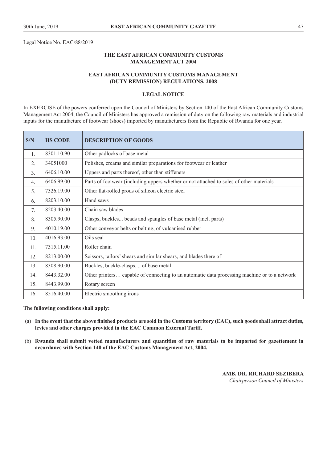Legal Notice No. EAC/88/2019

# **THE EAST AFRICAN COMMUNITY CUSTOMS MANAGEMENT ACT 2004**

# **EAST AFRICAN COMMUNITY CUSTOMS MANAGEMENT (DUTY REMISSION) REGULATIONS, 2008**

### **LEGAL NOTICE**

In EXERCISE of the powers conferred upon the Council of Ministers by Section 140 of the East African Community Customs Management Act 2004, the Council of Ministers has approved a remission of duty on the following raw materials and industrial inputs for the manufacture of footwear (shoes) imported by manufacturers from the Republic of Rwanda for one year.

| S/N            | <b>HS CODE</b> | <b>DESCRIPTION OF GOODS</b>                                                                  |
|----------------|----------------|----------------------------------------------------------------------------------------------|
| 1.             | 8301.10.90     | Other padlocks of base metal                                                                 |
| 2.             | 34051000       | Polishes, creams and similar preparations for footwear or leather                            |
| 3.             | 6406.10.00     | Uppers and parts thereof, other than stiffeners                                              |
| 4.             | 6406.99.00     | Parts of footwear (including uppers whether or not attached to soles of other materials      |
| 5 <sub>1</sub> | 7326.19.00     | Other flat-rolled prods of silicon electric steel                                            |
| 6.             | 8203.10.00     | Hand saws                                                                                    |
| 7.             | 8203.40.00     | Chain saw blades                                                                             |
| 8.             | 8305.90.00     | Clasps, buckles beads and spangles of base metal (incl. parts)                               |
| 9.             | 4010.19.00     | Other conveyor belts or belting, of vulcanised rubber                                        |
| 10.            | 4016.93.00     | Oils seal                                                                                    |
| 11.            | 7315.11.00     | Roller chain                                                                                 |
| 12.            | 8213.00.00     | Scissors, tailors' shears and similar shears, and blades there of                            |
| 13.            | 8308.90.00     | Buckles, buckle-clasps of base metal                                                         |
| 14.            | 8443.32.00     | Other printers capable of connecting to an automatic data processing machine or to a network |
| 15.            | 8443.99.00     | Rotary screen                                                                                |
| 16.            | 8516.40.00     | Electric smoothing irons                                                                     |

#### **The following conditions shall apply:**

- (a) **In the event that the above finished products are sold in the Customs territory (EAC), such goods shall attract duties, levies and other charges provided in the EAC Common External Tariff.**
- (b) **Rwanda shall submit vetted manufacturers and quantities of raw materials to be imported for gazettement in accordance with Section 140 of the EAC Customs Management Act, 2004.**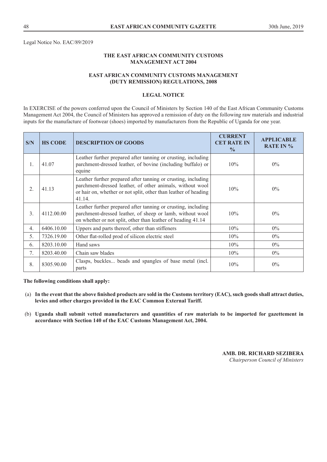Legal Notice No. EAC/89/2019

# **THE EAST AFRICAN COMMUNITY CUSTOMS MANAGEMENT ACT 2004**

# **EAST AFRICAN COMMUNITY CUSTOMS MANAGEMENT (DUTY REMISSION) REGULATIONS, 2008**

### **LEGAL NOTICE**

In EXERCISE of the powers conferred upon the Council of Ministers by Section 140 of the East African Community Customs Management Act 2004, the Council of Ministers has approved a remission of duty on the following raw materials and industrial inputs for the manufacture of footwear (shoes) imported by manufacturers from the Republic of Uganda for one year.

| S/N              | <b>HS CODE</b> | <b>DESCRIPTION OF GOODS</b>                                                                                                                                                                             | <b>CURRENT</b><br><b>CET RATE IN</b><br>$\frac{0}{0}$ | <b>APPLICABLE</b><br><b>RATE IN %</b> |
|------------------|----------------|---------------------------------------------------------------------------------------------------------------------------------------------------------------------------------------------------------|-------------------------------------------------------|---------------------------------------|
| $\mathbf{1}$ .   | 41.07          | Leather further prepared after tanning or crusting, including<br>parchment-dressed leather, of bovine (including buffalo) or<br>equine                                                                  | 10%                                                   | $0\%$                                 |
| $\overline{2}$ . | 41.13          | Leather further prepared after tanning or crusting, including<br>parchment-dressed leather, of other animals, without wool<br>or hair on, whether or not split, other than leather of heading<br>41.14. | 10%                                                   | $0\%$                                 |
| 3.               | 4112.00.00     | Leather further prepared after tanning or crusting, including<br>parchment-dressed leather, of sheep or lamb, without wool<br>on whether or not split, other than leather of heading 41.14              | 10%                                                   | $0\%$                                 |
| 4.               | 6406.10.00     | Uppers and parts thereof, other than stiffeners                                                                                                                                                         | 10%                                                   | $0\%$                                 |
| 5.               | 7326.19.00     | Other flat-rolled prod of silicon electric steel                                                                                                                                                        | $10\%$                                                | $0\%$                                 |
| 6.               | 8203.10.00     | Hand saws                                                                                                                                                                                               | 10%                                                   | $0\%$                                 |
| 7.               | 8203.40.00     | Chain saw blades                                                                                                                                                                                        | 10%                                                   | $0\%$                                 |
| 8.               | 8305.90.00     | Clasps, buckles beads and spangles of base metal (incl.<br>parts                                                                                                                                        | 10%                                                   | $0\%$                                 |

**The following conditions shall apply:** 

- (a) **In the event that the above finished products are sold in the Customs territory (EAC), such goods shall attract duties, levies and other charges provided in the EAC Common External Tariff.**
- (b) **Uganda shall submit vetted manufacturers and quantities of raw materials to be imported for gazettement in accordance with Section 140 of the EAC Customs Management Act, 2004.**

*Chairperson Council of Ministers*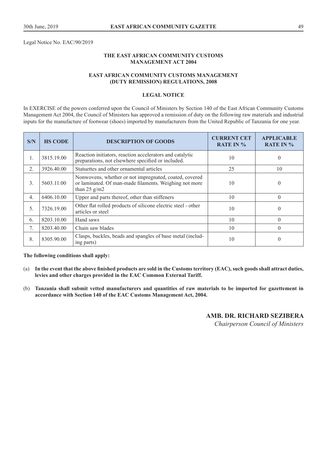Legal Notice No. EAC/90/2019

# **THE EAST AFRICAN COMMUNITY CUSTOMS MANAGEMENT ACT 2004**

# **EAST AFRICAN COMMUNITY CUSTOMS MANAGEMENT (DUTY REMISSION) REGULATIONS, 2008**

#### **LEGAL NOTICE**

In EXERCISE of the powers conferred upon the Council of Ministers by Section 140 of the East African Community Customs Management Act 2004, the Council of Ministers has approved a remission of duty on the following raw materials and industrial inputs for the manufacture of footwear (shoes) imported by manufacturers from the United Republic of Tanzania for one year.

| S/N              | <b>HS CODE</b> | <b>DESCRIPTION OF GOODS</b>                                                                                                        | <b>CURRENT CET</b><br><b>RATE IN %</b> | <b>APPLICABLE</b><br><b>RATE IN %</b> |
|------------------|----------------|------------------------------------------------------------------------------------------------------------------------------------|----------------------------------------|---------------------------------------|
| 1.               | 3815.19.00     | Reaction initiators, reaction accelerators and catalytic<br>preparations, not elsewhere specified or included.                     | 10                                     | $\theta$                              |
| $\overline{2}$ . | 3926.40.00     | Statuettes and other ornamental articles                                                                                           | 25                                     | 10                                    |
| 3.               | 5603.11.00     | Nonwovens, whether or not impregnated, coated, covered<br>or laminated. Of man-made filaments. Weighing not more<br>than 25 $g/m2$ | 10                                     | $\theta$                              |
| $\overline{4}$ . | 6406.10.00     | Upper and parts thereof, other than stiffeners                                                                                     | 10                                     | $\theta$                              |
| 5 <sub>1</sub>   | 7326.19.00     | Other flat rolled products of silicone electric steel - other<br>articles or steel                                                 | 10                                     | $\Omega$                              |
| 6.               | 8203.10.00     | Hand saws                                                                                                                          | 10                                     | $\Omega$                              |
| 7.               | 8203.40.00     | Chain saw blades                                                                                                                   | 10                                     | $\theta$                              |
| 8.               | 8305.90.00     | Clasps, buckles, beads and spangles of base metal (includ-<br>ing parts)                                                           | 10                                     | $\theta$                              |

#### **The following conditions shall apply:**

- (a) **In the event that the above finished products are sold in the Customs territory (EAC), such goods shall attract duties, levies and other charges provided in the EAC Common External Tariff.**
- (b) **Tanzania shall submit vetted manufacturers and quantities of raw materials to be imported for gazettement in accordance with Section 140 of the EAC Customs Management Act, 2004.**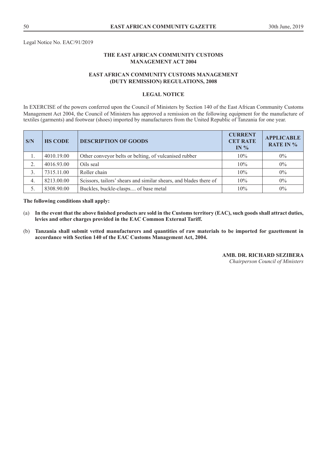Legal Notice No. EAC/91/2019

# **THE EAST AFRICAN COMMUNITY CUSTOMS MANAGEMENT ACT 2004**

# **EAST AFRICAN COMMUNITY CUSTOMS MANAGEMENT (DUTY REMISSION) REGULATIONS, 2008**

### **LEGAL NOTICE**

In EXERCISE of the powers conferred upon the Council of Ministers by Section 140 of the East African Community Customs Management Act 2004, the Council of Ministers has approved a remission on the following equipment for the manufacture of textiles (garments) and footwear (shoes) imported by manufacturers from the United Republic of Tanzania for one year.

| S/N              | <b>HS CODE</b> | <b>DESCRIPTION OF GOODS</b>                                       | <b>CURRENT</b><br><b>CET RATE</b><br>IN $%$ | <b>APPLICABLE</b><br><b>RATE IN %</b> |
|------------------|----------------|-------------------------------------------------------------------|---------------------------------------------|---------------------------------------|
| 1.               | 4010.19.00     | Other conveyor belts or belting, of vulcanised rubber             | 10%                                         | $0\%$                                 |
| 2.               | 4016.93.00     | Oils seal                                                         | 10%                                         | $0\%$                                 |
| 3.               | 7315.11.00     | Roller chain                                                      | 10%                                         | $0\%$                                 |
| $\overline{4}$ . | 8213.00.00     | Scissors, tailors' shears and similar shears, and blades there of | 10%                                         | $0\%$                                 |
|                  | 8308.90.00     | Buckles, buckle-clasps of base metal                              | 10%                                         | $0\%$                                 |

#### **The following conditions shall apply:**

- (a) **In the event that the above finished products are sold in the Customs territory (EAC), such goods shall attract duties, levies and other charges provided in the EAC Common External Tariff.**
- (b) **Tanzania shall submit vetted manufacturers and quantities of raw materials to be imported for gazettement in accordance with Section 140 of the EAC Customs Management Act, 2004.**

#### **AMB. DR. RICHARD SEZIBERA**

*Chairperson Council of Ministers*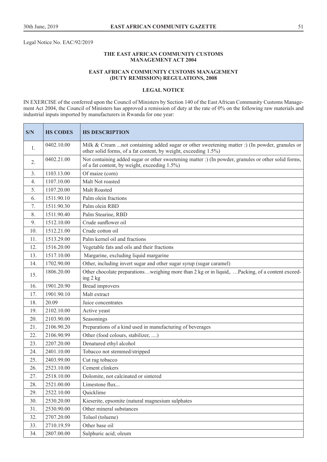Legal Notice No. EAC/92/2019

#### **THE EAST AFRICAN COMMUNITY CUSTOMS MANAGEMENT ACT 2004**

#### **EAST AFRICAN COMMUNITY CUSTOMS MANAGEMENT (DUTY REMISSION) REGULATIONS, 2008**

#### **LEGAL NOTICE**

IN EXERCISE of the conferred upon the Council of Ministers by Section 140 of the East African Community Customs Management Act 2004, the Council of Ministers has approved a remission of duty at the rate of 0% on the following raw materials and industrial inputs imported by manufacturers in Rwanda for one year:

| S/N | <b>HS CODES</b> | <b>HS DESCRIPTION</b>                                                                                                                                             |  |
|-----|-----------------|-------------------------------------------------------------------------------------------------------------------------------------------------------------------|--|
| 1.  | 0402.10.00      | Milk & Cream  not containing added sugar or other sweetening matter :) (In powder, granules or<br>other solid forms, of a fat content, by weight, exceeding 1.5%) |  |
| 2.  | 0402.21.00      | Not containing added sugar or other sweetening matter :) (In powder, granules or other solid forms,<br>of a fat content, by weight, exceeding 1.5%)               |  |
| 3.  | 1103.13.00      | Of maize (corn)                                                                                                                                                   |  |
| 4.  | 1107.10.00      | Malt Not roasted                                                                                                                                                  |  |
| 5.  | 1107.20.00      | Malt Roasted                                                                                                                                                      |  |
| 6.  | 1511.90.10      | Palm olein fractions                                                                                                                                              |  |
| 7.  | 1511.90.30      | Palm olein RBD                                                                                                                                                    |  |
| 8.  | 1511.90.40      | Palm Stearine, RBD                                                                                                                                                |  |
| 9.  | 1512.10.00      | Crude sunflower oil                                                                                                                                               |  |
| 10. | 1512.21.00      | Crude cotton oil                                                                                                                                                  |  |
| 11. | 1513.29.00      | Palm kernel oil and fractions                                                                                                                                     |  |
| 12. | 1516.20.00      | Vegetable fats and oils and their fractions                                                                                                                       |  |
| 13. | 1517.10.00      | Margarine, excluding liquid margarine                                                                                                                             |  |
| 14. | 1702.90.00      | Other, including invert sugar and other sugar syrup (sugar caramel)                                                                                               |  |
| 15. | 1806.20.00      | Other chocolate preparationsweighing more than 2 kg or in liquid,Packing, of a content exceed-<br>ing 2 kg                                                        |  |
| 16. | 1901.20.90      | <b>Bread improvers</b>                                                                                                                                            |  |
| 17. | 1901.90.10      | Malt extract                                                                                                                                                      |  |
| 18. | 20.09           | Juice concentrates                                                                                                                                                |  |
| 19. | 2102.10.00      | Active yeast                                                                                                                                                      |  |
| 20. | 2103.90.00      | Seasonings                                                                                                                                                        |  |
| 21. | 2106.90.20      | Preparations of a kind used in manufacturing of beverages                                                                                                         |  |
| 22. | 2106.90.99      | Other (food colours, stabilizer, )                                                                                                                                |  |
| 23. | 2207.20.00      | Denatured ethyl alcohol                                                                                                                                           |  |
| 24. | 2401.10.00      | Tobacco not stemmed/stripped                                                                                                                                      |  |
| 25. | 2403.99.00      | Cut rag tobacco                                                                                                                                                   |  |
| 26. | 2523.10.00      | Cement clinkers                                                                                                                                                   |  |
| 27. | 2518.10.00      | Dolomite, not calcinated or sintered                                                                                                                              |  |
| 28. | 2521.00.00      | Limestone flux                                                                                                                                                    |  |
| 29. | 2522.10.00      | Quicklime                                                                                                                                                         |  |
| 30. | 2530.20.00      | Kieserite, epsomite (natural magnesium sulphates                                                                                                                  |  |
| 31. | 2530.90.00      | Other mineral substances                                                                                                                                          |  |
| 32. | 2707.20.00      | Toluol (toluene)                                                                                                                                                  |  |
| 33. | 2710.19.59      | Other base oil                                                                                                                                                    |  |
| 34. | 2807.00.00      | Sulphuric acid; oleum                                                                                                                                             |  |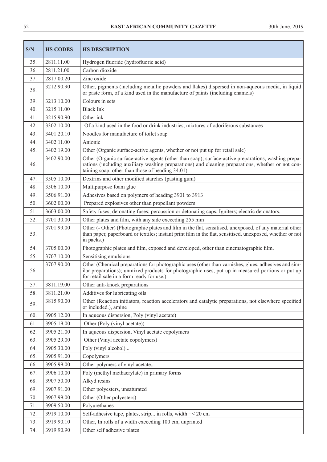| S/N | <b>HS CODES</b> | <b>HS DESCRIPTION</b>                                                                                                                                                                                                                                        |  |  |
|-----|-----------------|--------------------------------------------------------------------------------------------------------------------------------------------------------------------------------------------------------------------------------------------------------------|--|--|
| 35. | 2811.11.00      | Hydrogen fluoride (hydrofluoric acid)                                                                                                                                                                                                                        |  |  |
| 36. | 2811.21.00      | Carbon dioxide                                                                                                                                                                                                                                               |  |  |
| 37. | 2817.00.20      | Zinc oxide                                                                                                                                                                                                                                                   |  |  |
| 38. | 3212.90.90      | Other, pigments (including metallic powders and flakes) dispersed in non-aqueous media, in liquid<br>or paste form, of a kind used in the manufacture of paints (including enamels)                                                                          |  |  |
| 39. | 3213.10.00      | Colours in sets                                                                                                                                                                                                                                              |  |  |
| 40. | 3215.11.00      | <b>Black Ink</b>                                                                                                                                                                                                                                             |  |  |
| 41. | 3215.90.90      | Other ink                                                                                                                                                                                                                                                    |  |  |
| 42. | 3302.10.00      | -Of a kind used in the food or drink industries, mixtures of odoriferous substances                                                                                                                                                                          |  |  |
| 43. | 3401.20.10      | Noodles for manufacture of toilet soap                                                                                                                                                                                                                       |  |  |
| 44. | 3402.11.00      | Anionic                                                                                                                                                                                                                                                      |  |  |
| 45. | 3402.19.00      | Other (Organic surface-active agents, whether or not put up for retail sale)                                                                                                                                                                                 |  |  |
| 46. | 3402.90.00      | Other (Organic surface-active agents (other than soap); surface-active preparations, washing prepa-<br>rations (including auxiliary washing preparations) and cleaning preparations, whether or not con-<br>taining soap, other than those of heading 34.01) |  |  |
| 47. | 3505.10.00      | Dextrins and other modified starches (pasting gum)                                                                                                                                                                                                           |  |  |
| 48. | 3506.10.00      | Multipurpose foam glue                                                                                                                                                                                                                                       |  |  |
| 49. | 3506.91.00      | Adhesives based on polymers of heading 3901 to 3913                                                                                                                                                                                                          |  |  |
| 50. | 3602.00.00      | Prepared explosives other than propellant powders                                                                                                                                                                                                            |  |  |
| 51. | 3603.00.00      | Safety fuses; detonating fuses; percussion or detonating caps; Igniters; electric detonators.                                                                                                                                                                |  |  |
| 52. | 3701.30.00      | Other plates and film, with any side exceeding 255 mm                                                                                                                                                                                                        |  |  |
| 53. | 3701.99.00      | Other (- Other) (Photographic plates and film in the flat, sensitised, unexposed, of any material other<br>than paper, paperboard or textiles; instant print film in the flat, sensitised, unexposed, whether or not<br>in packs.)                           |  |  |
| 54. | 3705.00.00      | Photographic plates and film, exposed and developed, other than cinematographic film.                                                                                                                                                                        |  |  |
| 55. | 3707.10.00      | Sensitising emulsions.                                                                                                                                                                                                                                       |  |  |
| 56. | 3707.90.00      | Other (Chemical preparations for photographic uses (other than varnishes, glues, adhesives and sim-<br>ilar preparations); unmixed products for photographic uses, put up in measured portions or put up<br>for retail sale in a form ready for use.)        |  |  |
| 57. | 3811.19.00      | Other anti-knock preparations                                                                                                                                                                                                                                |  |  |
| 58. | 3811.21.00      | Additives for lubricating oils                                                                                                                                                                                                                               |  |  |
| 59. | 3815.90.00      | Other (Reaction initiators, reaction accelerators and catalytic preparations, not elsewhere specified<br>or included.), amine                                                                                                                                |  |  |
| 60. | 3905.12.00      | In aqueous dispersion, Poly (vinyl acetate)                                                                                                                                                                                                                  |  |  |
| 61. | 3905.19.00      | Other (Poly (vinyl acetate))                                                                                                                                                                                                                                 |  |  |
| 62. | 3905.21.00      | In aqueous dispersion, Vinyl acetate copolymers                                                                                                                                                                                                              |  |  |
| 63. | 3905.29.00      | Other (Vinyl acetate copolymers)                                                                                                                                                                                                                             |  |  |
| 64. | 3905.30.00      | Poly (vinyl alcohol)                                                                                                                                                                                                                                         |  |  |
| 65. | 3905.91.00      | Copolymers                                                                                                                                                                                                                                                   |  |  |
| 66. | 3905.99.00      | Other polymers of vinyl acetate                                                                                                                                                                                                                              |  |  |
| 67. | 3906.10.00      | Poly (methyl methacrylate) in primary forms                                                                                                                                                                                                                  |  |  |
| 68. | 3907.50.00      | Alkyd resins                                                                                                                                                                                                                                                 |  |  |
| 69. | 3907.91.00      | Other polyesters, unsaturated                                                                                                                                                                                                                                |  |  |
| 70. | 3907.99.00      | Other (Other polyesters)                                                                                                                                                                                                                                     |  |  |
| 71. | 3909.50.00      | Polyurethanes                                                                                                                                                                                                                                                |  |  |
| 72. | 3919.10.00      | Self-adhesive tape, plates, strip in rolls, width = < 20 cm                                                                                                                                                                                                  |  |  |
| 73. | 3919.90.10      | Other, In rolls of a width exceeding 100 cm, unprinted                                                                                                                                                                                                       |  |  |
| 74. | 3919.90.90      | Other self adhesive plates                                                                                                                                                                                                                                   |  |  |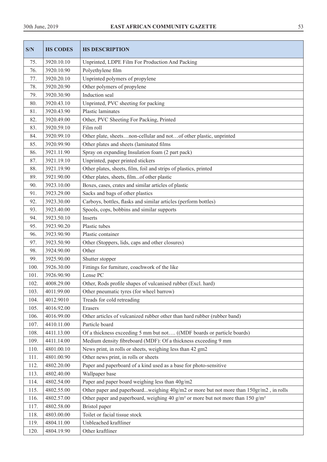| S/N  | <b>HS CODES</b> | <b>HS DESCRIPTION</b>                                                                                   |  |
|------|-----------------|---------------------------------------------------------------------------------------------------------|--|
| 75.  | 3920.10.10      | Unprinted, LDPE Film For Production And Packing                                                         |  |
| 76.  | 3920.10.90      | Polyethylene film                                                                                       |  |
| 77.  | 3920.20.10      | Unprinted polymers of propylene                                                                         |  |
| 78.  | 3920.20.90      | Other polymers of propylene                                                                             |  |
| 79.  | 3920.30.90      | Induction seal                                                                                          |  |
| 80.  | 3920.43.10      | Unprinted, PVC sheeting for packing                                                                     |  |
| 81.  | 3920.43.90      | Plastic laminates                                                                                       |  |
| 82.  | 3920.49.00      | Other, PVC Sheeting For Packing, Printed                                                                |  |
| 83.  | 3920.59.10      | Film roll                                                                                               |  |
| 84.  | 3920.99.10      | Other plate, sheetsnon-cellular and notof other plastic, unprinted                                      |  |
| 85.  | 3920.99.90      | Other plates and sheets (laminated films                                                                |  |
| 86.  | 3921.11.90      | Spray on expanding Insulation foam (2 part pack)                                                        |  |
| 87.  | 3921.19.10      | Unprinted, paper printed stickers                                                                       |  |
| 88.  | 3921.19.90      | Other plates, sheets, film, foil and strips of plastics, printed                                        |  |
| 89.  | 3921.90.00      | Other plates, sheets, filmof other plastic                                                              |  |
| 90.  | 3923.10.00      | Boxes, cases, crates and similar articles of plastic                                                    |  |
| 91.  | 3923.29.00      | Sacks and bags of other plastics                                                                        |  |
| 92.  | 3923.30.00      | Carboys, bottles, flasks and similar articles (perform bottles)                                         |  |
| 93.  | 3923.40.00      | Spools, cops, bobbins and similar supports                                                              |  |
| 94.  | 3923.50.10      | Inserts                                                                                                 |  |
| 95.  | 3923.90.20      | Plastic tubes                                                                                           |  |
| 96.  | 3923.90.90      | Plastic container                                                                                       |  |
| 97.  | 3923.50.90      | Other (Stoppers, lids, caps and other closures)                                                         |  |
| 98.  | 3924.90.00      | Other                                                                                                   |  |
| 99.  | 3925.90.00      | Shutter stopper                                                                                         |  |
| 100. | 3926.30.00      | Fittings for furniture, coachwork of the like                                                           |  |
| 101. | 3926.90.90      | Lense PC                                                                                                |  |
| 102. | 4008.29.00      | Other, Rods profile shapes of vulcanised rubber (Excl. hard)                                            |  |
| 103. | 4011.99.00      | Other pneumatic tyres (for wheel barrow)                                                                |  |
| 104. | 4012.9010       | Treads for cold retreading                                                                              |  |
| 105. | 4016.92.00      | Erasers                                                                                                 |  |
| 106. | 4016.99.00      | Other articles of vulcanized rubber other than hard rubber (rubber band)                                |  |
| 107. | 4410.11.00      | Particle board                                                                                          |  |
| 108. | 4411.13.00      | Of a thickness exceeding 5 mm but not ((MDF boards or particle boards)                                  |  |
| 109. | 4411.14.00      | Medium density fibreboard (MDF): Of a thickness exceeding 9 mm                                          |  |
| 110. | 4801.00.10      | News print, in rolls or sheets, weighing less than 42 gm2                                               |  |
| 111. | 4801.00.90      | Other news print, in rolls or sheets                                                                    |  |
| 112. | 4802.20.00      | Paper and paperboard of a kind used as a base for photo-sensitive                                       |  |
| 113. | 4802.40.00      | Wallpaper base                                                                                          |  |
| 114. | 4802.54.00      | Paper and paper board weighing less than 40g/m2                                                         |  |
| 115. | 4802.55.00      | Other paper and paperboardweighing 40g/m2 or more but not more than 150gr/m2, in rolls                  |  |
| 116. | 4802.57.00      | Other paper and paperboard, weighing 40 g/m <sup>2</sup> or more but not more than 150 g/m <sup>2</sup> |  |
| 117. | 4802.58.00      | Bristol paper                                                                                           |  |
| 118. | 4803.00.00      | Toilet or facial tissue stock                                                                           |  |
| 119. | 4804.11.00      | Unbleached kraftliner                                                                                   |  |
| 120. | 4804.19.90      | Other kraftliner                                                                                        |  |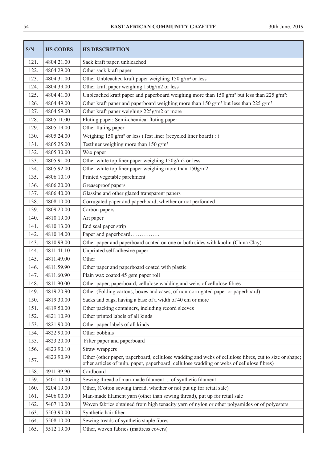| S/N  | <b>HS CODES</b> | <b>HS DESCRIPTION</b>                                                                                                                                                                              |  |
|------|-----------------|----------------------------------------------------------------------------------------------------------------------------------------------------------------------------------------------------|--|
| 121. | 4804.21.00      | Sack kraft paper, unbleached                                                                                                                                                                       |  |
| 122. | 4804.29.00      | Other sack kraft paper                                                                                                                                                                             |  |
| 123. | 4804.31.00      | Other Unbleached kraft paper weighing 150 g/m <sup>2</sup> or less                                                                                                                                 |  |
| 124. | 4804.39.00      | Other kraft paper weighing 150g/m2 or less                                                                                                                                                         |  |
| 125. | 4804.41.00      | Unbleached kraft paper and paperboard weighing more than 150 g/m <sup>2</sup> but less than 225 g/m <sup>2</sup> :                                                                                 |  |
| 126. | 4804.49.00      | Other kraft paper and paperboard weighing more than 150 g/m <sup>2</sup> but less than 225 g/m <sup>2</sup>                                                                                        |  |
| 127. | 4804.59.00      | Other kraft paper weighing 225g/m2 or more                                                                                                                                                         |  |
| 128. | 4805.11.00      | Fluting paper: Semi-chemical fluting paper                                                                                                                                                         |  |
| 129. | 4805.19.00      | Other fluting paper                                                                                                                                                                                |  |
| 130. | 4805.24.00      | Weighing 150 $g/m^2$ or less (Test liner (recycled liner board) : )                                                                                                                                |  |
| 131. | 4805.25.00      | Testliner weighing more than 150 g/m <sup>2</sup>                                                                                                                                                  |  |
| 132. | 4805.30.00      | Wax paper                                                                                                                                                                                          |  |
| 133. | 4805.91.00      | Other white top liner paper weighing 150g/m2 or less                                                                                                                                               |  |
| 134. | 4805.92.00      | Other white top liner paper weighing more than 150g/m2                                                                                                                                             |  |
| 135. | 4806.10.10      | Printed vegetable parchment                                                                                                                                                                        |  |
| 136. | 4806.20.00      | Greaseproof papers                                                                                                                                                                                 |  |
| 137. | 4806.40.00      | Glassine and other glazed transparent papers                                                                                                                                                       |  |
| 138. | 4808.10.00      | Corrugated paper and paperboard, whether or not perforated                                                                                                                                         |  |
| 139. | 4809.20.00      | Carbon papers                                                                                                                                                                                      |  |
| 140. | 4810.19.00      | Art paper                                                                                                                                                                                          |  |
| 141. | 4810.13.00      | End seal paper strip                                                                                                                                                                               |  |
| 142. | 4810.14.00      | Paper and paperboard                                                                                                                                                                               |  |
| 143. | 4810.99.00      | Other paper and paperboard coated on one or both sides with kaolin (China Clay)                                                                                                                    |  |
| 144. | 4811.41.10      | Unprinted self adhesive paper                                                                                                                                                                      |  |
| 145. | 4811.49.00      | Other                                                                                                                                                                                              |  |
| 146. | 4811.59.90      | Other paper and paperboard coated with plastic                                                                                                                                                     |  |
| 147. | 4811.60.90      | Plain wax coated 45 gsm paper roll                                                                                                                                                                 |  |
| 148. | 4811.90.00      | Other paper, paperboard, cellulose wadding and webs of cellulose fibres                                                                                                                            |  |
| 149. | 4819.20.90      | Other (Folding cartons, boxes and cases, of non-corrugated paper or paperboard)                                                                                                                    |  |
| 150. | 4819.30.00      | Sacks and bags, having a base of a width of 40 cm or more                                                                                                                                          |  |
| 151. | 4819.50.00      | Other packing containers, including record sleeves                                                                                                                                                 |  |
| 152. | 4821.10.90      | Other printed labels of all kinds                                                                                                                                                                  |  |
| 153. | 4821.90.00      | Other paper labels of all kinds                                                                                                                                                                    |  |
| 154. | 4822.90.00      | Other bobbins                                                                                                                                                                                      |  |
| 155. | 4823.20.00      | Filter paper and paperboard                                                                                                                                                                        |  |
| 156. | 4823.90.10      | Straw wrappers                                                                                                                                                                                     |  |
| 157. | 4823.90.90      | Other (other paper, paperboard, cellulose wadding and webs of cellulose fibres, cut to size or shape;<br>other articles of pulp, paper, paperboard, cellulose wadding or webs of cellulose fibres) |  |
| 158. | 4911.99.90      | Cardboard                                                                                                                                                                                          |  |
| 159. | 5401.10.00      | Sewing thread of man-made filament  of synthetic filament                                                                                                                                          |  |
| 160. | 5204.19.00      | Other, (Cotton sewing thread, whether or not put up for retail sale)                                                                                                                               |  |
| 161. | 5406.00.00      | Man-made filament yarn (other than sewing thread), put up for retail sale                                                                                                                          |  |
| 162. | 5407.10.00      | Woven fabrics obtained from high tenacity yarn of nylon or other polyamides or of polyesters                                                                                                       |  |
| 163. | 5503.90.00      | Synthetic hair fiber                                                                                                                                                                               |  |
| 164. | 5508.10.00      | Sewing treads of synthetic staple fibres                                                                                                                                                           |  |
| 165. | 5512.19.00      | Other, woven fabrics (mattress covers)                                                                                                                                                             |  |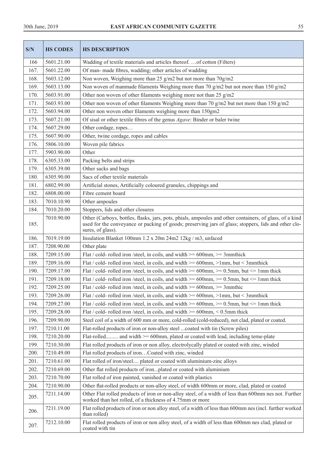| S/N  | <b>HS CODES</b> | <b>HS DESCRIPTION</b>                                                                                                                                                                                                                |  |
|------|-----------------|--------------------------------------------------------------------------------------------------------------------------------------------------------------------------------------------------------------------------------------|--|
| 166  | 5601.21.00      | Wadding of textile materials and articles thereof.  of cotton (Filters)                                                                                                                                                              |  |
| 167. | 5601.22.00      | Of man- made fibres, wadding; other articles of wadding                                                                                                                                                                              |  |
| 168. | 5603.12.00      | Non woven, Weighing more than 25 g/m2 but not more than 70g/m2                                                                                                                                                                       |  |
| 169. | 5603.13.00      | Non woven of manmade filaments Weighing more than 70 g/m2 but not more than 150 g/m2                                                                                                                                                 |  |
| 170. | 5603.91.00      | Other non woven of other filaments weighing more not than 25 g/m2                                                                                                                                                                    |  |
| 171. | 5603.93.00      | Other non woven of other filaments Weighing more than 70 g/m2 but not more than 150 g/m2                                                                                                                                             |  |
| 172. | 5603.94.00      | Other non woven other filaments weighing more than 150gm2                                                                                                                                                                            |  |
| 173. | 5607.21.00      | Of sisal or other textile fibres of the genus <i>Agave</i> : Binder or baler twine                                                                                                                                                   |  |
| 174. | 5607.29.00      | Other cordage, ropes                                                                                                                                                                                                                 |  |
| 175. | 5607.90.00      | Other, twine cordage, ropes and cables                                                                                                                                                                                               |  |
| 176. | 5806.10.00      | Woven pile fabrics                                                                                                                                                                                                                   |  |
| 177. | 5903.90.00      | Other                                                                                                                                                                                                                                |  |
| 178. | 6305.33.00      | Packing belts and strips                                                                                                                                                                                                             |  |
| 179. | 6305.39.00      | Other sacks and bags                                                                                                                                                                                                                 |  |
| 180. | 6305.90.00      | Sacs of other textile materials                                                                                                                                                                                                      |  |
| 181. | 6802.99.00      | Artificial stones, Artificially coloured granules, chippings and                                                                                                                                                                     |  |
| 182. | 6808.00.00      | Fibre cement board                                                                                                                                                                                                                   |  |
| 183. | 7010.10.90      | Other ampoules                                                                                                                                                                                                                       |  |
| 184. | 7010.20.00      | Stoppers, lids and other closures                                                                                                                                                                                                    |  |
| 185. | 7010.90.00      | Other (Carboys, bottles, flasks, jars, pots, phials, ampoules and other containers, of glass, of a kind<br>used for the conveyance or packing of goods; preserving jars of glass; stoppers, lids and other clo-<br>sures, of glass). |  |
| 186. | 7019.19.00      | Insulation Blanket 100mm 1.2 x 20m 24m2 12kg / m3, unfaced                                                                                                                                                                           |  |
| 187. | 7208.90.00      | Other plate                                                                                                                                                                                                                          |  |
| 188. | 7209.15.00      | Flat / cold- rolled iron /steel, in coils, and width $\ge$ = 600mm, $\ge$ = 3mmthick                                                                                                                                                 |  |
| 189. | 7209.16.00      | Flat / cold- rolled iron /steel, in coils, and width $\ge$ = 600mm, >1mm, but < 3mmthick                                                                                                                                             |  |
| 190. | 7209.17.00      | Flat / cold- rolled iron /steel, in coils, and width $\ge$ = 600mm, $\ge$ = 0.5mm, but $\le$ = 1mm thick                                                                                                                             |  |
| 191. | 7209.18.00      | Flat / cold- rolled iron /steel, in coils, and width $\ge$ = 600mm, $\ge$ = 0.5mm, but $\le$ 1mm thick                                                                                                                               |  |
| 192. | 7209.25.00      | Flat / cold- rolled iron /steel, in coils, and width $\ge$ = 600mm, $\ge$ = 3mmthic                                                                                                                                                  |  |
| 193. | 7209.26.00      | Flat / cold- rolled iron /steel, in coils, and width $\ge$ = 600mm, >1mm, but < 3mmthick                                                                                                                                             |  |
| 194. | 7209.27.00      | Flat / cold- rolled iron /steel, in coils, and width $\ge$ = 600mm, $\ge$ = 0.5mm, but $\le$ 1mm thick                                                                                                                               |  |
| 195. | 7209.28.00      | Flat / cold- rolled iron /steel, in coils, and width $\ge$ = 600mm, < 0.5mm thick                                                                                                                                                    |  |
| 196. | 7209.90.00      | Steel coil of a width of 600 mm or more, cold-rolled (cold-reduced), not clad, plated or coated.                                                                                                                                     |  |
| 197. | 7210.11.00      | Flat-rolled products of iron or non-alloy steel coated with tin (Screw piles)                                                                                                                                                        |  |
| 198. | 7210.20.00      | Flat-rolled and width >= 600mm, plated or coated with lead, including terne-plate                                                                                                                                                    |  |
| 199. | 7210.30.00      | Flat rolled products of iron or non alloy, electrolycally plated or coated with zinc, winded                                                                                                                                         |  |
| 200. | 7210.49.00      | Flat rolled products of ironCoated with zinc, winded                                                                                                                                                                                 |  |
| 201. | 7210.61.00      | Flat rolled of iron/steel plated or coated with aluminium-zinc alloys                                                                                                                                                                |  |
| 202. | 7210.69.00      | Other flat rolled products of ironplated or coated with aluminium                                                                                                                                                                    |  |
| 203. | 7210.70.00      | Flat rolled of iron painted, vanished or coated with plastics                                                                                                                                                                        |  |
| 204. | 7210.90.00      | Other flat-rolled products or non-alloy steel, of width 600mm or more, clad, plated or coated                                                                                                                                        |  |
| 205. | 7211.14.00      | Other Flat rolled products of iron or non-alloy steel, of a width of less than 600mm nes not. Further<br>worked than hot rolled, of a thickness of 4.75mm or more                                                                    |  |
| 206. | 7211.19.00      | Flat rolled products of iron or non alloy steel, of a width of less than 600mm nes (incl. further worked<br>than rolled)                                                                                                             |  |
| 207. | 7212.10.00      | Flat rolled products of iron or non alloy steel, of a width of less than 600mm nes clad, plated or<br>coated with tin                                                                                                                |  |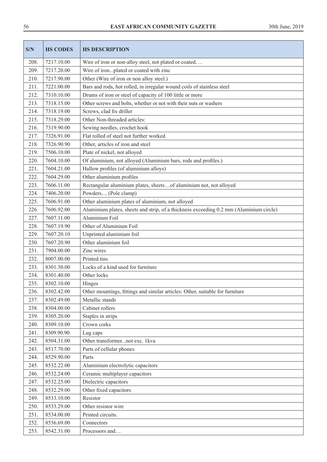| S/N  | <b>HS CODES</b> | <b>HS DESCRIPTION</b>                                                                  |  |
|------|-----------------|----------------------------------------------------------------------------------------|--|
| 208. | 7217.10.00      | Wire of iron or non-alloy steel, not plated or coated                                  |  |
| 209. | 7217.20.00      | Wire of ironplated or coated with zinc                                                 |  |
| 210. | 7217.90.00      | Other (Wire of iron or non alloy steel.)                                               |  |
| 211. | 7221.00.00      | Bars and rods, hot rolled, in irregular wound coils of stainless steel                 |  |
| 212. | 7310.10.00      | Drums of iron or steel of capacity of 100 little or more                               |  |
| 213. | 7318.15.00      | Other screws and bolts, whether or not with their nuts or washers                      |  |
| 214. | 7318.19.00      | Screws, clad fix driller                                                               |  |
| 215. | 7318.29.00      | Other Non-threaded articles:                                                           |  |
| 216. | 7319.90.00      | Sewing needles, crochet hook                                                           |  |
| 217. | 7326.91.00      | Flat rolled of steel not further worked                                                |  |
| 218. | 7326.90.90      | Other, articles of iron and steel                                                      |  |
| 219. | 7506.10.00      | Plate of nickel, not alloyed                                                           |  |
| 220. | 7604.10.00      | Of aluminium, not alloyed (Aluminium bars, rods and profiles.)                         |  |
| 221. | 7604.21.00      | Hallow profiles (of aluminium alloys)                                                  |  |
| 222. | 7604.29.00      | Other aluminium profiles                                                               |  |
| 223. | 7606.11.00      | Rectangular aluminium plates, sheetsof aluminium not, not alloyed                      |  |
| 224. | 7406.20.00      | Powders (Pole clamp)                                                                   |  |
| 225. | 7606.91.00      | Other aluminium plates of aluminium, not alloyed                                       |  |
| 226. | 7606.92.00      | Aluminium plates, sheets and strip, of a thickness exceeding 0.2 mm (Aluminium circle) |  |
| 227. | 7607.11.00      | Aluminium Foil                                                                         |  |
| 228. | 7607.19.90      | Other of Aluminium Foil                                                                |  |
| 229. | 7607.20.10      | Unprinted aluminium foil                                                               |  |
| 230. | 7607.20.90      | Other aluminium foil                                                                   |  |
| 231. | 7904.00.00      | Zinc wires                                                                             |  |
| 232. | 8007.00.00      | Printed tins                                                                           |  |
| 233. | 8301.30.00      | Locks of a kind used for furniture                                                     |  |
| 234. | 8301.40.00      | Other locks                                                                            |  |
| 235. | 8302.10.00      | Hinges                                                                                 |  |
| 236. | 8302.42.00      | Other mountings, fittings and similar articles: Other, suitable for furniture          |  |
| 237. | 8302.49.00      | Metallic stands                                                                        |  |
| 238. | 8304.00.00      | Cabinet rollers                                                                        |  |
| 239. | 8305.20.00      | Staples in strips                                                                      |  |
| 240. | 8309.10.00      | Crown corks                                                                            |  |
| 241. | 8309.90.90      | Lug caps                                                                               |  |
| 242. | 8504.31.00      | Other transformernot exc. 1kva                                                         |  |
| 243. | 8517.70.00      | Parts of cellular phones                                                               |  |
| 244. | 8529.90.00      | Parts                                                                                  |  |
| 245. | 8532.22.00      | Aluminium electrolytic capacitors                                                      |  |
| 246. | 8532.24.00      | Ceramic multiplayer capacitors                                                         |  |
| 247. | 8532.25.00      | Dielectric capacitors                                                                  |  |
| 248. | 8532.29.00      | Other fixed capacitors                                                                 |  |
| 249. | 8533.10.00      | Resistor                                                                               |  |
| 250. | 8533.29.00      | Other resistor wire                                                                    |  |
| 251. | 8534.00.00      | Printed circuits.                                                                      |  |
| 252. | 8536.69.00      | Connectors                                                                             |  |
| 253. | 8542.31.00      | Processors and                                                                         |  |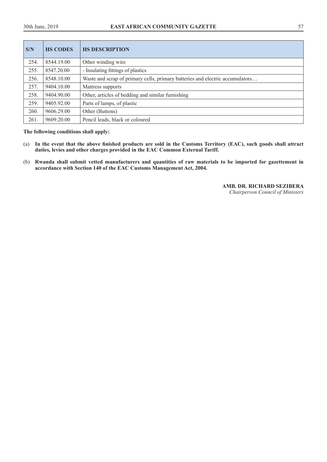| S/N  | <b>HS CODES</b> | <b>HS DESCRIPTION</b>                                                         |  |
|------|-----------------|-------------------------------------------------------------------------------|--|
| 254. | 8544.19.00      | Other winding wire                                                            |  |
| 255. | 8547.20.00      | - Insulating fittings of plastics                                             |  |
| 256. | 8548.10.00      | Waste and scrap of primary cells, primary batteries and electric accumulators |  |
| 257. | 9404.10.00      | Mattress supports                                                             |  |
| 258. | 9404.90.00      | Other, articles of bedding and similar furnishing                             |  |
| 259. | 9405.92.00      | Parts of lamps, of plastic                                                    |  |
| 260. | 9606.29.00      | Other (Buttons)                                                               |  |
| 261  | 9609.20.00      | Pencil leads, black or coloured                                               |  |

# **The following conditions shall apply:**

- (a) **In the event that the above finished products are sold in the Customs Territory (EAC), such goods shall attract duties, levies and other charges provided in the EAC Common External Tariff.**
- (b) **Rwanda shall submit vetted manufacturers and quantities of raw materials to be imported for gazettement in accordance with Section 140 of the EAC Customs Management Act, 2004.**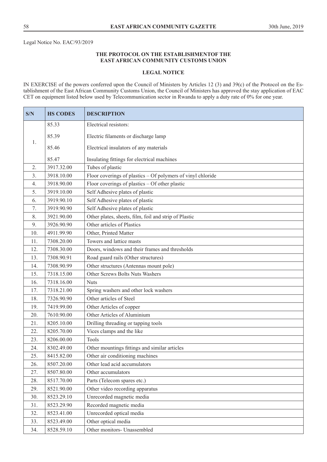# **THE PROTOCOL ON THE ESTABLISHMENTOF THE EAST AFRICAN COMMUNITY CUSTOMS UNION**

#### **LEGAL NOTICE**

IN EXERCISE of the powers conferred upon the Council of Ministers by Articles 12 (3) and 39(c) of the Protocol on the Establishment of the East African Community Customs Union, the Council of Ministers has approved the stay application of EAC CET on equipment listed below used by Telecommunication sector in Rwanda to apply a duty rate of 0% for one year.

| S/N              | <b>HS CODES</b> | <b>DESCRIPTION</b>                                          |  |  |
|------------------|-----------------|-------------------------------------------------------------|--|--|
|                  | 85.33           | Electrical resistors:                                       |  |  |
| 1.               | 85.39           | Electric filaments or discharge lamp                        |  |  |
|                  | 85.46           | Electrical insulators of any materials                      |  |  |
|                  | 85.47           | Insulating fittings for electrical machines                 |  |  |
| 2.               | 3917.32.00      | Tubes of plastic                                            |  |  |
| 3.               | 3918.10.00      | Floor coverings of plastics – Of polymers of vinyl chloride |  |  |
| $\overline{4}$ . | 3918.90.00      | Floor coverings of plastics - Of other plastic              |  |  |
| 5.               | 3919.10.00      | Self Adhesive plates of plastic                             |  |  |
| 6.               | 3919.90.10      | Self Adhesive plates of plastic                             |  |  |
| 7.               | 3919.90.90      | Self Adhesive plates of plastic                             |  |  |
| 8.               | 3921.90.00      | Other plates, sheets, film, foil and strip of Plastic       |  |  |
| 9.               | 3926.90.90      | Other articles of Plastics                                  |  |  |
| 10.              | 4911.99.90      | Other, Printed Matter                                       |  |  |
| 11.              | 7308.20.00      | Towers and lattice masts                                    |  |  |
| 12.              | 7308.30.00      | Doors, windows and their frames and thresholds              |  |  |
| 13.              | 7308.90.91      | Road guard rails (Other structures)                         |  |  |
| 14.              | 7308.90.99      | Other structures (Antennas mount pole)                      |  |  |
| 15.              | 7318.15.00      | Other Screws Bolts Nuts Washers                             |  |  |
| 16.              | 7318.16.00      | <b>Nuts</b>                                                 |  |  |
| 17.              | 7318.21.00      | Spring washers and other lock washers                       |  |  |
| 18.              | 7326.90.90      | Other articles of Steel                                     |  |  |
| 19.              | 7419.99.00      | Other Articles of copper                                    |  |  |
| 20.              | 7610.90.00      | Other Articles of Aluminium                                 |  |  |
| 21.              | 8205.10.00      | Drilling threading or tapping tools                         |  |  |
| 22.              | 8205.70.00      | Vices clamps and the like                                   |  |  |
| 23.              | 8206.00.00      | Tools                                                       |  |  |
| 24.              | 8302.49.00      | Other mountings fittings and similar articles               |  |  |
| 25.              | 8415.82.00      | Other air conditioning machines                             |  |  |
| 26.              | 8507.20.00      | Other lead acid accumulators                                |  |  |
| 27.              | 8507.80.00      | Other accumulators                                          |  |  |
| 28.              | 8517.70.00      | Parts (Telecom spares etc.)                                 |  |  |
| 29.              | 8521.90.00      | Other video recording apparatus                             |  |  |
| 30.              | 8523.29.10      | Unrecorded magnetic media                                   |  |  |
| 31.              | 8523.29.90      | Recorded magnetic media                                     |  |  |
| 32.              | 8523.41.00      | Unrecorded optical media                                    |  |  |
| 33.              | 8523.49.00      | Other optical media                                         |  |  |
| 34.              | 8528.59.10      | Other monitors- Unassembled                                 |  |  |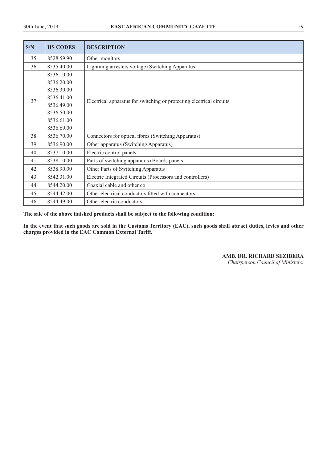| S/N | <b>HS CODES</b> | <b>DESCRIPTION</b>                                                   |  |
|-----|-----------------|----------------------------------------------------------------------|--|
| 35. | 8528.59.90      | Other monitors                                                       |  |
| 36. | 8535.40.00      | Lightning arresters voltage (Switching Apparatus                     |  |
|     | 8536.10.00      |                                                                      |  |
|     | 8536.20.00      |                                                                      |  |
|     | 8536.30.00      |                                                                      |  |
| 37. | 8536.41.00      | Electrical apparatus for switching or protecting electrical circuits |  |
|     | 8536.49.00      |                                                                      |  |
|     | 8536.50.00      |                                                                      |  |
|     | 8536.61.00      |                                                                      |  |
|     | 8536.69.00      |                                                                      |  |
| 38. | 8536.70.00      | Connectors for optical fibres (Switching Apparatus)                  |  |
| 39. | 8536.90.00      | Other apparatus (Switching Apparatus)                                |  |
| 40. | 8537.10.00      | Electric control panels                                              |  |
| 41. | 8538.10.00      | Parts of switching apparatus (Boards panels                          |  |
| 42. | 8538.90.00      | Other Parts of Switching Apparatus                                   |  |
| 43. | 8542.31.00      | Electric Integrated Circuits (Processors and controllers)            |  |
| 44. | 8544.20.00      | Coaxial cable and other co                                           |  |
| 45. | 8544.42.00      | Other electrical conductors fitted with connectors                   |  |
| 46. | 8544.49.00      | Other electric conductors                                            |  |

**The sale of the above finished products shall be subject to the following condition:** 

**In the event that such goods are sold in the Customs Territory (EAC), such goods shall attract duties, levies and other charges provided in the EAC Common External Tariff.** 

# **AMB. DR. RICHARD SEZIBERA**

*Chairperson Council of Ministers.*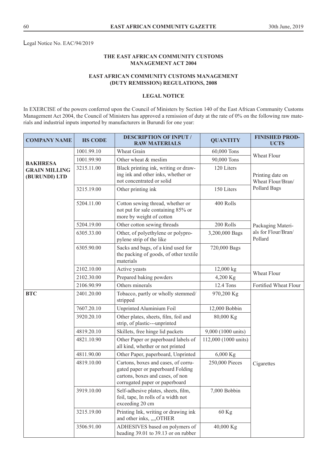Legal Notice No. EAC/94/2019

# **THE EAST AFRICAN COMMUNITY CUSTOMS MANAGEMENT ACT 2004**

# **EAST AFRICAN COMMUNITY CUSTOMS MANAGEMENT (DUTY REMISSION) REGULATIONS, 2008**

## **LEGAL NOTICE**

In EXERCISE of the powers conferred upon the Council of Ministers by Section 140 of the East African Community Customs Management Act 2004, the Council of Ministers has approved a remission of duty at the rate of 0% on the following raw materials and industrial inputs imported by manufacturers in Burundi for one year:

| <b>COMPANY NAME</b>                   | <b>HS CODE</b> | <b>DESCRIPTION OF INPUT /</b><br><b>RAW MATERIALS</b>                                                                                          | <b>QUANTITY</b>      | <b>FINISHED PROD-</b><br><b>UCTS</b>  |
|---------------------------------------|----------------|------------------------------------------------------------------------------------------------------------------------------------------------|----------------------|---------------------------------------|
|                                       | 1001.99.10     | Wheat Grain                                                                                                                                    | 60,000 Tons          | Wheat Flour                           |
| <b>BAKHRESA</b>                       | 1001.99.90     | Other wheat & meslim                                                                                                                           | 90,000 Tons          |                                       |
| <b>GRAIN MILLING</b><br>(BURUNDI) LTD | 3215.11.00     | Black printing ink, writing or draw-<br>ing ink and other inks, whether or<br>not concentrated or solid                                        | 120 Liters           | Printing date on<br>Wheat Flour/Bran/ |
|                                       | 3215.19.00     | Other printing ink                                                                                                                             | 150 Liters           | Pollard Bags                          |
|                                       | 5204.11.00     | Cotton sewing thread, whether or<br>not put for sale containing 85% or<br>more by weight of cotton                                             | 400 Rolls            |                                       |
|                                       | 5204.19.00     | Other cotton sewing threads                                                                                                                    | 200 Rolls            | Packaging Materi-                     |
|                                       | 6305.33.00     | Other, of polyethylene or polypro-<br>pylene strip of the like                                                                                 | 3,200,000 Bags       | als for Flour/Bran/<br>Pollard        |
|                                       | 6305.90.00     | Sacks and bags, of a kind used for<br>the packing of goods, of other textile<br>materials                                                      | 720,000 Bags         |                                       |
|                                       | 2102.10.00     | Active yeasts                                                                                                                                  | 12,000 kg            | Wheat Flour                           |
|                                       | 2102.30.00     | Prepared baking powders                                                                                                                        | 4,200 Kg             |                                       |
|                                       | 2106.90.99     | Others minerals                                                                                                                                | 12.4 Tons            | Fortified Wheat Flour                 |
| <b>BTC</b>                            | 2401.20.00     | Tobacco, partly or wholly stemmed/<br>stripped                                                                                                 | 970,200 Kg           |                                       |
|                                       | 7607.20.10     | Unprinted Aluminium Foil                                                                                                                       | 12,000 Bobbin        |                                       |
|                                       | 3920.20.10     | Other plates, sheets, film, foil and<br>strip, of plastic---unprinted                                                                          | 80,000 Kg            |                                       |
|                                       | 4819.20.10     | Skillets, free hinge lid packets                                                                                                               | 9,000 (1000 units)   |                                       |
|                                       | 4821.10.90     | Other Paper or paperboard labels of<br>all kind, whether or not printed                                                                        | 112,000 (1000 units) |                                       |
|                                       | 4811.90.00     | Other Paper, paperboard, Unprinted                                                                                                             | 6,000 Kg             |                                       |
|                                       | 4819.10.00     | Cartons, boxes and cases, of corru-<br>gated paper or paperboard Folding<br>cartons, boxes and cases, of non<br>corrugated paper or paperboard | 250,000 Pieces       | Cigarettes                            |
|                                       | 3919.10.00     | Self-adhesive plates, sheets, film,<br>foil, tape, In rolls of a width not<br>exceeding 20 cm                                                  | 7,000 Bobbin         |                                       |
|                                       | 3215.19.00     | Printing Ink, writing or drawing ink<br>and other inks, ,,,,OTHER                                                                              | 60 Kg                |                                       |
|                                       | 3506.91.00     | ADHESIVES based on polymers of<br>heading 39.01 to 39.13 or on rubber                                                                          | 40,000 Kg            |                                       |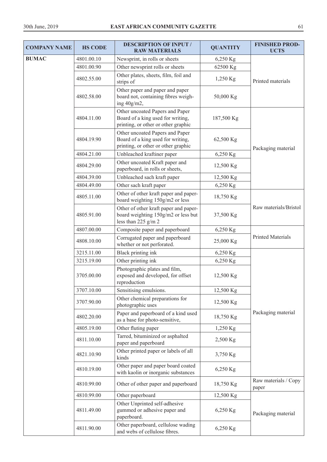| <b>COMPANY NAME</b> | <b>HS CODE</b> | <b>DESCRIPTION OF INPUT /</b><br><b>RAW MATERIALS</b>                                                       | <b>QUANTITY</b> | <b>FINISHED PROD-</b><br><b>UCTS</b> |
|---------------------|----------------|-------------------------------------------------------------------------------------------------------------|-----------------|--------------------------------------|
| <b>BUMAC</b>        | 4801.00.10     | Newsprint, in rolls or sheets                                                                               | 6,250 Kg        |                                      |
|                     | 4801.00.90     | Other newsprint rolls or sheets                                                                             | 62500 Kg        |                                      |
|                     | 4802.55.00     | Other plates, sheets, film, foil and<br>strips of                                                           | 1,250 Kg        | Printed materials                    |
|                     | 4802.58.00     | Other paper and paper and paper<br>board not, containing fibres weigh-<br>ing 40g/m2,                       | 50,000 Kg       |                                      |
|                     | 4804.11.00     | Other uncoated Papers and Paper<br>Board of a king used for writing,<br>printing, or other or other graphic | 187,500 Kg      |                                      |
|                     | 4804.19.90     | Other uncoated Papers and Paper<br>Board of a king used for writing,<br>printing, or other or other graphic | 62,500 Kg       | Packaging material                   |
|                     | 4804.21.00     | Unbleached kraftiner paper                                                                                  | 6,250 Kg        |                                      |
|                     | 4804.29.00     | Other uncoated Kraft paper and<br>paperboard, in rolls or sheets,                                           | 12,500 Kg       |                                      |
|                     | 4804.39.00     | Unbleached sach kraft paper                                                                                 | 12,500 Kg       |                                      |
|                     | 4804.49.00     | Other sach kraft paper                                                                                      | 6,250 Kg        |                                      |
|                     | 4805.11.00     | Other of other kraft paper and paper-<br>board weighting 150g/m2 or less                                    | 18,750 Kg       |                                      |
|                     | 4805.91.00     | Other of other kraft paper and paper-<br>board weighting 150g/m2 or less but<br>less than $225$ g/m 2       | 37,500 Kg       | Raw materials/Bristol                |
|                     | 4807.00.00     | Composite paper and paperboard                                                                              | 6,250 Kg        | <b>Printed Materials</b>             |
|                     | 4808.10.00     | Corrugated paper and paperboard<br>whether or not perforated.                                               | 25,000 Kg       |                                      |
|                     | 3215.11.00     | Black printing ink                                                                                          | 6,250 Kg        |                                      |
|                     | 3215.19.00     | Other printing ink                                                                                          | 6,250 Kg        |                                      |
|                     | 3705.00.00     | Photographic plates and film,<br>exposed and developed, for offset<br>reproduction                          | 12,500 Kg       |                                      |
|                     | 3707.10.00     | Sensitising emulsions.                                                                                      | 12,500 Kg       |                                      |
|                     | 3707.90.00     | Other chemical preparations for<br>photographic uses                                                        | 12,500 Kg       |                                      |
|                     | 4802.20.00     | Paper and paperboard of a kind used<br>as a base for photo-sensitive,                                       | 18,750 Kg       | Packaging material                   |
|                     | 4805.19.00     | Other fluting paper                                                                                         | 1,250 Kg        |                                      |
|                     | 4811.10.00     | Tarred, bituminized or asphalted<br>paper and paperboard                                                    | 2,500 Kg        |                                      |
|                     | 4821.10.90     | Other printed paper or labels of all<br>kinds                                                               | 3,750 Kg        |                                      |
|                     | 4810.19.00     | Other paper and paper board coated<br>with kaolin or inorganic substances                                   | 6,250 Kg        |                                      |
|                     | 4810.99.00     | Other of other paper and paperboard                                                                         | 18,750 Kg       | Raw materials / Copy<br>paper        |
|                     | 4810.99.00     | Other paperboard                                                                                            | 12,500 Kg       |                                      |
|                     | 4811.49.00     | Other Unprinted self-adhesive<br>gummed or adhesive paper and<br>paperboard.                                | 6,250 Kg        | Packaging material                   |
|                     | 4811.90.00     | Other paperboard, cellulose wading<br>and webs of cellulose fibres.                                         | 6,250 Kg        |                                      |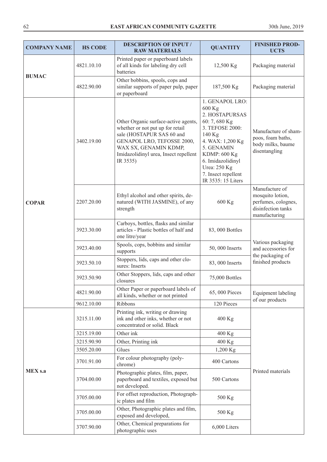| <b>COMPANY NAME</b> | <b>HS CODE</b> | <b>DESCRIPTION OF INPUT /</b><br><b>RAW MATERIALS</b>                                                                                                                                                             | <b>QUANTITY</b>                                                                                                                                                                                                                             | <b>FINISHED PROD-</b><br><b>UCTS</b>                                                             |
|---------------------|----------------|-------------------------------------------------------------------------------------------------------------------------------------------------------------------------------------------------------------------|---------------------------------------------------------------------------------------------------------------------------------------------------------------------------------------------------------------------------------------------|--------------------------------------------------------------------------------------------------|
|                     | 4821.10.10     | Printed paper or paperboard labels<br>of all kinds for labeling dry cell<br>batteries                                                                                                                             | 12,500 Kg                                                                                                                                                                                                                                   | Packaging material                                                                               |
| <b>BUMAC</b>        | 4822.90.00     | Other bobbins, spools, cops and<br>similar supports of paper pulp, paper<br>or paperboard                                                                                                                         | 187,500 Kg                                                                                                                                                                                                                                  | Packaging material                                                                               |
|                     | 3402.19.00     | Other Organic surface-active agents,<br>whether or not put up for retail<br>sale (HOSTAPUR SAS 60 and<br>GENAPOL LRO, TEFOSSE 2000,<br>WAX SX, GENAMIN KDMP,<br>Imidazolidinyl urea, Insect repellent<br>IR 3535) | 1. GENAPOL LRO:<br>600 Kg<br>2. HOSTAPURSAS<br>60: 7, 680 Kg<br>3. TEFOSE 2000:<br>140 Kg<br>4. WAX: 1,200 Kg<br>5. GENAMIN<br><b>KDMP: 600 Kg</b><br>6. Imidazolidinyl<br><b>Urea: 250 Kg</b><br>7. Insect repellent<br>IR 3535: 15 Liters | Manufacture of sham-<br>poos, foam baths,<br>body milks, baume<br>disentangling                  |
| <b>COPAR</b>        | 2207.20.00     | Ethyl alcohol and other spirits, de-<br>natured (WITH JASMINE), of any<br>strength                                                                                                                                | 600 Kg                                                                                                                                                                                                                                      | Manufacture of<br>mosquito lotion,<br>perfumes, colognes,<br>disinfection tanks<br>manufacturing |
|                     | 3923.30.00     | Carboys, bottles, flasks and similar<br>articles - Plastic bottles of half and<br>one litre/year                                                                                                                  | 83,000 Bottles                                                                                                                                                                                                                              |                                                                                                  |
|                     | 3923.40.00     | Spools, cops, bobbins and similar<br>supports                                                                                                                                                                     | 50,000 Inserts                                                                                                                                                                                                                              | Various packaging<br>and accessories for<br>the packaging of<br>finished products                |
|                     | 3923.50.10     | Stoppers, lids, caps and other clo-<br>sures: Inserts                                                                                                                                                             | 83,000 Inserts                                                                                                                                                                                                                              |                                                                                                  |
|                     | 3923.50.90     | Other Stoppers, lids, caps and other<br>closures                                                                                                                                                                  | 75,000 Bottles                                                                                                                                                                                                                              |                                                                                                  |
|                     | 4821.90.00     | Other Paper or paperboard labels of<br>all kinds, whether or not printed                                                                                                                                          | 65,000 Pieces                                                                                                                                                                                                                               | Equipment labeling                                                                               |
|                     | 9612.10.00     | Ribbons                                                                                                                                                                                                           | 120 Pieces                                                                                                                                                                                                                                  | of our products                                                                                  |
|                     | 3215.11.00     | Printing ink, writing or drawing<br>ink and other inks, whether or not<br>concentrated or solid. Black                                                                                                            | 400 Kg                                                                                                                                                                                                                                      |                                                                                                  |
|                     | 3215.19.00     | Other ink                                                                                                                                                                                                         | $400$ Kg                                                                                                                                                                                                                                    |                                                                                                  |
|                     | 3215.90.90     | Other, Printing ink                                                                                                                                                                                               | 400 Kg                                                                                                                                                                                                                                      |                                                                                                  |
|                     | 3505.20.00     | Glues                                                                                                                                                                                                             | 1,200 Kg                                                                                                                                                                                                                                    |                                                                                                  |
| <b>MEX s.a</b>      | 3701.91.00     | For colour photography (poly-<br>chrome)                                                                                                                                                                          | 400 Cartons                                                                                                                                                                                                                                 |                                                                                                  |
|                     | 3704.00.00     | Photographic plates, film, paper,<br>paperboard and textiles, exposed but<br>not developed.                                                                                                                       | 500 Cartons                                                                                                                                                                                                                                 | Printed materials                                                                                |
|                     | 3705.00.00     | For offset reproduction, Photograph-<br>ic plates and film                                                                                                                                                        | 500 Kg                                                                                                                                                                                                                                      |                                                                                                  |
|                     | 3705.00.00     | Other, Photographic plates and film,<br>exposed and developed,                                                                                                                                                    | 500 Kg                                                                                                                                                                                                                                      |                                                                                                  |
|                     | 3707.90.00     | Other, Chemical preparations for<br>photographic uses                                                                                                                                                             | 6,000 Liters                                                                                                                                                                                                                                |                                                                                                  |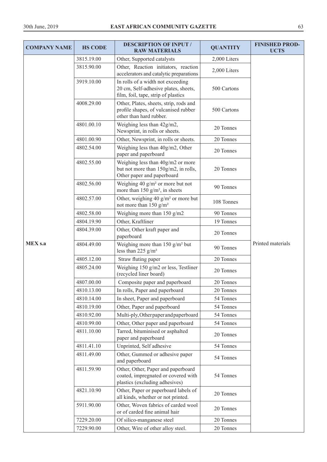| <b>COMPANY NAME</b> | <b>HS CODE</b> | <b>DESCRIPTION OF INPUT /</b><br><b>RAW MATERIALS</b>                                                            | <b>QUANTITY</b> | <b>FINISHED PROD-</b><br><b>UCTS</b> |
|---------------------|----------------|------------------------------------------------------------------------------------------------------------------|-----------------|--------------------------------------|
|                     | 3815.19.00     | Other, Supported catalysts                                                                                       | 2,000 Liters    |                                      |
|                     | 3815.90.00     | Other, Reaction initiators, reaction<br>accelerators and catalytic preparations                                  | 2,000 Liters    |                                      |
|                     | 3919.10.00     | In rolls of a width not exceeding<br>20 cm, Self-adhesive plates, sheets,<br>film, foil, tape, strip of plastics | 500 Cartons     |                                      |
|                     | 4008.29.00     | Other, Plates, sheets, strip, rods and<br>profile shapes, of vulcanised rubber<br>other than hard rubber.        | 500 Cartons     |                                      |
|                     | 4801.00.10     | Weighing less than 42g/m2,<br>Newsprint, in rolls or sheets.                                                     | 20 Tonnes       |                                      |
|                     | 4801.00.90     | Other, Newsprint, in rolls or sheets.                                                                            | 20 Tonnes       |                                      |
|                     | 4802.54.00     | Weighing less than 40g/m2, Other<br>paper and paperboard                                                         | 20 Tonnes       |                                      |
|                     | 4802.55.00     | Weighing less than 40g/m2 or more<br>but not more than 150g/m2, in rolls,<br>Other paper and paperboard          | 20 Tonnes       |                                      |
|                     | 4802.56.00     | Weighing 40 $g/m^2$ or more but not<br>more than 150 $g/m^2$ , in sheets                                         | 90 Tonnes       |                                      |
|                     | 4802.57.00     | Other, weighing 40 $g/m^2$ or more but<br>not more than 150 $g/m^2$                                              | 108 Tonnes      |                                      |
|                     | 4802.58.00     | Weighing more than 150 g/m2                                                                                      | 90 Tonnes       |                                      |
|                     | 4804.19.90     | Other, Kraftliner                                                                                                | 19 Tonnes       |                                      |
|                     | 4804.39.00     | Other, Other kraft paper and<br>paperboard                                                                       | 20 Tonnes       | Printed materials                    |
| <b>MEX s.a</b>      | 4804.49.00     | Weighing more than $150$ g/m <sup>2</sup> but<br>less than 225 $g/m^2$                                           | 90 Tonnes       |                                      |
|                     | 4805.12.00     | Straw fluting paper                                                                                              | 20 Tonnes       |                                      |
|                     | 4805.24.00     | Weighing 150 g/m2 or less, Testliner<br>(recycled liner board)                                                   | 20 Tonnes       |                                      |
|                     | 4807.00.00     | Composite paper and paperboard                                                                                   | 20 Tonnes       |                                      |
|                     | 4810.13.00     | In rolls, Paper and paperboard                                                                                   | 20 Tonnes       |                                      |
|                     | 4810.14.00     | In sheet, Paper and paperboard                                                                                   | 54 Tonnes       |                                      |
|                     | 4810.19.00     | Other, Paper and paperboard                                                                                      | 54 Tonnes       |                                      |
|                     | 4810.92.00     | Multi-ply, Other paper and paperboard                                                                            | 54 Tonnes       |                                      |
|                     | 4810.99.00     | Other, Other paper and paperboard                                                                                | 54 Tonnes       |                                      |
|                     | 4811.10.00     | Tarred, bituminised or asphalted<br>paper and paperboard                                                         | 20 Tonnes       |                                      |
|                     | 4811.41.10     | Unprinted, Self adhesive                                                                                         | 54 Tonnes       |                                      |
|                     | 4811.49.00     | Other, Gummed or adhesive paper<br>and paperboard                                                                | 54 Tonnes       |                                      |
|                     | 4811.59.90     | Other, Other, Paper and paperboard<br>coated, impregnated or covered with<br>plastics (excluding adhesives)      | 54 Tonnes       |                                      |
|                     | 4821.10.90     | Other, Paper or paperboard labels of<br>all kinds, whether or not printed.                                       | 20 Tonnes       |                                      |
|                     | 5911.90.00     | Other, Woven fabrics of carded wool<br>or of carded fine animal hair                                             | 20 Tonnes       |                                      |
|                     | 7229.20.00     | Of silico-manganese steel                                                                                        | 20 Tonnes       |                                      |
|                     | 7229.90.00     | Other, Wire of other alloy steel.                                                                                | 20 Tonnes       |                                      |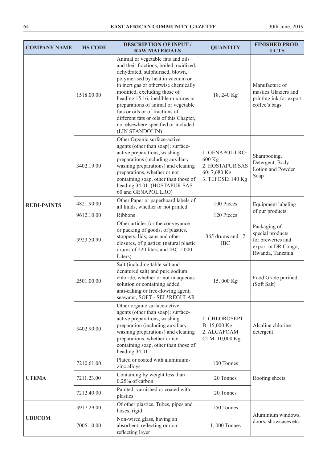| <b>COMPANY NAME</b> | <b>HS CODE</b> | <b>DESCRIPTION OF INPUT /</b><br><b>RAW MATERIALS</b>                                                                                                                                                                                                                                                                                                                                                                                            | <b>QUANTITY</b>                                                                   | <b>FINISHED PROD-</b><br><b>UCTS</b>                                                             |
|---------------------|----------------|--------------------------------------------------------------------------------------------------------------------------------------------------------------------------------------------------------------------------------------------------------------------------------------------------------------------------------------------------------------------------------------------------------------------------------------------------|-----------------------------------------------------------------------------------|--------------------------------------------------------------------------------------------------|
|                     | 1518.00.00     | Animal or vegetable fats and oils<br>and their fractions, boiled, oxidized,<br>dehydrated, sulphurised, blown,<br>polymerised by heat in vacuum or<br>in inert gas or otherwise chemically<br>modified, excluding those of<br>heading 15.16; inedible mixtures or<br>preparations of animal or vegetable<br>fats or oils or of fractions of<br>different fats or oils of this Chapter,<br>not elsewhere specified or included<br>(LIN STANDOLIN) | 18, 240 Kg                                                                        | Manufacture of<br>mastics Glaziers and<br>printing ink for export<br>coffee's bags               |
|                     | 3402.19.00     | Other Organic surface-active<br>agents (other than soap); surface-<br>active preparations, washing<br>preparations (including auxiliary<br>washing preparations) and cleaning<br>preparations, whether or not<br>containing soap, other than those of<br>heading 34.01. (HOSTAPUR SAS<br>60 and GENAPOL LRO)                                                                                                                                     | 1. GENAPOL LRO:<br>600 Kg<br>2. HOSTAPUR SAS<br>60: 7,680 Kg<br>3. TEFOSE: 140 Kg | Shampooing,<br>Detergent, Body<br>Lotion and Powder<br>Soap                                      |
| <b>RUDI-PAINTS</b>  | 4821.90.00     | Other Paper or paperboard labels of<br>all kinds, whether or not printed                                                                                                                                                                                                                                                                                                                                                                         | 100 Pieces                                                                        | <b>Equipment labeling</b><br>of our products                                                     |
|                     | 9612.10.00     | Ribbons                                                                                                                                                                                                                                                                                                                                                                                                                                          | 120 Pieces                                                                        |                                                                                                  |
|                     | 3923.50.90     | Other articles for the conveyance<br>or packing of goods, of plastics,<br>stoppers, lids, caps and other<br>closures, of plastics: (natural plastic<br>drums of 220 liters and IBC 1.000<br>Liters)                                                                                                                                                                                                                                              | 365 drums and 17<br><b>IBC</b>                                                    | Packaging of<br>special products<br>for breweries and<br>export in DR Congo,<br>Rwanda, Tanzania |
|                     | 2501.00.00     | Salt (including table salt and<br>denatured salt) and pure sodium<br>chloride, whether or not in aqueous<br>solution or containing added<br>anti-caking or free-flowing agent;<br>seawater, SOFT - SEL*REGULAR                                                                                                                                                                                                                                   | 15,000 Kg                                                                         | Food Grade purified<br>(Soft Salt)                                                               |
|                     | 3402.90.00     | Other organic surface-active<br>agents (other than soap); surface-<br>active preparations, washing<br>preparation (including auxiliary<br>washing preparations) and cleaning<br>preparations, whether or not<br>containing soap, other than those of<br>heading 34,01                                                                                                                                                                            | 1. CHLOROSEPT<br>B: 15,000 Kg<br>2. ALCAFOAM<br>CLM: 10,000 Kg                    | Alcaline chlorine<br>detergent                                                                   |
|                     | 7210.61.00     | Plated or coated with aluminium-<br>zinc alloys                                                                                                                                                                                                                                                                                                                                                                                                  | 100 Tonnes                                                                        |                                                                                                  |
| <b>UTEMA</b>        | 7211.23.00     | Containing by weight less than<br>0.25% of carbon                                                                                                                                                                                                                                                                                                                                                                                                | 20 Tonnes                                                                         | Roofing sheets                                                                                   |
|                     | 7212.40.00     | Painted, varnished or coated with<br>plastics                                                                                                                                                                                                                                                                                                                                                                                                    | 20 Tonnes                                                                         |                                                                                                  |
|                     | 3917.29.00     | Of other plastics, Tubes, pipes and<br>hoses, rigid:                                                                                                                                                                                                                                                                                                                                                                                             | 150 Tonnes                                                                        | Aluminium windows,                                                                               |
| <b>UBUCOM</b>       | 7005.10.00     | Non-wired glass, having an<br>absorbent, reflecting or non-<br>reflecting layer                                                                                                                                                                                                                                                                                                                                                                  | 1,000 Tonnes                                                                      | doors, showcases etc.                                                                            |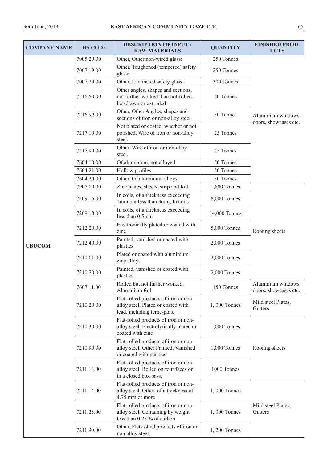| <b>COMPANY NAME</b> | <b>HS CODE</b> | <b>DESCRIPTION OF INPUT /</b><br><b>RAW MATERIALS</b>                                                    | <b>QUANTITY</b> | <b>FINISHED PROD-</b><br><b>UCTS</b>        |
|---------------------|----------------|----------------------------------------------------------------------------------------------------------|-----------------|---------------------------------------------|
|                     | 7005.29.00     | Other, Other non-wired glass:                                                                            | 250 Tonnes      |                                             |
|                     | 7007.19.00     | Other, Toughened (tempered) safety<br>glass:                                                             | 250 Tonnes      |                                             |
|                     | 7007.29.00     | Other, Laminated safety glass:                                                                           | 300 Tonnes      | Aluminium windows,<br>doors, showcases etc. |
|                     | 7216.50.00     | Other angles, shapes and sections,<br>not further worked than hot-rolled,<br>hot-drawn or extruded       | 50 Tonnes       |                                             |
|                     | 7216.99.00     | Other, Other Angles, shapes and<br>sections of iron or non-alloy steel.                                  | 50 Tonnes       |                                             |
|                     | 7217.10.00     | Not plated or coated, whether or not<br>polished, Wire of iron or non-alloy<br>steel.                    | 25 Tonnes       |                                             |
|                     | 7217.90.00     | Other, Wire of iron or non-alloy<br>steel.                                                               | 25 Tonnes       |                                             |
|                     | 7604.10.00     | Of aluminium, not alloyed                                                                                | 50 Tonnes       |                                             |
|                     | 7604.21.00     | Hollow profiles                                                                                          | 50 Tonnes       |                                             |
|                     | 7604.29.00     | Other, Of aluminium alloys:                                                                              | 50 Tonnes       |                                             |
|                     | 7905.00.00     | Zinc plates, sheets, strip and foil                                                                      | 1,800 Tonnes    |                                             |
|                     | 7209.16.00     | In coils, of a thickness exceeding<br>1mm but less than 3mm, In coils                                    | 8,000 Tonnes    |                                             |
|                     | 7209.18.00     | In coils, of a thickness exceeding<br>less than 0.5mm                                                    | 14,000 Tonnes   | Roofing sheets                              |
|                     | 7212.20.00     | Electronically plated or coated with<br>zinc                                                             | 5,000 Tonnes    |                                             |
| <b>UBUCOM</b>       | 7212.40.00     | Painted, vanished or coated with<br>plastics                                                             | 2,000 Tonnes    |                                             |
|                     | 7210.61.00     | Plated or coated with aluminium<br>zinc alloys                                                           | 2,000 Tonnes    |                                             |
|                     | 7210.70.00     | Painted, vanished or coated with<br>plastics                                                             | 2,000 Tonnes    |                                             |
|                     | 7607.11.00     | Rolled but not further worked,<br>Aluminium foil                                                         | 150 Tonnes      | Aluminium windows,<br>doors, showcases etc. |
|                     | 7210.20.00     | Flat-rolled products of iron or non<br>alloy steel, Plated or coated with<br>lead, including terne-plate | 1,000 Tonnes    | Mild steel Plates,<br>Gutters               |
|                     | 7210.30.00     | Flat-rolled products of iron or non-<br>alloy steel, Electrolytically plated or<br>coated with zinc      | 1,000 Tonnes    |                                             |
|                     | 7210.90.00     | Flat-rolled products of iron or non-<br>alloy steel, Other Painted, Vanished<br>or coated with plastics  | 1,000 Tonnes    | Roofing sheets                              |
|                     | 7211.13.00     | Flat-rolled products of iron or non-<br>alloy steel, Rolled on four faces or<br>in a closed box pass,    | 1000 Tonnes     |                                             |
|                     | 7211.14.00     | Flat-rolled products of iron or non-<br>alloy steel, Other, of a thickness of<br>4.75 mm or more         | 1,000 Tonnes    |                                             |
|                     | 7211.23.00     | Flat-rolled products of iron or non-<br>alloy steel, Containing by weight<br>less than 0.25 % of carbon  | 1,000 Tonnes    | Mild steel Plates,<br>Gutters               |
|                     | 7211.90.00     | Other, Flat-rolled products of iron or<br>non alloy steel,                                               | 1, 200 Tonnes   |                                             |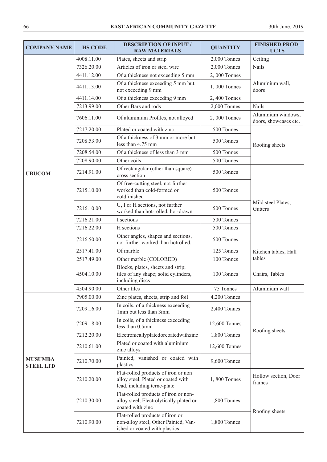| <b>COMPANY NAME</b>                | <b>HS CODE</b> | <b>DESCRIPTION OF INPUT /</b><br><b>RAW MATERIALS</b>                                                    | <b>QUANTITY</b> | <b>FINISHED PROD-</b><br><b>UCTS</b>        |
|------------------------------------|----------------|----------------------------------------------------------------------------------------------------------|-----------------|---------------------------------------------|
|                                    | 4008.11.00     | Plates, sheets and strip                                                                                 | 2,000 Tonnes    | Ceiling                                     |
|                                    | 7326.20.00     | Articles of iron or steel wire                                                                           | 2,000 Tonnes    | <b>Nails</b>                                |
|                                    | 4411.12.00     | Of a thickness not exceeding 5 mm                                                                        | 2,000 Tonnes    |                                             |
|                                    | 4411.13.00     | Of a thickness exceeding 5 mm but<br>not exceeding 9 mm                                                  | 1,000 Tonnes    | Aluminium wall,<br>doors                    |
|                                    | 4411.14.00     | Of a thickness exceeding 9 mm                                                                            | 2,400 Tonnes    |                                             |
|                                    | 7213.99.00     | Other Bars and rods                                                                                      | 2,000 Tonnes    | <b>Nails</b>                                |
|                                    | 7606.11.00     | Of aluminium Profiles, not alloyed                                                                       | 2,000 Tonnes    | Aluminium windows,<br>doors, showcases etc. |
|                                    | 7217.20.00     | Plated or coated with zinc                                                                               | 500 Tonnes      |                                             |
|                                    | 7208.53.00     | Of a thickness of 3 mm or more but<br>less than 4.75 mm                                                  | 500 Tonnes      | Roofing sheets                              |
|                                    | 7208.54.00     | Of a thickness of less than 3 mm                                                                         | 500 Tonnes      |                                             |
|                                    | 7208.90.00     | Other coils                                                                                              | 500 Tonnes      |                                             |
| <b>UBUCOM</b>                      | 7214.91.00     | Of rectangular (other than square)<br>cross section                                                      | 500 Tonnes      |                                             |
|                                    | 7215.10.00     | Of free-cutting steel, not further<br>worked than cold-formed or<br>coldfinished                         | 500 Tonnes      | Mild steel Plates,<br>Gutters               |
|                                    | 7216.10.00     | U, I or H sections, not further<br>worked than hot-rolled, hot-drawn                                     | 500 Tonnes      |                                             |
|                                    | 7216.21.00     | I sections                                                                                               | 500 Tonnes      |                                             |
|                                    | 7216.22.00     | H sections                                                                                               | 500 Tonnes      |                                             |
|                                    | 7216.50.00     | Other angles, shapes and sections,<br>not further worked than hotrolled,                                 | 500 Tonnes      |                                             |
|                                    | 2517.41.00     | Of marble                                                                                                | 125 Tonnes      | Kitchen tables, Hall                        |
|                                    | 2517.49.00     | Other marble (COLORED)                                                                                   | 100 Tonnes      | tables                                      |
|                                    | 4504.10.00     | Blocks, plates, sheets and strip;<br>tiles of any shape; solid cylinders,<br>including discs             | 100 Tonnes      | Chairs, Tables                              |
|                                    | 4504.90.00     | Other tiles                                                                                              | 75 Tonnes       | Aluminium wall                              |
|                                    | 7905.00.00     | Zinc plates, sheets, strip and foil                                                                      | 4,200 Tonnes    |                                             |
|                                    | 7209.16.00     | In coils, of a thickness exceeding<br>1mm but less than 3mm                                              | 2,400 Tonnes    |                                             |
|                                    | 7209.18.00     | In coils, of a thickness exceeding<br>less than 0.5mm                                                    | 12,600 Tonnes   | Roofing sheets                              |
|                                    | 7212.20.00     | Electronicallyplatedorcoatedwithzinc                                                                     | 1,800 Tonnes    |                                             |
| <b>MUSUMBA</b><br><b>STEEL LTD</b> | 7210.61.00     | Plated or coated with aluminium<br>zinc alloys                                                           | 12,600 Tonnes   |                                             |
|                                    | 7210.70.00     | Painted, vanished or coated with<br>plastics                                                             | 9,600 Tonnes    |                                             |
|                                    | 7210.20.00     | Flat-rolled products of iron or non<br>alloy steel, Plated or coated with<br>lead, including terne-plate | 1,800 Tonnes    | Hollow section, Door<br>frames              |
|                                    | 7210.30.00     | Flat-rolled products of iron or non-<br>alloy steel, Electrolytically plated or<br>coated with zinc      | 1,800 Tonnes    |                                             |
|                                    | 7210.90.00     | Flat-rolled products of iron or<br>non-alloy steel, Other Painted, Van-<br>ished or coated with plastics | 1,800 Tonnes    | Roofing sheets                              |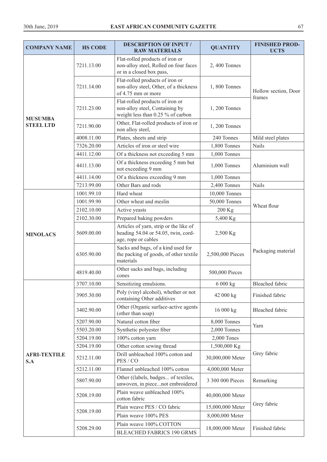| <b>COMPANY NAME</b>        | <b>HS CODE</b> | <b>DESCRIPTION OF INPUT /</b><br><b>RAW MATERIALS</b>                                                  | <b>QUANTITY</b>  | <b>FINISHED PROD-</b><br><b>UCTS</b> |
|----------------------------|----------------|--------------------------------------------------------------------------------------------------------|------------------|--------------------------------------|
|                            | 7211.13.00     | Flat-rolled products of iron or<br>non-alloy steel, Rolled on four faces<br>or in a closed box pass,   | 2,400 Tonnes     |                                      |
| <b>MUSUMBA</b>             | 7211.14.00     | Flat-rolled products of iron or<br>non-alloy steel, Other, of a thickness<br>of 4.75 mm or more        | 1,800 Tonnes     | Hollow section, Door                 |
|                            | 7211.23.00     | Flat-rolled products of iron or<br>non-alloy steel, Containing by<br>weight less than 0.25 % of carbon | 1, 200 Tonnes    | frames                               |
| <b>STEEL LTD</b>           | 7211.90.00     | Other, Flat-rolled products of iron or<br>non alloy steel,                                             | 1, 200 Tonnes    |                                      |
|                            | 4008.11.00     | Plates, sheets and strip                                                                               | 240 Tonnes       | Mild steel plates                    |
|                            | 7326.20.00     | Articles of iron or steel wire                                                                         | 1,800 Tonnes     | <b>Nails</b>                         |
|                            | 4411.12.00     | Of a thickness not exceeding 5 mm                                                                      | 1,000 Tonnes     |                                      |
|                            | 4411.13.00     | Of a thickness exceeding 5 mm but<br>not exceeding 9 mm                                                | 1,000 Tonnes     | Aluminium wall                       |
|                            | 4411.14.00     | Of a thickness exceeding 9 mm                                                                          | 1,000 Tonnes     |                                      |
|                            | 7213.99.00     | Other Bars and rods                                                                                    | 2,400 Tonnes     | <b>Nails</b>                         |
|                            | 1001.99.10     | Hard wheat                                                                                             | 10,000 Tonnes    |                                      |
|                            | 1001.99.90     | Other wheat and meslin                                                                                 | 50,000 Tonnes    | Wheat flour                          |
| <b>MINOLACS</b>            | 2102.10.00     | Active yeasts                                                                                          | 200 Kg           |                                      |
|                            | 2102.30.00     | Prepared baking powders                                                                                | 5,400 Kg         |                                      |
|                            | 5609.00.00     | Articles of yarn, strip or the like of<br>heading 54.04 or 54.05, twin, cord-<br>age, rope or cables   | 2,500 Kg         | Packaging material                   |
|                            | 6305.90.00     | Sacks and bags, of a kind used for<br>the packing of goods, of other textile<br>materials              | 2,500,000 Pieces |                                      |
|                            | 4819.40.00     | Other sacks and bags, including<br>cones                                                               | 500,000 Pieces   |                                      |
|                            | 3707.10.00     | Sensitizing emulsions.                                                                                 | 6 000 kg         | Bleached fabric                      |
|                            | 3905.30.00     | Poly (vinyl alcohol), whether or not<br>containing Other additives                                     | 42 000 kg        | Finished fabric                      |
|                            | 3402.90.00     | Other (Organic surface-active agents<br>(other than soap)                                              | 16 000 kg        | Bleached fabric                      |
|                            | 5207.90.00     | Natural cotton fiber                                                                                   | 8,000 Tonnes     | Yarn                                 |
|                            | 5503.20.00     | Synthetic polyester fiber                                                                              | 2,000 Tonnes     |                                      |
|                            | 5204.19.00     | 100% cotton yarn                                                                                       | 2,000 Tones      |                                      |
|                            | 5204.19.00     | Other cotton sewing thread                                                                             | 1,500,000 Kg     |                                      |
| <b>AFRI-TEXTILE</b><br>S.A | 5212.11.00     | Drill unbleached 100% cotton and<br>PES / CO                                                           | 30,000,000 Meter | Grey fabric                          |
|                            | 5212.11.00     | Flannel unbleached 100% cotton                                                                         | 4,000,000 Meter  |                                      |
|                            | 5807.90.00     | Other ((labels, badges of textiles,<br>unwoven, in piecenot embroidered                                | 3 300 000 Pieces | Remarking                            |
|                            | 5208.19.00     | Plain weave unbleached 100%<br>cotton fabric                                                           | 40,000,000 Meter |                                      |
|                            |                | Plain weave PES / CO fabric                                                                            | 15,000,000 Meter | Grey fabric                          |
|                            | 5208.19.00     | Plain weave 100% PES                                                                                   | 8,000,000 Meter  |                                      |
|                            | 5208.29.00     | Plain weave 100% COTTON<br><b>BLEACHED FABRICS 190 GRMS</b>                                            | 18,000,000 Meter | Finished fabric                      |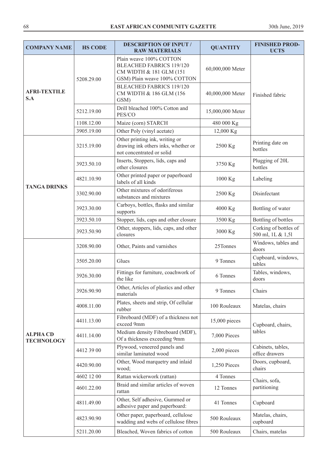| <b>COMPANY NAME</b>                  | <b>HS CODE</b> | <b>DESCRIPTION OF INPUT /</b><br><b>RAW MATERIALS</b>                                                                 | <b>QUANTITY</b>  | <b>FINISHED PROD-</b><br><b>UCTS</b>       |
|--------------------------------------|----------------|-----------------------------------------------------------------------------------------------------------------------|------------------|--------------------------------------------|
| <b>AFRI-TEXTILE</b><br>S.A           | 5208.29.00     | Plain weave 100% COTTON<br><b>BLEACHED FABRICS 119/120</b><br>CM WIDTH & 181 GLM (151<br>GSM) Plain weave 100% COTTON | 60,000,000 Meter | Finished fabric                            |
|                                      |                | <b>BLEACHED FABRICS 119/120</b><br>CM WIDTH & 186 GLM (156<br>GSM)                                                    | 40,000,000 Meter |                                            |
|                                      | 5212.19.00     | Drill bleached 100% Cotton and<br>PES/CO                                                                              | 15,000,000 Meter |                                            |
|                                      | 1108.12.00     | Maize (corn) STARCH                                                                                                   | 480 000 Kg       |                                            |
|                                      | 3905.19.00     | Other Poly (vinyl acetate)                                                                                            | 12,000 Kg        |                                            |
|                                      | 3215.19.00     | Other printing ink, writing or<br>drawing ink others inks, whether or<br>not concentrated or solid                    | 2500 Kg          | Printing date on<br>bottles                |
|                                      | 3923.50.10     | Inserts, Stoppers, lids, caps and<br>other closures                                                                   | 3750 Kg          | Plugging of 20L<br>bottles                 |
| <b>TANGA DRINKS</b>                  | 4821.10.90     | Other printed paper or paperboard<br>labels of all kinds                                                              | 1000 Kg          | Labeling                                   |
|                                      | 3302.90.00     | Other mixtures of odoriferous<br>substances and mixtures                                                              | 2500 Kg          | Disinfectant                               |
|                                      | 3923.30.00     | Carboys, bottles, flasks and similar<br>supports                                                                      | 4000 Kg          | Bottling of water                          |
|                                      | 3923.50.10     | Stopper, lids, caps and other closure                                                                                 | 3500 Kg          | Bottling of bottles                        |
|                                      | 3923.50.90     | Other, stoppers, lids, caps, and other<br>closures                                                                    | 3000 Kg          | Corking of bottles of<br>500 ml, 1L & 1,51 |
|                                      | 3208.90.00     | Other, Paints and varnishes                                                                                           | 25Tonnes         | Windows, tables and<br>doors               |
|                                      | 3505.20.00     | Glues                                                                                                                 | 9 Tonnes         | Cupboard, windows,<br>tables               |
|                                      | 3926.30.00     | Fittings for furniture, coachwork of<br>the like                                                                      | 6 Tonnes         | Tables, windows,<br>doors                  |
|                                      | 3926.90.90     | Other, Articles of plastics and other<br>materials                                                                    | 9 Tonnes         | Chairs                                     |
|                                      | 4008.11.00     | Plates, sheets and strip, Of cellular<br>rubber                                                                       | 100 Rouleaux     | Matelas, chairs                            |
|                                      | 4411.13.00     | Fibreboard (MDF) of a thickness not<br>exceed 9mm                                                                     | 15,000 pieces    | Cupboard, chairs,                          |
| <b>ALPHA CD</b><br><b>TECHNOLOGY</b> | 4411.14.00     | Medium density Fibreboard (MDF),<br>Of a thickness exceeding 9mm                                                      | 7,000 Pieces     | tables                                     |
|                                      | 4412 39 00     | Plywood, veneered panels and<br>similar laminated wood                                                                | 2,000 pieces     | Cabinets, tables,<br>office drawers        |
|                                      | 4420.90.00     | Other, Wood marquetry and inlaid<br>wood;                                                                             | 1,250 Pieces     | Doors, cupboard,<br>chairs                 |
|                                      | 4602 12 00     | Rattan wickerwork (rattan)                                                                                            | 4 Tonnes         | Chairs, sofa,                              |
|                                      | 4601.22.00     | Braid and similar articles of woven<br>rattan                                                                         | 12 Tonnes        | partitioning                               |
|                                      | 4811.49.00     | Other, Self adhesive, Gummed or<br>adhesive paper and paperboard:                                                     | 41 Tonnes        | Cupboard                                   |
|                                      | 4823.90.90     | Other paper, paperboard, cellulose<br>wadding and webs of cellulose fibres                                            | 500 Rouleaux     | Matelas, chairs,<br>cupboard               |
|                                      | 5211.20.00     | Bleached, Woven fabrics of cotton                                                                                     | 500 Rouleaux     | Chairs, matelas                            |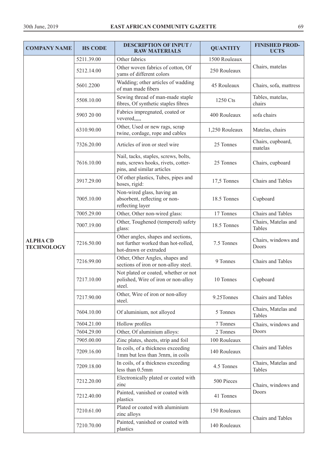| <b>COMPANY NAME</b>                  | <b>HS CODE</b> | <b>DESCRIPTION OF INPUT /</b><br><b>RAW MATERIALS</b>                                                     | <b>QUANTITY</b> | <b>FINISHED PROD-</b><br><b>UCTS</b> |
|--------------------------------------|----------------|-----------------------------------------------------------------------------------------------------------|-----------------|--------------------------------------|
|                                      | 5211.39.00     | Other fabrics                                                                                             | 1500 Rouleaux   |                                      |
|                                      | 5212.14.00     | Other woven fabrics of cotton, Of<br>yams of different colors                                             | 250 Rouleaux    | Chairs, matelas                      |
|                                      | 5601.2200      | Wadding; other articles of wadding<br>of man made fibers                                                  | 45 Rouleaux     | Chairs, sofa, mattress               |
|                                      | 5508.10.00     | Sewing thread of man-made staple<br>fibres, Of synthetic staples fibres                                   | 1250 Cts        | Tables, matelas,<br>chairs           |
|                                      | 5903 20 00     | Fabrics impregnated, coated or<br>vevered,,,,,                                                            | 400 Rouleaux    | sofa chairs                          |
|                                      | 6310.90.00     | Other, Used or new rags, scrap<br>twine, cordage, rope and cables                                         | 1,250 Rouleaux  | Matelas, chairs                      |
|                                      | 7326.20.00     | Articles of iron or steel wire                                                                            | 25 Tonnes       | Chairs, cupboard,<br>matelas         |
|                                      | 7616.10.00     | Nail, tacks, staples, screws, bolts,<br>nuts, screws hooks, rivets, cotter-<br>pins, and similar articles | 25 Tonnes       | Chairs, cupboard                     |
|                                      | 3917.29.00     | Of other plastics, Tubes, pipes and<br>hoses, rigid:                                                      | 17,5 Tonnes     | Chairs and Tables                    |
|                                      | 7005.10.00     | Non-wired glass, having an<br>absorbent, reflecting or non-<br>reflecting layer                           | 18.5 Tonnes     | Cupboard                             |
|                                      | 7005.29.00     | Other, Other non-wired glass:                                                                             | 17 Tonnes       | Chairs and Tables                    |
|                                      | 7007.19.00     | Other, Toughened (tempered) safety<br>glass:                                                              | 18.5 Tonnes     | Chairs, Matelas and<br>Tables        |
| <b>ALPHA CD</b><br><b>TECHNOLOGY</b> | 7216.50.00     | Other angles, shapes and sections,<br>not further worked than hot-rolled,<br>hot-drawn or extruded        | 7.5 Tonnes      | Chairs, windows and<br>Doors         |
|                                      | 7216.99.00     | Other, Other Angles, shapes and<br>sections of iron or non-alloy steel.                                   | 9 Tonnes        | Chairs and Tables                    |
|                                      | 7217.10.00     | Not plated or coated, whether or not<br>polished, Wire of iron or non-alloy<br>steel.                     | 10 Tonnes       | Cupboard                             |
|                                      | 7217.90.00     | Other, Wire of iron or non-alloy<br>steel.                                                                | 9.25Tonnes      | Chairs and Tables                    |
|                                      | 7604.10.00     | Of aluminium, not alloyed                                                                                 | 5 Tonnes        | Chairs, Matelas and<br>Tables        |
|                                      | 7604.21.00     | Hollow profiles                                                                                           | 7 Tonnes        | Chairs, windows and                  |
|                                      | 7604.29.00     | Other, Of aluminium alloys:                                                                               | 2 Tonnes        | Doors                                |
|                                      | 7905.00.00     | Zinc plates, sheets, strip and foil                                                                       | 100 Rouleaux    |                                      |
|                                      | 7209.16.00     | In coils, of a thickness exceeding<br>1mm but less than 3rnrn, in coils                                   | 140 Rouleaux    | Chairs and Tables                    |
|                                      | 7209.18.00     | In coils, of a thickness exceeding<br>less than 0.5mm                                                     | 4.5 Tonnes      | Chairs, Matelas and<br>Tables        |
|                                      | 7212.20.00     | Electronically plated or coated with<br>zinc                                                              | 500 Pieces      | Chairs, windows and                  |
|                                      | 7212.40.00     | Painted, vanished or coated with<br>plastics                                                              | 41 Tonnes       | Doors                                |
|                                      | 7210.61.00     | Plated or coated with aluminium<br>zinc alloys                                                            | 150 Rouleaux    |                                      |
|                                      | 7210.70.00     | Painted, vanished or coated with<br>plastics                                                              | 140 Rouleaux    | Chairs and Tables                    |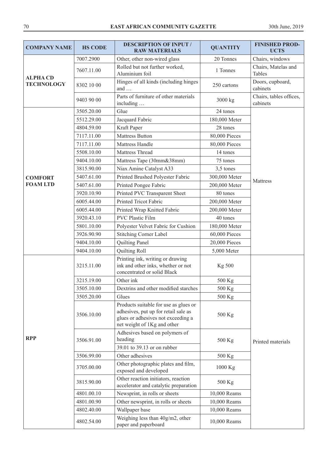| <b>COMPANY NAME</b>                  | <b>HS CODE</b> | <b>DESCRIPTION OF INPUT /</b><br><b>RAW MATERIALS</b>                                                                                              | <b>QUANTITY</b> | <b>FINISHED PROD-</b><br><b>UCTS</b> |
|--------------------------------------|----------------|----------------------------------------------------------------------------------------------------------------------------------------------------|-----------------|--------------------------------------|
|                                      | 7007.2900      | Other, other non-wired glass                                                                                                                       | 20 Tonnes       | Chairs, windows                      |
| <b>ALPHA CD</b><br><b>TECHNOLOGY</b> | 7607.11.00     | Rolled but not further worked,<br>Aluminium foil                                                                                                   | 1 Tonnes        | Chairs, Matelas and<br>Tables        |
|                                      | 8302 10 00     | Hinges of all kinds (including hinges<br>and $\dots$                                                                                               | 250 cartons     | Doors, cupboard,<br>cabinets         |
|                                      | 9403 90 00     | Parts of furniture of other materials<br>including                                                                                                 | 3000 kg         | Chairs, tables offices,<br>cabinets  |
|                                      | 3505.20.00     | Glue                                                                                                                                               | 24 tones        |                                      |
|                                      | 5512.29.00     | Jacquard Fabric                                                                                                                                    | 180,000 Meter   |                                      |
|                                      | 4804.59.00     | Kraft Paper                                                                                                                                        | 28 tones        |                                      |
|                                      | 7117.11.00     | <b>Mattress Button</b>                                                                                                                             | 80,000 Pieces   |                                      |
|                                      | 7117.11.00     | Mattress Handle                                                                                                                                    | 80,000 Pieces   |                                      |
|                                      | 5508.10.00     | Mattress Thread                                                                                                                                    | 14 tones        |                                      |
|                                      | 9404.10.00     | Mattress Tape (30mm&38mm)                                                                                                                          | 75 tones        |                                      |
|                                      | 3815.90.00     | Niax Amine Catalyst A33                                                                                                                            | 3,5 tones       |                                      |
| <b>COMFORT</b>                       | 5407.61.00     | Printed Brushed Polyester Fabric                                                                                                                   | 300,000 Meter   |                                      |
| <b>FOAM LTD</b>                      | 5407.61.00     | Printed Pongee Fabric                                                                                                                              | 200,000 Meter   | Mattress                             |
|                                      | 3920.10.90     | Printed PVC Transparent Sheet                                                                                                                      | 80 tones        |                                      |
|                                      | 6005.44.00     | Printed Tricot Fabric                                                                                                                              | 200,000 Meter   |                                      |
|                                      | 6005.44.00     | Printed Wrap Knitted Fabric                                                                                                                        | 200,000 Meter   |                                      |
|                                      | 3920.43.10     | <b>PVC Plastic Film</b>                                                                                                                            | 40 tones        |                                      |
|                                      | 5801.10.00     | Polyester Velvet Fabric for Cushion                                                                                                                | 180,000 Meter   |                                      |
|                                      | 3926.90.90     | <b>Stitching Corner Label</b>                                                                                                                      | 60,000 Pieces   |                                      |
|                                      | 9404.10.00     | Quilting Panel                                                                                                                                     | 20,000 Pieces   |                                      |
|                                      | 9404.10.00     | Quilting Roll                                                                                                                                      | 5,000 Meter     |                                      |
|                                      | 3215.11.00     | Printing ink, writing or drawing<br>ink and other inks, whether or not<br>concentrated or solid Black                                              | Kg 500          |                                      |
|                                      | 3215.19.00     | Other ink                                                                                                                                          | 500 Kg          |                                      |
|                                      | 3505.10.00     | Dextrins and other modified starches                                                                                                               | 500 Kg          |                                      |
|                                      | 3505.20.00     | Glues                                                                                                                                              | 500 Kg          |                                      |
|                                      | 3506.10.00     | Products suitable for use as glues or<br>adhesives, put up for retail sale as<br>glues or adhesives not exceeding a<br>net weight of 1Kg and other | 500 Kg          |                                      |
| <b>RPP</b>                           | 3506.91.00     | Adhesives based on polymers of<br>heading                                                                                                          | 500 Kg          | Printed materials                    |
|                                      |                | 39.01 to 39.13 or on rubber                                                                                                                        |                 |                                      |
|                                      | 3506.99.00     | Other adhesives                                                                                                                                    | 500 Kg          |                                      |
|                                      | 3705.00.00     | Other photographic plates and film,<br>exposed and developed                                                                                       | 1000 Kg         |                                      |
|                                      | 3815.90.00     | Other reaction initiators, reaction<br>accelerator and catalytic preparation                                                                       | 500 Kg          |                                      |
|                                      | 4801.00.10     | Newsprint, in rolls or sheets                                                                                                                      | 10,000 Reams    |                                      |
|                                      | 4801.00.90     | Other newsprint, in rolls or sheets                                                                                                                | 10,000 Reams    |                                      |
|                                      | 4802.40.00     | Wallpaper base                                                                                                                                     | 10,000 Reams    |                                      |
|                                      | 4802.54.00     | Weighing less than 40g/m2, other<br>paper and paperboard                                                                                           | 10,000 Reams    |                                      |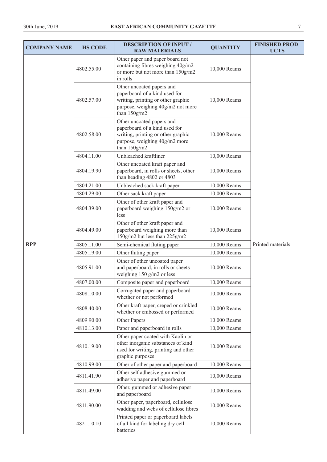| <b>COMPANY NAME</b> | <b>HS CODE</b> | <b>DESCRIPTION OF INPUT /</b><br><b>RAW MATERIALS</b>                                                                                                 | <b>QUANTITY</b> | <b>FINISHED PROD-</b><br><b>UCTS</b> |
|---------------------|----------------|-------------------------------------------------------------------------------------------------------------------------------------------------------|-----------------|--------------------------------------|
|                     | 4802.55.00     | Other paper and paper board not<br>containing fibres weighing 40g/m2<br>or more but not more than 150g/m2<br>in rolls                                 | 10,000 Reams    |                                      |
|                     | 4802.57.00     | Other uncoated papers and<br>paperboard of a kind used for<br>writing, printing or other graphic<br>purpose, weighing 40g/m2 not more<br>than 150g/m2 | 10,000 Reams    |                                      |
|                     | 4802.58.00     | Other uncoated papers and<br>paperboard of a kind used for<br>writing, printing or other graphic<br>purpose, weighing 40g/m2 more<br>than $150g/m2$   | 10,000 Reams    |                                      |
|                     | 4804.11.00     | Unbleached kraftliner                                                                                                                                 | 10,000 Reams    |                                      |
|                     | 4804.19.90     | Other uncoated kraft paper and<br>paperboard, in rolls or sheets, other<br>than heading 4802 or 4803                                                  | 10,000 Reams    |                                      |
|                     | 4804.21.00     | Unbleached sack kraft paper                                                                                                                           | 10,000 Reams    |                                      |
|                     | 4804.29.00     | Other sack kraft paper                                                                                                                                | 10,000 Reams    |                                      |
|                     | 4804.39.00     | Other of other kraft paper and<br>paperboard weighing 150g/m2 or<br>less                                                                              | 10,000 Reams    |                                      |
|                     | 4804.49.00     | Other of other kraft paper and<br>paperboard weighing more than<br>150g/m2 but less than 225g/m2                                                      | 10,000 Reams    |                                      |
| <b>RPP</b>          | 4805.11.00     | Semi-chemical fluting paper                                                                                                                           | 10,000 Reams    | Printed materials                    |
|                     | 4805.19.00     | Other fluting paper                                                                                                                                   | 10,000 Reams    |                                      |
|                     | 4805.91.00     | Other of other uncoated paper<br>and paperboard, in rolls or sheets<br>weighing 150 g/m2 or less                                                      | 10,000 Reams    |                                      |
|                     | 4807.00.00     | Composite paper and paperboard                                                                                                                        | 10,000 Reams    |                                      |
|                     | 4808.10.00     | Corrugated paper and paperboard<br>whether or not performed                                                                                           | 10,000 Reams    |                                      |
|                     | 4808.40.00     | Other kraft paper, creped or crinkled<br>whether or embossed or performed                                                                             | 10,000 Reams    |                                      |
|                     | 4809 90 00     | Other Papers                                                                                                                                          | 10 000 Reams    |                                      |
|                     | 4810.13.00     | Paper and paperboard in rolls                                                                                                                         | 10,000 Reams    |                                      |
|                     | 4810.19.00     | Other paper coated with Kaolin or<br>other inorganic substances of kind<br>used for writing, printing and other<br>graphic purposes                   | 10,000 Reams    |                                      |
|                     | 4810.99.00     | Other of other paper and paperboard                                                                                                                   | 10,000 Reams    |                                      |
|                     | 4811.41.90     | Other self adhesive gummed or<br>adhesive paper and paperboard                                                                                        | 10,000 Reams    |                                      |
|                     | 4811.49.00     | Other, gummed or adhesive paper<br>and paperboard                                                                                                     | 10,000 Reams    |                                      |
|                     | 4811.90.00     | Other paper, paperboard, cellulose<br>wadding and webs of cellulose fibres                                                                            | 10,000 Reams    |                                      |
|                     | 4821.10.10     | Printed paper or paperboard labels<br>of all kind for labeling dry cell<br>batteries                                                                  | 10,000 Reams    |                                      |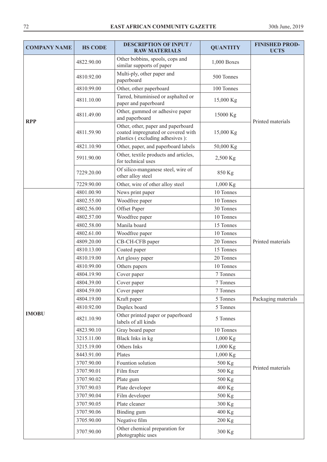| <b>COMPANY NAME</b> | <b>HS CODE</b> | <b>DESCRIPTION OF INPUT /</b><br><b>RAW MATERIALS</b>                                                       | <b>QUANTITY</b> | <b>FINISHED PROD-</b><br><b>UCTS</b> |
|---------------------|----------------|-------------------------------------------------------------------------------------------------------------|-----------------|--------------------------------------|
|                     | 4822.90.00     | Other bobbins, spools, cops and<br>similar supports of paper                                                | 1,000 Boxes     |                                      |
| <b>RPP</b>          | 4810.92.00     | Multi-ply, other paper and<br>paperboard                                                                    | 500 Tonnes      |                                      |
|                     | 4810.99.00     | Other, other paperboard                                                                                     | 100 Tonnes      |                                      |
|                     | 4811.10.00     | Tarred, bituminised or asphalted or<br>paper and paperboard                                                 | 15,000 Kg       |                                      |
|                     | 4811.49.00     | Other, gummed or adhesive paper<br>and paperboard                                                           | 15000 Kg        | Printed materials                    |
|                     | 4811.59.90     | Other, other, paper and paperboard<br>coated impregnated or covered with<br>plastics (excluding adhesives): | 15,000 Kg       |                                      |
|                     | 4821.10.90     | Other, paper, and paperboard labels                                                                         | 50,000 Kg       |                                      |
|                     | 5911.90.00     | Other, textile products and articles,<br>for technical uses                                                 | 2,500 Kg        |                                      |
|                     | 7229.20.00     | Of silico-manganese steel, wire of<br>other alloy steel                                                     | 850 Kg          |                                      |
|                     | 7229.90.00     | Other, wire of other alloy steel                                                                            | $1,000$ Kg      |                                      |
|                     | 4801.00.90     | News print paper                                                                                            | 10 Tonnes       |                                      |
|                     | 4802.55.00     | Woodfree paper                                                                                              | 10 Tonnes       |                                      |
|                     | 4802.56.00     | Offset Paper                                                                                                | 30 Tonnes       |                                      |
|                     | 4802.57.00     | Woodfree paper                                                                                              | 10 Tonnes       |                                      |
|                     | 4802.58.00     | Manila board                                                                                                | 15 Tonnes       |                                      |
|                     | 4802.61.00     | Woodfree paper                                                                                              | 10 Tonnes       |                                      |
|                     | 4809.20.00     | CB-CH-CFB paper                                                                                             | 20 Tonnes       | Printed materials                    |
|                     | 4810.13.00     | Coated paper                                                                                                | 15 Tonnes       |                                      |
|                     | 4810.19.00     | Art glossy paper                                                                                            | 20 Tonnes       |                                      |
|                     | 4810.99.00     | Others papers                                                                                               | 10 Tonnes       |                                      |
|                     | 4804.19.90     | Cover paper                                                                                                 | 7 Tonnes        |                                      |
|                     | 4804.39.00     | Cover paper                                                                                                 | 7 Tonnes        |                                      |
|                     | 4804.59.00     | Cover paper                                                                                                 | 7 Tonnes        |                                      |
|                     | 4804.19.00     | Kraft paper                                                                                                 | 5 Tonnes        | Packaging materials                  |
|                     | 4810.92.00     | Duplex board                                                                                                | 5 Tonnes        |                                      |
| <b>IMOBU</b>        | 4821.10.90     | Other printed paper or paperboard<br>labels of all kinds                                                    | 5 Tonnes        |                                      |
|                     | 4823.90.10     | Gray board paper                                                                                            | 10 Tonnes       |                                      |
|                     | 3215.11.00     | Black Inks in kg                                                                                            | 1,000 Kg        |                                      |
|                     | 3215.19.00     | Others Inks                                                                                                 | 1,000 Kg        |                                      |
|                     | 8443.91.00     | Plates                                                                                                      | 1,000 Kg        |                                      |
|                     | 3707.90.00     | Fountion solution                                                                                           | 500 Kg          | Printed materials                    |
|                     | 3707.90.01     | Film fixer                                                                                                  | 500 Kg          |                                      |
|                     | 3707.90.02     | Plate gum                                                                                                   | 500 Kg          |                                      |
|                     | 3707.90.03     | Plate developer                                                                                             | 400 Kg          |                                      |
|                     | 3707.90.04     | Film developer                                                                                              | 500 Kg          |                                      |
|                     | 3707.90.05     | Plate cleaner                                                                                               | 300 Kg          |                                      |
|                     | 3707.90.06     | Binding gum                                                                                                 | 400 Kg          |                                      |
|                     | 3705.90.00     | Negative film                                                                                               | 200 Kg          |                                      |
|                     | 3707.90.00     | Other chemical preparation for<br>photographic uses                                                         | 300 Kg          |                                      |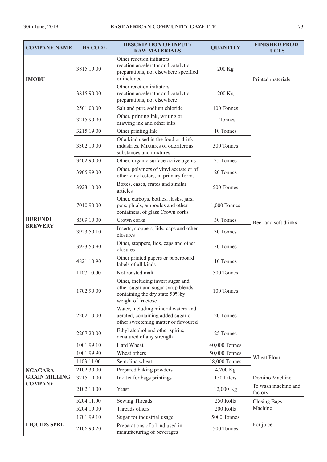| <b>COMPANY NAME</b>                    | <b>HS CODE</b> | <b>DESCRIPTION OF INPUT /</b><br><b>RAW MATERIALS</b>                                                                             | <b>QUANTITY</b> | <b>FINISHED PROD-</b><br><b>UCTS</b> |
|----------------------------------------|----------------|-----------------------------------------------------------------------------------------------------------------------------------|-----------------|--------------------------------------|
| <b>IMOBU</b>                           | 3815.19.00     | Other reaction initiators,<br>reaction accelerator and catalytic<br>preparations, not elsewhere specified<br>or included          | 200 Kg          | Printed materials                    |
|                                        | 3815.90.00     | Other reaction initiators,<br>reaction accelerator and catalytic<br>preparations, not elsewhere                                   | 200 Kg          |                                      |
|                                        | 2501.00.00     | Salt and pure sodium chloride                                                                                                     | 100 Tonnes      |                                      |
|                                        | 3215.90.90     | Other, printing ink, writing or<br>drawing ink and other inks                                                                     | 1 Tonnes        |                                      |
|                                        | 3215.19.00     | Other printing Ink                                                                                                                | 10 Tonnes       |                                      |
|                                        | 3302.10.00     | Of a kind used in the food or drink<br>industries, Mixtures of odoriferous<br>substances and mixtures                             | 300 Tonnes      |                                      |
|                                        | 3402.90.00     | Other, organic surface-active agents                                                                                              | 35 Tonnes       |                                      |
|                                        | 3905.99.00     | Other, polymers of vinyl acetate or of<br>other vinyl esters, in primary forms                                                    | 20 Tonnes       |                                      |
|                                        | 3923.10.00     | Boxes, cases, crates and similar<br>articles                                                                                      | 500 Tonnes      |                                      |
|                                        | 7010.90.00     | Other, carboys, bottles, flasks, jars,<br>pots, phials, ampoules and other<br>containers, of glass Crown corks                    | 1,000 Tonnes    |                                      |
| <b>BURUNDI</b><br><b>BREWERY</b>       | 8309.10.00     | Crown corks                                                                                                                       | 30 Tonnes       | Beer and soft drinks                 |
|                                        | 3923.50.10     | Inserts, stoppers, lids, caps and other<br>closures                                                                               | 30 Tonnes       |                                      |
|                                        | 3923.50.90     | Other, stoppers, lids, caps and other<br>closures                                                                                 | 30 Tonnes       |                                      |
|                                        | 4821.10.90     | Other printed papers or paperboard<br>labels of all kinds                                                                         | 10 Tonnes       |                                      |
|                                        | 1107.10.00     | Not roasted malt                                                                                                                  | 500 Tonnes      |                                      |
|                                        | 1702.90.00     | Other, including invert sugar and<br>other sugar and sugar syrup blends,<br>containing the dry state 50% by<br>weight of fructose | 100 Tonnes      |                                      |
|                                        | 2202.10.00     | Water, including mineral waters and<br>aerated, containing added sugar or<br>other sweetening matter or flavoured                 | 20 Tonnes       |                                      |
|                                        | 2207.20.00     | Ethyl alcohol and other spirits,<br>denatured of any strength                                                                     | 25 Tonnes       |                                      |
|                                        | 1001.99.10     | Hard Wheat                                                                                                                        | 40,000 Tonnes   |                                      |
|                                        | 1001.99.90     | Wheat others                                                                                                                      | 50,000 Tonnes   | Wheat Flour                          |
|                                        | 1103.11.00     | Semolina wheat                                                                                                                    | 18,000 Tonnes   |                                      |
| <b>NGAGARA</b>                         | 2102.30.00     | Prepared baking powders                                                                                                           | 4,200 Kg        |                                      |
| <b>GRAIN MILLING</b><br><b>COMPANY</b> | 3215.19.00     | Ink Jet for bags printings                                                                                                        | 150 Liters      | Domino Machine                       |
|                                        | 2102.10.00     | Yeast                                                                                                                             | 12,000 Kg       | To wash machine and<br>factory       |
|                                        | 5204.11.00     | Sewing Threads                                                                                                                    | 250 Rolls       | <b>Closing Bags</b>                  |
|                                        | 5204.19.00     | Threads others                                                                                                                    | 200 Rolls       | Machine                              |
|                                        | 1701.99.10     | Sugar for industrial usage                                                                                                        | 5000 Tonnes     |                                      |
| <b>LIQUIDS SPRL</b>                    | 2106.90.20     | Preparations of a kind used in<br>manufacturing of beverages                                                                      | 500 Tonnes      | For juice                            |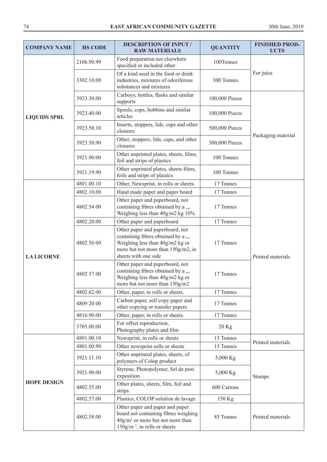| <b>COMPANY NAME</b> | <b>HS CODE</b> | <b>DESCRIPTION OF INPUT /</b><br><b>RAW MATERIALS</b>                                                                                                                  | <b>QUANTITY</b> | <b>FINISHED PROD-</b><br><b>UCTS</b> |
|---------------------|----------------|------------------------------------------------------------------------------------------------------------------------------------------------------------------------|-----------------|--------------------------------------|
|                     | 2106.90.99     | Food preparation not elsewhere<br>specified or included other                                                                                                          | 100Tonnes       |                                      |
|                     | 3302.10.00     | Of a kind used in the food or drink<br>industries, mixtures of odoriferous<br>substances and mixtures                                                                  | 300 Tonnes      | For juice                            |
|                     | 3923.30.00     | Carboys, bottles, flasks and similar<br>supports                                                                                                                       | 100,000 Pieces  |                                      |
| <b>LIQUIDS SPRL</b> | 3923.40.00     | Spools, cops, bobbins and similar<br>articles                                                                                                                          | 100,000 Pieces  |                                      |
|                     | 3923.50.10     | Inserts, stoppers, lids, caps and other<br>closures                                                                                                                    | 500,000 Pieces  | Packaging material                   |
|                     | 3923.50.90     | Other, stoppers, lids, caps, and other<br>closures                                                                                                                     | 300,000 Pieces  |                                      |
|                     | 3921.90.00     | Other unprinted plates, sheets, films,<br>foil and strips of plastics                                                                                                  | 100 Tonnes      |                                      |
|                     | 3921.19.90     | Other unprinted plates, sheets films,<br>foils and strips of plastics                                                                                                  | 100 Tonnes      |                                      |
|                     | 4801.00.10     | Other, Newsprint, in rolls or sheets.                                                                                                                                  | 17 Tonnes       |                                      |
|                     | 4802.10.00     | Hand made paper and paper board                                                                                                                                        | 17 Tonnes       |                                      |
|                     | 4802 54 00     | Other paper and paperboard, not<br>containing fibres obtained by a<br>Weighing less than 40g/m2 kg 10%                                                                 | 17 Tonnes       |                                      |
|                     | 4802.20.00     | Other paper and paperboard                                                                                                                                             | 17 Tonnes       | Printed materials                    |
|                     | 4802 56 00     | Other paper and paperboard, not<br>containing fibres obtained by a<br>Weighing less than 40g/m2 kg or<br>more but not more than 150g/m2, in<br>sheets with one side    | 17 Tonnes       |                                      |
| <b>LA LICORNE</b>   | 4802 57 00     | Other paper and paperboard, not<br>containing fibres obtained by a ,,,<br>Weighing less than 40g/m2 kg or<br>more but not more than 150g/m2                            | 17 Tonnes       |                                      |
|                     | 4802.62.00     | Other, paper, in rolls or sheets.                                                                                                                                      | 17 Tonnes       |                                      |
|                     | 4809 20 00     | Carbon paper, self copy paper and<br>other copying or transfer papers                                                                                                  | 17 Tonnes       |                                      |
|                     | 4816.90.00     | Other, paper, in rolls or sheets.                                                                                                                                      | 17 Tonnes       |                                      |
|                     | 3705.00.00     | For offset reproduction,<br>Photography plates and film                                                                                                                | $20$ Kg         |                                      |
|                     | 4801.00.10     | Newsprint, in rolls or sheets                                                                                                                                          | 15 Tonnes       |                                      |
|                     | 4801.00.90     | Other newsprint rolls or sheets                                                                                                                                        | 15 Tonnes       | Printed materials                    |
| <b>HOPE DESIGN</b>  | 3921.11.10     | Other unprinted plates, sheets, of<br>polymers of Colop product                                                                                                        | 5,000 Kg        |                                      |
|                     | 3921.90.00     | Styrene, Photopolymer, Sel de post<br>exposition                                                                                                                       | 5,000 Kg        | <b>Stamps</b>                        |
|                     | 4802.55.00     | Other plates, sheets, film, foil and<br>strips                                                                                                                         | 600 Cartons     |                                      |
|                     | 4802.57.00     | Plastics, COLOP solution de lavage                                                                                                                                     | 150 Kg          |                                      |
|                     | 4802.58.00     | Other paper and paper and paper<br>board not containing fibres weighing<br>$40$ g/m <sup>2</sup> or more but not more than<br>150g/m <sup>2</sup> , in rolls or sheets | 85 Tonnes       | Printed materials                    |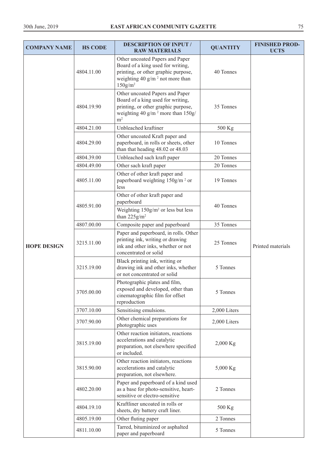| <b>COMPANY NAME</b> | <b>HS CODE</b> | <b>DESCRIPTION OF INPUT /</b><br><b>RAW MATERIALS</b>                                                                                                                            | <b>QUANTITY</b> | <b>FINISHED PROD-</b><br><b>UCTS</b> |
|---------------------|----------------|----------------------------------------------------------------------------------------------------------------------------------------------------------------------------------|-----------------|--------------------------------------|
|                     | 4804.11.00     | Other uncoated Papers and Paper<br>Board of a king used for writing,<br>printing, or other graphic purpose,<br>weighting 40 g/m $^2$ not more than<br>$150$ g/m <sup>2</sup>     | 40 Tonnes       |                                      |
|                     | 4804.19.90     | Other uncoated Papers and Paper<br>Board of a king used for writing,<br>printing, or other graphic purpose,<br>weighting 40 g/m <sup>2</sup> more than $150g/$<br>m <sup>2</sup> | 35 Tonnes       |                                      |
|                     | 4804.21.00     | Unbleached kraftiner                                                                                                                                                             | 500 Kg          |                                      |
|                     | 4804.29.00     | Other uncoated Kraft paper and<br>paperboard, in rolls or sheets, other<br>than that heading 48.02 or 48.03                                                                      | 10 Tonnes       |                                      |
|                     | 4804.39.00     | Unbleached sach kraft paper                                                                                                                                                      | 20 Tonnes       |                                      |
|                     | 4804.49.00     | Other sach kraft paper                                                                                                                                                           | 20 Tonnes       |                                      |
|                     | 4805.11.00     | Other of other kraft paper and<br>paperboard weighting 150g/m <sup>2</sup> or<br>less                                                                                            | 19 Tonnes       |                                      |
|                     | 4805.91.00     | Other of other kraft paper and<br>paperboard<br>Weighting $150g/m^2$ or less but less                                                                                            | 40 Tonnes       |                                      |
|                     |                | than $225$ g/m <sup>2</sup>                                                                                                                                                      |                 | Printed materials                    |
|                     | 4807.00.00     | Composite paper and paperboard                                                                                                                                                   | 35 Tonnes       |                                      |
| <b>HOPE DESIGN</b>  | 3215.11.00     | Paper and paperboard, in rolls. Other<br>printing ink, writing or drawing<br>ink and other inks, whether or not<br>concentrated or solid                                         | 25 Tonnes       |                                      |
|                     | 3215.19.00     | Black printing ink, writing or<br>drawing ink and other inks, whether<br>or not concentrated or solid                                                                            | 5 Tonnes        |                                      |
|                     | 3705.00.00     | Photographic plates and film,<br>exposed and developed, other than<br>cinematographic film for offset<br>reproduction                                                            | 5 Tonnes        |                                      |
|                     | 3707.10.00     | Sensitising emulsions.                                                                                                                                                           | 2,000 Liters    |                                      |
|                     | 3707.90.00     | Other chemical preparations for<br>photographic uses                                                                                                                             | 2,000 Liters    |                                      |
|                     | 3815.19.00     | Other reaction initiators, reactions<br>accelerations and catalytic<br>preparation, not elsewhere specified<br>or included.                                                      | 2,000 Kg        |                                      |
|                     | 3815.90.00     | Other reaction initiators, reactions<br>accelerations and catalytic<br>preparation, not elsewhere.                                                                               | 5,000 Kg        |                                      |
|                     | 4802.20.00     | Paper and paperboard of a kind used<br>as a base for photo-sensitive, heart-<br>sensitive or electro-sensitive                                                                   | 2 Tonnes        |                                      |
|                     | 4804.19.10     | Kraftliner uncoated in rolls or<br>sheets, dry battery craft liner.                                                                                                              | 500 Kg          |                                      |
|                     | 4805.19.00     | Other fluting paper                                                                                                                                                              | 2 Tonnes        |                                      |
|                     | 4811.10.00     | Tarred, bituminized or asphalted<br>paper and paperboard                                                                                                                         | 5 Tonnes        |                                      |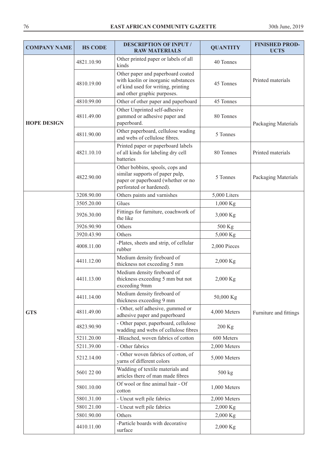| <b>COMPANY NAME</b> | <b>HS CODE</b> | <b>DESCRIPTION OF INPUT /</b><br><b>RAW MATERIALS</b>                                                                                         | <b>QUANTITY</b> | <b>FINISHED PROD-</b><br><b>UCTS</b> |
|---------------------|----------------|-----------------------------------------------------------------------------------------------------------------------------------------------|-----------------|--------------------------------------|
|                     | 4821.10.90     | Other printed paper or labels of all<br>kinds                                                                                                 | 40 Tonnes       |                                      |
|                     | 4810.19.00     | Other paper and paperboard coated<br>with kaolin or inorganic substances<br>of kind used for writing, printing<br>and other graphic purposes. | 45 Tonnes       | Printed materials                    |
|                     | 4810.99.00     | Other of other paper and paperboard                                                                                                           | 45 Tonnes       |                                      |
| <b>HOPE DESIGN</b>  | 4811.49.00     | Other Unprinted self-adhesive<br>gummed or adhesive paper and<br>paperboard.                                                                  | 80 Tonnes       | Packaging Materials                  |
|                     | 4811.90.00     | Other paperboard, cellulose wading<br>and webs of cellulose fibres.                                                                           | 5 Tonnes        |                                      |
|                     | 4821.10.10     | Printed paper or paperboard labels<br>of all kinds for labeling dry cell<br>batteries                                                         | 80 Tonnes       | Printed materials                    |
|                     | 4822.90.00     | Other bobbins, spools, cops and<br>similar supports of paper pulp,<br>paper or paperboard (whether or no<br>perforated or hardened).          | 5 Tonnes        | Packaging Materials                  |
|                     | 3208.90.00     | Others paints and varnishes                                                                                                                   | 5,000 Liters    |                                      |
|                     | 3505.20.00     | Glues                                                                                                                                         | $1,000$ Kg      |                                      |
|                     | 3926.30.00     | Fittings for furniture, coachwork of<br>the like                                                                                              | 3,000 Kg        |                                      |
|                     | 3926.90.90     | Others                                                                                                                                        | 500 Kg          |                                      |
|                     | 3920.43.90     | Others                                                                                                                                        | 5,000 Kg        |                                      |
|                     | 4008.11.00     | -Plates, sheets and strip, of cellular<br>rubber                                                                                              | 2,000 Pieces    |                                      |
|                     | 4411.12.00     | Medium density fireboard of<br>thickness not exceeding 5 mm                                                                                   | 2,000 Kg        |                                      |
|                     | 4411.13.00     | Medium density fireboard of<br>thickness exceeding 5 mm but not<br>exceeding 9mm                                                              | 2,000 Kg        |                                      |
|                     | 4411.14.00     | Medium density fireboard of<br>thickness exceeding 9 mm                                                                                       | 50,000 Kg       |                                      |
| <b>GTS</b>          | 4811.49.00     | - Other, self adhesive, gummed or<br>adhesive paper and paperboard                                                                            | 4,000 Meters    | Furniture and fittings               |
|                     | 4823.90.90     | - Other paper, paperboard, cellulose<br>wadding and webs of cellulose fibres                                                                  | 200 Kg          |                                      |
|                     | 5211.20.00     | -Bleached, woven fabrics of cotton                                                                                                            | 600 Meters      |                                      |
|                     | 5211.39.00     | - Other fabrics                                                                                                                               | 2,000 Meters    |                                      |
|                     | 5212.14.00     | - Other woven fabrics of cotton, of<br>yarns of different colors                                                                              | 5,000 Meters    |                                      |
|                     | 5601 22 00     | Wadding of textile materials and<br>articles there of man made fibres                                                                         | 500 kg          |                                      |
|                     | 5801.10.00     | Of wool or fine animal hair - Of<br>cotton                                                                                                    | 1,000 Meters    |                                      |
|                     | 5801.31.00     | - Uncut weft pile fabrics                                                                                                                     | 2,000 Meters    |                                      |
|                     | 5801.21.00     | - Uncut weft pile fabrics                                                                                                                     | 2,000 Kg        |                                      |
|                     | 5801.90.00     | Others                                                                                                                                        | 2,000 Kg        |                                      |
|                     | 4410.11.00     | -Particle boards with decorative<br>surface                                                                                                   | 2,000 Kg        |                                      |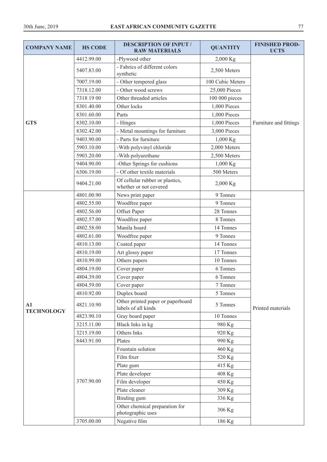| <b>COMPANY NAME</b>                | <b>HS CODE</b> | <b>DESCRIPTION OF INPUT /</b><br><b>RAW MATERIALS</b>     | <b>QUANTITY</b>  | <b>FINISHED PROD-</b><br><b>UCTS</b> |
|------------------------------------|----------------|-----------------------------------------------------------|------------------|--------------------------------------|
|                                    | 4412.99.00     | -Plywood other                                            | $2,000$ Kg       |                                      |
|                                    | 5407.83.00     | - Fabrics of different colors<br>synthetic                | 2,500 Meters     |                                      |
|                                    | 7007.19.00     | - Other tempered glass                                    | 100 Cubic Meters |                                      |
|                                    | 7318.12.00     | - Other wood screws                                       | 25,000 Pieces    |                                      |
|                                    | 7318 19 00     | Other threaded articles                                   | 100 000 pieces   |                                      |
|                                    | 8301.40.00     | Other locks                                               | 1,000 Pieces     |                                      |
|                                    | 8301.60.00     | Parts                                                     | 1,000 Pieces     |                                      |
| <b>GTS</b>                         | 8302.10.00     | - Hinges                                                  | 1,000 Pieces     | Furniture and fittings               |
|                                    | 8302.42.00     | - Metal mountings for furniture                           | 3,000 Pieces     |                                      |
|                                    | 9403.90.00     | - Parts for furniture                                     | $1,000$ Kg       |                                      |
|                                    | 5903.10.00     | -With polyvinyl chloride                                  | 2,000 Meters     |                                      |
|                                    | 5903.20.00     | -With polyurethane                                        | 2,500 Meters     |                                      |
|                                    | 9404.90.00     | -Other Springs for cushions                               | 1,000 Kg         |                                      |
|                                    | 6306.19.00     | - Of other textile materials                              | 500 Meters       |                                      |
|                                    | 9404.21.00     | Of cellular rubber or plastics,<br>whether or not covered | $2,000$ Kg       |                                      |
|                                    | 4801.00.90     | News print paper                                          | 9 Tonnes         |                                      |
|                                    | 4802.55.00     | Woodfree paper                                            | 9 Tonnes         |                                      |
|                                    | 4802.56.00     | Offset Paper                                              | 28 Tonnes        |                                      |
|                                    | 4802.57.00     | Woodfree paper                                            | 8 Tonnes         |                                      |
|                                    | 4802.58.00     | Manila board                                              | 14 Tonnes        |                                      |
|                                    | 4802.61.00     | Woodfree paper                                            | 9 Tonnes         |                                      |
|                                    | 4810.13.00     | Coated paper                                              | 14 Tonnes        |                                      |
|                                    | 4810.19.00     | Art glossy paper                                          | 17 Tonnes        |                                      |
|                                    | 4810.99.00     | Others papers                                             | 10 Tonnes        |                                      |
|                                    | 4804.19.00     | Cover paper                                               | 6 Tonnes         |                                      |
|                                    | 4804.39.00     | Cover paper                                               | 6 Tonnes         |                                      |
|                                    | 4804.59.00     | Cover paper                                               | 7 Tonnes         |                                      |
|                                    | 4810.92.00     | Duplex board                                              | 5 Tonnes         |                                      |
| $\mathbf{A1}$<br><b>TECHNOLOGY</b> | 4821.10.90     | Other printed paper or paperboard<br>labels of all kinds  | 5 Tonnes         | Printed materials                    |
|                                    | 4823.90.10     | Gray board paper                                          | 10 Tonnes        |                                      |
|                                    | 3215.11.00     | Black Inks in kg                                          | 980 Kg           |                                      |
|                                    | 3215.19.00     | Others Inks                                               | 920 Kg           |                                      |
|                                    | 8443.91.00     | Plates                                                    | 990 Kg           |                                      |
|                                    |                | Fountain solution                                         | 460 Kg           |                                      |
|                                    |                | Film fixer                                                | 520 Kg           |                                      |
|                                    |                | Plate gum                                                 | 415 Kg           |                                      |
|                                    |                | Plate developer                                           | 408 Kg           |                                      |
|                                    | 3707.90.00     | Film developer                                            | 450 Kg           |                                      |
|                                    |                | Plate cleaner                                             | 309 Kg           |                                      |
|                                    |                | Binding gum                                               | 336 Kg           |                                      |
|                                    |                | Other chemical preparation for<br>photographic uses       | 306 Kg           |                                      |
|                                    | 3705.00.00     | Negative film                                             | 186 Kg           |                                      |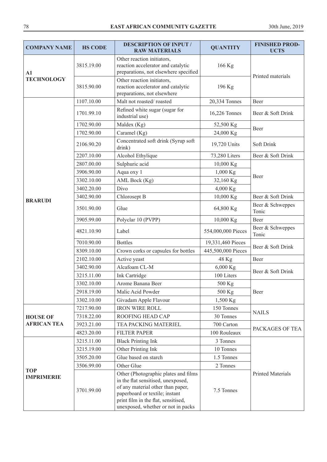| <b>COMPANY NAME</b>             | <b>HS CODE</b> | <b>DESCRIPTION OF INPUT /</b><br><b>RAW MATERIALS</b>                                                                                                                                    | <b>QUANTITY</b>    | <b>FINISHED PROD-</b><br><b>UCTS</b> |
|---------------------------------|----------------|------------------------------------------------------------------------------------------------------------------------------------------------------------------------------------------|--------------------|--------------------------------------|
| $\mathbf{A1}$                   | 3815.19.00     | Other reaction initiators,<br>reaction accelerator and catalytic<br>preparations, not elsewhere specified                                                                                | 166 Kg             | Printed materials                    |
| <b>TECHNOLOGY</b>               | 3815.90.00     | Other reaction initiators,<br>reaction accelerator and catalytic<br>preparations, not elsewhere                                                                                          | 196 Kg             |                                      |
|                                 | 1107.10.00     | Malt not roasted/roasted                                                                                                                                                                 | 20,334 Tonnes      | Beer                                 |
|                                 | 1701.99.10     | Refined white sugar (sugar for<br>industrial use)                                                                                                                                        | 16,226 Tonnes      | Beer & Soft Drink                    |
|                                 | 1702.90.00     | Maldex (Kg)                                                                                                                                                                              | 52,500 Kg          |                                      |
|                                 | 1702.90.00     | Caramel (Kg)                                                                                                                                                                             | 24,000 Kg          | Beer                                 |
|                                 | 2106.90.20     | Concentrated soft drink (Syrup soft<br>drink)                                                                                                                                            | 19,720 Units       | Soft Drink                           |
|                                 | 2207.10.00     | Alcohol Ethylique                                                                                                                                                                        | 73,280 Liters      | Beer & Soft Drink                    |
|                                 | 2807.00.00     | Sulphuric acid                                                                                                                                                                           | 10,000 Kg          |                                      |
|                                 | 3906.90.00     | Aqua oxy 1                                                                                                                                                                               | 1,000 Kg           |                                      |
|                                 | 3302.10.00     | AML Bock (Kg)                                                                                                                                                                            | 32,160 Kg          | Beer                                 |
|                                 | 3402.20.00     | Divo                                                                                                                                                                                     | 4,000 Kg           |                                      |
|                                 | 3402.90.00     | Chlorosept B                                                                                                                                                                             | 10,000 Kg          | Beer & Soft Drink                    |
| <b>BRARUDI</b>                  | 3501.90.00     | Glue                                                                                                                                                                                     | 64,800 Kg          | Beer & Schweppes<br>Tonic            |
|                                 | 3905.99.00     | Polyclar 10 (PVPP)                                                                                                                                                                       | 10,000 Kg          | Beer                                 |
|                                 | 4821.10.90     | Label                                                                                                                                                                                    | 554,000,000 Pieces | Beer & Schweppes<br>Tonic            |
|                                 | 7010.90.00     | <b>Bottles</b>                                                                                                                                                                           | 19,331,460 Pieces  |                                      |
|                                 | 8309.10.00     | Crown corks or capsules for bottles                                                                                                                                                      | 445,500,000 Pieces | Beer & Soft Drink                    |
|                                 | 2102.10.00     | Active yeast                                                                                                                                                                             | 48 Kg              | Beer                                 |
|                                 | 3402.90.00     | Alcafoam CL-M                                                                                                                                                                            | 6,000 Kg           |                                      |
|                                 | 3215.11.00     | Ink Cartridge                                                                                                                                                                            | 100 Liters         | Beer & Soft Drink                    |
|                                 | 3302.10.00     | Arome Banana Beer                                                                                                                                                                        | 500 Kg             |                                      |
|                                 | 2918.19.00     | Malic Acid Powder                                                                                                                                                                        | 500 Kg             | Beer                                 |
|                                 | 3302.10.00     | Givadam Apple Flavour                                                                                                                                                                    | 1,500 Kg           |                                      |
|                                 | 7217.90.00     | <b>IRON WIRE ROLL</b>                                                                                                                                                                    | 150 Tonnes         | <b>NAILS</b>                         |
| <b>HOUSE OF</b>                 | 7318.22.00     | ROOFING HEAD CAP                                                                                                                                                                         | 30 Tonnes          |                                      |
| <b>AFRICAN TEA</b>              | 3923.21.00     | TEA PACKING MATERIEL                                                                                                                                                                     | 700 Carton         | PACKAGES OF TEA                      |
|                                 | 4823.20.00     | <b>FILTER PAPER</b>                                                                                                                                                                      | 100 Rouleaux       |                                      |
|                                 | 3215.11.00     | <b>Black Printing Ink</b>                                                                                                                                                                | 3 Tonnes           |                                      |
|                                 | 3215.19.00     | Other Printing Ink                                                                                                                                                                       | 10 Tonnes          |                                      |
|                                 | 3505.20.00     | Glue based on starch                                                                                                                                                                     | 1.5 Tonnes         |                                      |
|                                 | 3506.99.00     | Other Glue                                                                                                                                                                               | 2 Tonnes           |                                      |
| <b>TOP</b><br><b>IMPRIMERIE</b> | 3701.99.00     | Other (Photographic plates and films<br>in the flat sensitised, unexposed,<br>of any material other than paper,<br>paperboard or textile; instant<br>print film in the flat, sensitised, | 7.5 Tonnes         | <b>Printed Materials</b>             |
|                                 |                | unexposed, whether or not in packs                                                                                                                                                       |                    |                                      |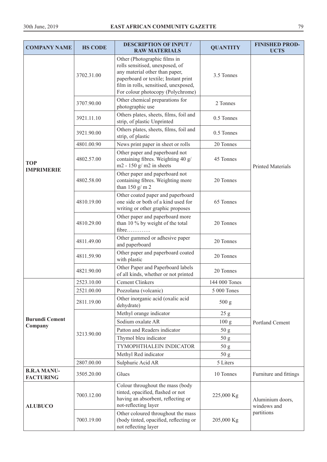| <b>COMPANY NAME</b>                    | <b>HS CODE</b> | <b>DESCRIPTION OF INPUT /</b><br><b>RAW MATERIALS</b>                                                                                                                                                                   | <b>QUANTITY</b>  | <b>FINISHED PROD-</b><br><b>UCTS</b> |
|----------------------------------------|----------------|-------------------------------------------------------------------------------------------------------------------------------------------------------------------------------------------------------------------------|------------------|--------------------------------------|
|                                        | 3702.31.00     | Other (Photographic films in<br>rolls sensitised, unexposed, of<br>any material other than paper,<br>paperboard or textile; Instant print<br>film in rolls, sensitised, unexposed,<br>For colour photocopy (Polychrome) | 3.5 Tonnes       |                                      |
|                                        | 3707.90.00     | Other chemical preparations for<br>photographic use                                                                                                                                                                     | 2 Tonnes         |                                      |
|                                        | 3921.11.10     | Others plates, sheets, films, foil and<br>strip, of plastic Unprinted                                                                                                                                                   | 0.5 Tonnes       |                                      |
|                                        | 3921.90.00     | Others plates, sheets, films, foil and<br>strip, of plastic                                                                                                                                                             | 0.5 Tonnes       |                                      |
|                                        | 4801.00.90     | News print paper in sheet or rolls                                                                                                                                                                                      | 20 Tonnes        |                                      |
| <b>TOP</b><br><b>IMPRIMERIE</b>        | 4802.57.00     | Other paper and paperboard not<br>containing fibres. Weighting 40 g/<br>$m2 - 150$ g/m2 in sheets                                                                                                                       | 45 Tonnes        | <b>Printed Materials</b>             |
|                                        | 4802.58.00     | Other paper and paperboard not<br>containing fibres. Weighting more<br>than $150 g/m 2$                                                                                                                                 | 20 Tonnes        |                                      |
|                                        | 4810.19.00     | Other coated paper and paperboard<br>one side or both of a kind used for<br>writing or other graphic proposes                                                                                                           | 65 Tonnes        |                                      |
|                                        | 4810.29.00     | Other paper and paperboard more<br>than 10 % by weight of the total<br>fibre                                                                                                                                            | 20 Tonnes        |                                      |
|                                        | 4811.49.00     | Other gummed or adhesive paper<br>and paperboard                                                                                                                                                                        | 20 Tonnes        |                                      |
|                                        | 4811.59.90     | Other paper and paperboard coated<br>with plastic                                                                                                                                                                       | 20 Tonnes        |                                      |
|                                        | 4821.90.00     | Other Paper and Paperboard labels<br>of all kinds, whether or not printed                                                                                                                                               | 20 Tonnes        |                                      |
|                                        | 2523.10.00     | <b>Cement Clinkers</b>                                                                                                                                                                                                  | 144 000 Tones    |                                      |
|                                        | 2521.00.00     | Pozzolana (volcanic)                                                                                                                                                                                                    | 5 000 Tones      |                                      |
|                                        | 2811.19.00     | Other inorganic acid (oxalic acid<br>dehydrate)                                                                                                                                                                         | 500 g            |                                      |
|                                        |                | Methyl orange indicator                                                                                                                                                                                                 | 25 g             | Portland Cement                      |
| <b>Burundi Cement</b><br>Company       |                | Sodium oxalate AR                                                                                                                                                                                                       | 100 <sub>g</sub> |                                      |
|                                        | 3213.90.00     | Patton and Readers indicator                                                                                                                                                                                            | 50 <sub>g</sub>  |                                      |
|                                        |                | Thymol bleu indicator                                                                                                                                                                                                   | 50 g             |                                      |
|                                        |                | TYMOPHTHALEIN INDICATOR                                                                                                                                                                                                 | 50 g             |                                      |
|                                        |                | Methyl Red indicator                                                                                                                                                                                                    | 50 <sub>g</sub>  |                                      |
|                                        | 2807.00.00     | Sulphuric Acid AR                                                                                                                                                                                                       | 5 Liters         |                                      |
| <b>B.R.A MANU-</b><br><b>FACTURING</b> | 3505.20.00     | Glues                                                                                                                                                                                                                   | 10 Tonnes        | Furniture and fittings               |
| <b>ALUBUCO</b>                         | 7003.12.00     | Colour throughout the mass (body<br>tinted, opacified, flashed or not<br>having an absorbent, reflecting or<br>not-reflecting layer                                                                                     | 225,000 Kg       | Aluminium doors,<br>windows and      |
|                                        | 7003.19.00     | Other coloured throughout the mass<br>(body tinted, opacified, reflecting or<br>not reflecting layer                                                                                                                    | 205,000 Kg       | partitions                           |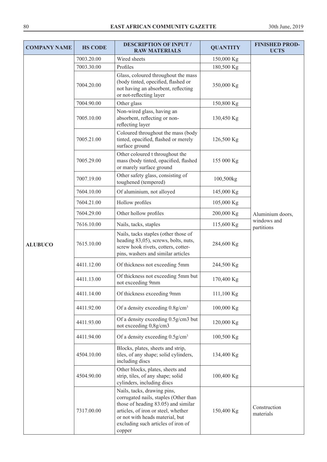| <b>COMPANY NAME</b> | <b>HS CODE</b> | <b>DESCRIPTION OF INPUT /</b><br><b>RAW MATERIALS</b>                                                                                                                                                                                 | <b>QUANTITY</b> | <b>FINISHED PROD-</b><br><b>UCTS</b>          |
|---------------------|----------------|---------------------------------------------------------------------------------------------------------------------------------------------------------------------------------------------------------------------------------------|-----------------|-----------------------------------------------|
|                     | 7003.20.00     | Wired sheets                                                                                                                                                                                                                          | 150,000 Kg      |                                               |
|                     | 7003.30.00     | Profiles                                                                                                                                                                                                                              | 180,500 Kg      |                                               |
|                     | 7004.20.00     | Glass, coloured throughout the mass<br>(body tinted, opecified, flashed or<br>not having an absorbent, reflecting<br>or not-reflecting layer                                                                                          | 350,000 Kg      |                                               |
|                     | 7004.90.00     | Other glass                                                                                                                                                                                                                           | 150,800 Kg      |                                               |
|                     | 7005.10.00     | Non-wired glass, having an<br>absorbent, reflecting or non-<br>reflecting layer                                                                                                                                                       | 130,450 Kg      |                                               |
|                     | 7005.21.00     | Coloured throughout the mass (body<br>tinted, opacified, flashed or merely<br>surface ground                                                                                                                                          | 126,500 Kg      |                                               |
|                     | 7005.29.00     | Other coloured t throughout the<br>mass (body tinted, opacified, flashed<br>or marely surface ground                                                                                                                                  | 155 000 Kg      |                                               |
|                     | 7007.19.00     | Other safety glass, consisting of<br>toughened (tempered)                                                                                                                                                                             | 100,500kg       |                                               |
|                     | 7604.10.00     | Of aluminium, not alloyed                                                                                                                                                                                                             | 145,000 Kg      |                                               |
|                     | 7604.21.00     | Hollow profiles                                                                                                                                                                                                                       | 105,000 Kg      |                                               |
|                     | 7604.29.00     | Other hollow profiles                                                                                                                                                                                                                 | 200,000 Kg      | Aluminium doors,<br>windows and<br>partitions |
|                     | 7616.10.00     | Nails, tacks, staples                                                                                                                                                                                                                 | 115,600 Kg      |                                               |
| <b>ALUBUCO</b>      | 7615.10.00     | Nails, tacks staples (other those of<br>heading 83,05), screws, bolts, nuts,<br>screw hook rivets, cotters, cotter-<br>pins, washers and similar articles                                                                             | 284,600 Kg      |                                               |
|                     | 4411.12.00     | Of thickness not exceeding 5mm                                                                                                                                                                                                        | 244,500 Kg      |                                               |
|                     | 4411.13.00     | Of thickness not exceeding 5mm but<br>not exceeding 9mm                                                                                                                                                                               | 170,400 Kg      |                                               |
|                     | 4411.14.00     | Of thickness exceeding 9mm                                                                                                                                                                                                            | 111,100 Kg      |                                               |
|                     | 4411.92.00     | Of a density exceeding $0.8$ g/cm <sup>3</sup>                                                                                                                                                                                        | 100,000 Kg      |                                               |
|                     | 4411.93.00     | Of a density exceeding 0.5g/cm3 but<br>not exceeding 0,8g/cm3                                                                                                                                                                         | 120,000 Kg      |                                               |
|                     | 4411.94.00     | Of a density exceeding $0.5$ g/cm <sup>3</sup>                                                                                                                                                                                        | 100,500 Kg      |                                               |
|                     | 4504.10.00     | Blocks, plates, sheets and strip,<br>tiles, of any shape; solid cylinders,<br>including discs                                                                                                                                         | 134,400 Kg      |                                               |
|                     | 4504.90.00     | Other blocks, plates, sheets and<br>strip, tiles, of any shape; solid<br>cylinders, including discs                                                                                                                                   | 100,400 Kg      |                                               |
|                     | 7317.00.00     | Nails, tacks, drawing pins,<br>corrugated nails, staples (Other than<br>those of heading 83.05) and similar<br>articles, of iron or steel, whether<br>or not with heads material, but<br>excluding such articles of iron of<br>copper | 150,400 Kg      | Construction<br>materials                     |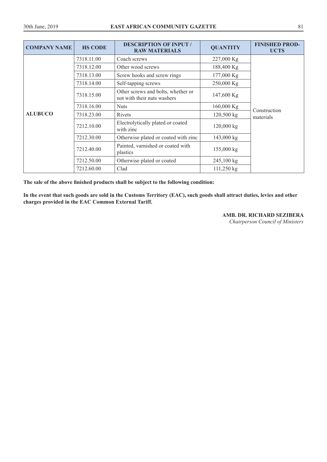| <b>COMPANY NAME</b> | <b>HS CODE</b> | <b>DESCRIPTION OF INPUT /</b><br><b>RAW MATERIALS</b>             | <b>QUANTITY</b>      | <b>FINISHED PROD-</b><br><b>UCTS</b> |
|---------------------|----------------|-------------------------------------------------------------------|----------------------|--------------------------------------|
|                     | 7318.11.00     | Coach screws                                                      | 227,000 Kg           |                                      |
|                     | 7318.12.00     | Other wood screws                                                 | 188,400 Kg           |                                      |
|                     | 7318.13.00     | Screw hooks and screw rings                                       | 177,000 Kg           |                                      |
|                     | 7318.14.00     | Self-tapping screws                                               | 250,000 Kg           |                                      |
| <b>ALUBUCO</b>      | 7318.15.00     | Other screws and bolts, whether or<br>not with their nuts washers | 147,600 Kg           | Construction<br>materials            |
|                     | 7318.16.00     | <b>Nuts</b>                                                       | 160,000 Kg           |                                      |
|                     | 7318.23.00     | Rivets                                                            | 120,500 kg           |                                      |
|                     | 7212.10.00     | Electrolytically plated or coated<br>with zinc                    | 120,000 kg           |                                      |
|                     | 7212.30.00     | Otherwise plated or coated with zinc                              | 143,000 kg           |                                      |
|                     | 7212.40.00     | Painted, varnished or coated with<br>plastics                     | $155,000 \text{ kg}$ |                                      |
|                     | 7212.50.00     | Otherwise plated or coated                                        | 245,100 kg           |                                      |
|                     | 7212.60.00     | Clad                                                              | 111,250 kg           |                                      |

**The sale of the above finished products shall be subject to the following condition:** 

**In the event that such goods are sold in the Customs Territory (EAC), such goods shall attract duties, levies and other charges provided in the EAC Common External Tariff.** 

**AMB. DR. RICHARD SEZIBERA** 

*Chairperson Council of Ministers*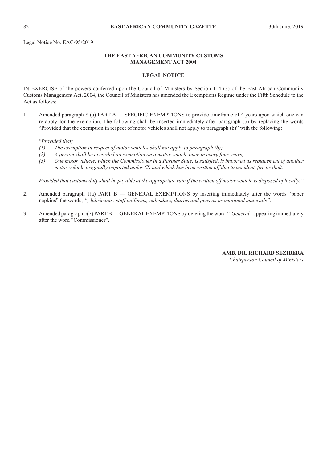Legal Notice No. EAC/95/2019

## **THE EAST AFRICAN COMMUNITY CUSTOMS MANAGEMENT ACT 2004**

## **LEGAL NOTICE**

IN EXERCISE of the powers conferred upon the Council of Ministers by Section 114 (3) of the East African Community Customs Management Act, 2004, the Council of Ministers has amended the Exemptions Regime under the Fifth Schedule to the Act as follows:

1. Amended paragraph 8 (a) PART A — SPECIFIC EXEMPTIONS to provide timeframe of 4 years upon which one can re-apply for the exemption. The following shall be inserted immediately after paragraph (b) by replacing the words "Provided that the exemption in respect of motor vehicles shall not apply to paragraph (b)" with the following:

"*Provided that;*

- *(1) The exemption in respect of motor vehicles shall not apply to paragraph (b);*
- *(2) A person shall be accorded an exemption on a motor vehicle once in every four years;*
- (3) One motor vehicle, which the Commissioner in a Partner State, is satisfied, is imported as replacement of another motor vehicle originally imported under  $(2)$  and which has been written off due to accident, fire or theft.

*Provided that customs duty shall be payable at the appropriate rate if the written off motor vehicle is disposed of locally."*

- 2. Amended paragraph 1(a) PART B GENERAL EXEMPTIONS by inserting immediately after the words "paper napkins" the words; *"; lubricants; staff uniforms; calendars, diaries and pens as promotional materials".*
- 3. Amended paragraph 5(7) PART B GENERAL EXEMPTIONS by deleting the word *"-General"* appearing immediately after the word "Commissioner".

**AMB. DR. RICHARD SEZIBERA**  *Chairperson Council of Ministers*